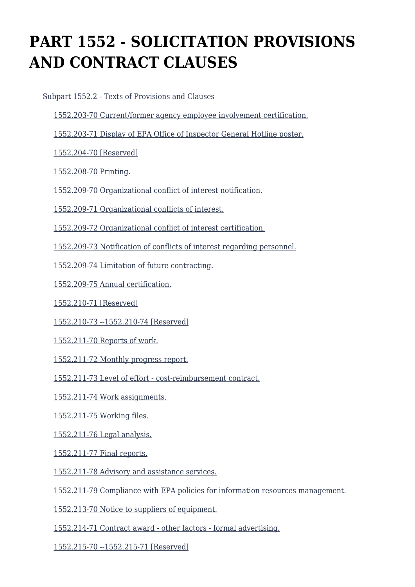# **PART 1552 - SOLICITATION PROVISIONS AND CONTRACT CLAUSES**

 [Subpart 1552.2 - Texts of Provisions and Clauses](https://origin-www.acquisition.gov/%5Brp:link:epaar-part-1552%5D#Subpart_1552_2_T48_6018371) [1552.203-70 Current/former agency employee involvement certification.](https://origin-www.acquisition.gov/%5Brp:link:epaar-part-1552%5D#Section_1552_203_70_T48_601837111) [1552.203-71 Display of EPA Office of Inspector General Hotline poster.](https://origin-www.acquisition.gov/%5Brp:link:epaar-part-1552%5D#Section_1552_203_71_T48_601837112) [1552.204-70 \[Reserved\]](https://origin-www.acquisition.gov/%5Brp:link:epaar-part-1552%5D#Section_1552_204_70_T48_601837113) [1552.208-70 Printing.](https://origin-www.acquisition.gov/%5Brp:link:epaar-part-1552%5D#Section_1552_208_70_T48_601837114) [1552.209-70 Organizational conflict of interest notification.](https://origin-www.acquisition.gov/%5Brp:link:epaar-part-1552%5D#Section_1552_209_70_T48_601837115) [1552.209-71 Organizational conflicts of interest.](https://origin-www.acquisition.gov/%5Brp:link:epaar-part-1552%5D#Section_1552_209_71_T48_601837116) [1552.209-72 Organizational conflict of interest certification.](https://origin-www.acquisition.gov/%5Brp:link:epaar-part-1552%5D#Section_1552_209_72_T48_601837117) [1552.209-73 Notification of conflicts of interest regarding personnel.](https://origin-www.acquisition.gov/%5Brp:link:epaar-part-1552%5D#Section_1552_209_73_T48_601837118) [1552.209-74 Limitation of future contracting.](https://origin-www.acquisition.gov/%5Brp:link:epaar-part-1552%5D#Section_1552_209_74_T48_601837119) [1552.209-75 Annual certification.](https://origin-www.acquisition.gov/%5Brp:link:epaar-part-1552%5D#Section_1552_209_75_T48_6018371110) [1552.210-71 \[Reserved\]](https://origin-www.acquisition.gov/%5Brp:link:epaar-part-1552%5D#Section_1552_210_71_T48_6018371111) [1552.210-73 --1552.210-74 \[Reserved\]](https://origin-www.acquisition.gov/%5Brp:link:epaar-part-1552%5D#Section_1552_210_73_1552_210_74_T48_6018371112) [1552.211-70 Reports of work.](https://origin-www.acquisition.gov/%5Brp:link:epaar-part-1552%5D#Section_1552_211_70_T48_6018371113) [1552.211-72 Monthly progress report.](https://origin-www.acquisition.gov/%5Brp:link:epaar-part-1552%5D#Section_1552_211_72_T48_6018371114) [1552.211-73 Level of effort - cost-reimbursement contract.](https://origin-www.acquisition.gov/%5Brp:link:epaar-part-1552%5D#Section_1552_211_73_T48_6018371115) [1552.211-74 Work assignments.](https://origin-www.acquisition.gov/%5Brp:link:epaar-part-1552%5D#Section_1552_211_74_T48_6018371116)

[1552.211-75 Working files.](https://origin-www.acquisition.gov/%5Brp:link:epaar-part-1552%5D#Section_1552_211_75_T48_6018371117)

[1552.211-76 Legal analysis.](https://origin-www.acquisition.gov/%5Brp:link:epaar-part-1552%5D#Section_1552_211_76_T48_6018371118)

[1552.211-77 Final reports.](https://origin-www.acquisition.gov/%5Brp:link:epaar-part-1552%5D#Section_1552_211_77_T48_6018371119)

[1552.211-78 Advisory and assistance services.](https://origin-www.acquisition.gov/%5Brp:link:epaar-part-1552%5D#Section_1552_211_78_T48_6018371120)

[1552.211-79 Compliance with EPA policies for information resources management.](https://origin-www.acquisition.gov/%5Brp:link:epaar-part-1552%5D#Section_1552_211_79_T48_6018371121)

[1552.213-70 Notice to suppliers of equipment.](https://origin-www.acquisition.gov/%5Brp:link:epaar-part-1552%5D#Section_1552_213_70_T48_6018371122)

[1552.214-71 Contract award - other factors - formal advertising.](https://origin-www.acquisition.gov/%5Brp:link:epaar-part-1552%5D#Section_1552_214_71_T48_6018371123)

[1552.215-70 --1552.215-71 \[Reserved\]](https://origin-www.acquisition.gov/%5Brp:link:epaar-part-1552%5D#Section_1552_215_70_1552_215_71_T48_6018371124)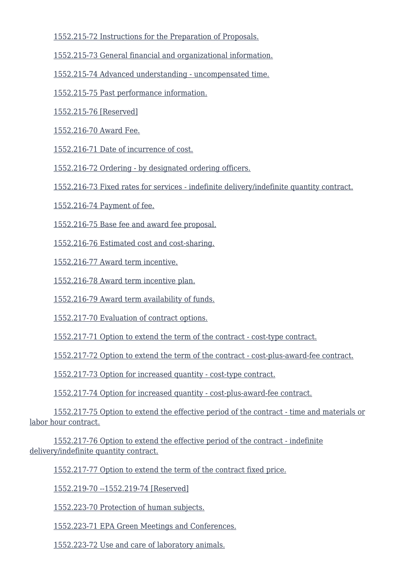[1552.215-72 Instructions for the Preparation of Proposals.](https://origin-www.acquisition.gov/%5Brp:link:epaar-part-1552%5D#Section_1552_215_72_T48_6018371125)

[1552.215-73 General financial and organizational information.](https://origin-www.acquisition.gov/%5Brp:link:epaar-part-1552%5D#Section_1552_215_73_T48_6018371126)

[1552.215-74 Advanced understanding - uncompensated time.](https://origin-www.acquisition.gov/%5Brp:link:epaar-part-1552%5D#Section_1552_215_74_T48_6018371127)

[1552.215-75 Past performance information.](https://origin-www.acquisition.gov/%5Brp:link:epaar-part-1552%5D#Section_1552_215_75_T48_6018371128)

[1552.215-76 \[Reserved\]](https://origin-www.acquisition.gov/%5Brp:link:epaar-part-1552%5D#Section_1552_215_76_T48_6018371129)

[1552.216-70 Award Fee.](https://origin-www.acquisition.gov/%5Brp:link:epaar-part-1552%5D#Section_1552_216_70_T48_6018371130)

[1552.216-71 Date of incurrence of cost.](https://origin-www.acquisition.gov/%5Brp:link:epaar-part-1552%5D#Section_1552_216_71_T48_6018371131)

[1552.216-72 Ordering - by designated ordering officers.](https://origin-www.acquisition.gov/%5Brp:link:epaar-part-1552%5D#Section_1552_216_72_T48_6018371132)

[1552.216-73 Fixed rates for services - indefinite delivery/indefinite quantity contract.](https://origin-www.acquisition.gov/%5Brp:link:epaar-part-1552%5D#Section_1552_216_73_T48_6018371133)

[1552.216-74 Payment of fee.](https://origin-www.acquisition.gov/%5Brp:link:epaar-part-1552%5D#Section_1552_216_74_T48_6018371134)

[1552.216-75 Base fee and award fee proposal.](https://origin-www.acquisition.gov/%5Brp:link:epaar-part-1552%5D#Section_1552_216_75_T48_6018371135)

[1552.216-76 Estimated cost and cost-sharing.](https://origin-www.acquisition.gov/%5Brp:link:epaar-part-1552%5D#Section_1552_216_76_T48_6018371136)

[1552.216-77 Award term incentive.](https://origin-www.acquisition.gov/%5Brp:link:epaar-part-1552%5D#Section_1552_216_77_T48_6018371137)

[1552.216-78 Award term incentive plan.](https://origin-www.acquisition.gov/%5Brp:link:epaar-part-1552%5D#Section_1552_216_78_T48_6018371138)

[1552.216-79 Award term availability of funds.](https://origin-www.acquisition.gov/%5Brp:link:epaar-part-1552%5D#Section_1552_216_79_T48_6018371139)

[1552.217-70 Evaluation of contract options.](https://origin-www.acquisition.gov/%5Brp:link:epaar-part-1552%5D#Section_1552_217_70_T48_6018371140)

[1552.217-71 Option to extend the term of the contract - cost-type contract.](https://origin-www.acquisition.gov/%5Brp:link:epaar-part-1552%5D#Section_1552_217_71_T48_6018371141)

[1552.217-72 Option to extend the term of the contract - cost-plus-award-fee contract.](https://origin-www.acquisition.gov/%5Brp:link:epaar-part-1552%5D#Section_1552_217_72_T48_6018371142)

[1552.217-73 Option for increased quantity - cost-type contract.](https://origin-www.acquisition.gov/%5Brp:link:epaar-part-1552%5D#Section_1552_217_73_T48_6018371143)

[1552.217-74 Option for increased quantity - cost-plus-award-fee contract.](https://origin-www.acquisition.gov/%5Brp:link:epaar-part-1552%5D#Section_1552_217_74_T48_6018371144)

 [1552.217-75 Option to extend the effective period of the contract - time and materials or](https://origin-www.acquisition.gov/%5Brp:link:epaar-part-1552%5D#Section_1552_217_75_T48_6018371145) [labor hour contract.](https://origin-www.acquisition.gov/%5Brp:link:epaar-part-1552%5D#Section_1552_217_75_T48_6018371145)

 [1552.217-76 Option to extend the effective period of the contract - indefinite](https://origin-www.acquisition.gov/%5Brp:link:epaar-part-1552%5D#Section_1552_217_76_T48_6018371146) [delivery/indefinite quantity contract.](https://origin-www.acquisition.gov/%5Brp:link:epaar-part-1552%5D#Section_1552_217_76_T48_6018371146)

[1552.217-77 Option to extend the term of the contract fixed price.](https://origin-www.acquisition.gov/%5Brp:link:epaar-part-1552%5D#Section_1552_217_77_T48_6018371147)

[1552.219-70 --1552.219-74 \[Reserved\]](https://origin-www.acquisition.gov/%5Brp:link:epaar-part-1552%5D#Section_1552_219_70_1552_219_74_T48_6018371148)

[1552.223-70 Protection of human subjects.](https://origin-www.acquisition.gov/%5Brp:link:epaar-part-1552%5D#Section_1552_223_70_T48_6018371149)

[1552.223-71 EPA Green Meetings and Conferences.](https://origin-www.acquisition.gov/%5Brp:link:epaar-part-1552%5D#Section_1552_223_71_T48_6018371150)

[1552.223-72 Use and care of laboratory animals.](https://origin-www.acquisition.gov/%5Brp:link:epaar-part-1552%5D#Section_1552_223_72_T48_6018371151)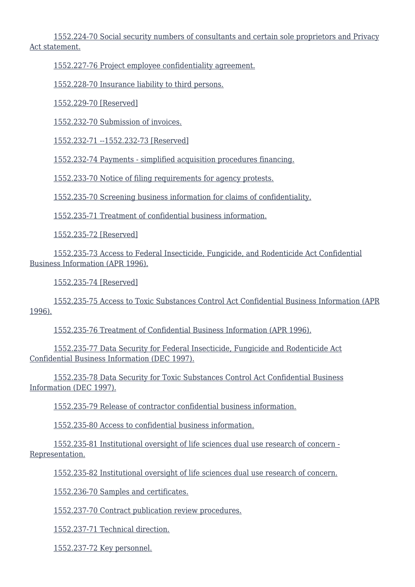[1552.224-70 Social security numbers of consultants and certain sole proprietors and Privacy](https://origin-www.acquisition.gov/%5Brp:link:epaar-part-1552%5D#Section_1552_224_70_T48_6018371152) [Act statement.](https://origin-www.acquisition.gov/%5Brp:link:epaar-part-1552%5D#Section_1552_224_70_T48_6018371152)

[1552.227-76 Project employee confidentiality agreement.](https://origin-www.acquisition.gov/%5Brp:link:epaar-part-1552%5D#Section_1552_227_76_T48_6018371153)

[1552.228-70 Insurance liability to third persons.](https://origin-www.acquisition.gov/%5Brp:link:epaar-part-1552%5D#Section_1552_228_70_T48_6018371154)

[1552.229-70 \[Reserved\]](https://origin-www.acquisition.gov/%5Brp:link:epaar-part-1552%5D#Section_1552_229_70_T48_6018371155)

[1552.232-70 Submission of invoices.](https://origin-www.acquisition.gov/%5Brp:link:epaar-part-1552%5D#Section_1552_232_70_T48_6018371156)

[1552.232-71 --1552.232-73 \[Reserved\]](https://origin-www.acquisition.gov/%5Brp:link:epaar-part-1552%5D#Section_1552_232_71_1552_232_73_T48_6018371157)

[1552.232-74 Payments - simplified acquisition procedures financing.](https://origin-www.acquisition.gov/%5Brp:link:epaar-part-1552%5D#Section_1552_232_74_T48_6018371158)

[1552.233-70 Notice of filing requirements for agency protests.](https://origin-www.acquisition.gov/%5Brp:link:epaar-part-1552%5D#Section_1552_233_70_T48_6018371159)

[1552.235-70 Screening business information for claims of confidentiality.](https://origin-www.acquisition.gov/%5Brp:link:epaar-part-1552%5D#Section_1552_235_70_T48_6018371160)

[1552.235-71 Treatment of confidential business information.](https://origin-www.acquisition.gov/%5Brp:link:epaar-part-1552%5D#Section_1552_235_71_T48_6018371161)

[1552.235-72 \[Reserved\]](https://origin-www.acquisition.gov/%5Brp:link:epaar-part-1552%5D#Section_1552_235_72_T48_6018371162)

 [1552.235-73 Access to Federal Insecticide, Fungicide, and Rodenticide Act Confidential](https://origin-www.acquisition.gov/%5Brp:link:epaar-part-1552%5D#Section_1552_235_73_T48_6018371163) [Business Information \(APR 1996\).](https://origin-www.acquisition.gov/%5Brp:link:epaar-part-1552%5D#Section_1552_235_73_T48_6018371163)

[1552.235-74 \[Reserved\]](https://origin-www.acquisition.gov/%5Brp:link:epaar-part-1552%5D#Section_1552_235_74_T48_6018371164)

 [1552.235-75 Access to Toxic Substances Control Act Confidential Business Information \(APR](https://origin-www.acquisition.gov/%5Brp:link:epaar-part-1552%5D#Section_1552_235_75_T48_6018371165) [1996\).](https://origin-www.acquisition.gov/%5Brp:link:epaar-part-1552%5D#Section_1552_235_75_T48_6018371165)

[1552.235-76 Treatment of Confidential Business Information \(APR 1996\).](https://origin-www.acquisition.gov/%5Brp:link:epaar-part-1552%5D#Section_1552_235_76_T48_6018371166)

 [1552.235-77 Data Security for Federal Insecticide, Fungicide and Rodenticide Act](https://origin-www.acquisition.gov/%5Brp:link:epaar-part-1552%5D#Section_1552_235_77_T48_6018371167) [Confidential Business Information \(DEC 1997\).](https://origin-www.acquisition.gov/%5Brp:link:epaar-part-1552%5D#Section_1552_235_77_T48_6018371167)

 [1552.235-78 Data Security for Toxic Substances Control Act Confidential Business](https://origin-www.acquisition.gov/%5Brp:link:epaar-part-1552%5D#Section_1552_235_78_T48_6018371168) [Information \(DEC 1997\).](https://origin-www.acquisition.gov/%5Brp:link:epaar-part-1552%5D#Section_1552_235_78_T48_6018371168)

[1552.235-79 Release of contractor confidential business information.](https://origin-www.acquisition.gov/%5Brp:link:epaar-part-1552%5D#Section_1552_235_79_T48_6018371169)

[1552.235-80 Access to confidential business information.](https://origin-www.acquisition.gov/%5Brp:link:epaar-part-1552%5D#Section_1552_235_80_T48_6018371170)

 [1552.235-81 Institutional oversight of life sciences dual use research of concern -](https://origin-www.acquisition.gov/%5Brp:link:epaar-part-1552%5D#Section_1552_235_81_T48_6018371171) [Representation.](https://origin-www.acquisition.gov/%5Brp:link:epaar-part-1552%5D#Section_1552_235_81_T48_6018371171)

[1552.235-82 Institutional oversight of life sciences dual use research of concern.](https://origin-www.acquisition.gov/%5Brp:link:epaar-part-1552%5D#Section_1552_235_82_T48_6018371172)

[1552.236-70 Samples and certificates.](https://origin-www.acquisition.gov/%5Brp:link:epaar-part-1552%5D#Section_1552_236_70_T48_6018371173)

[1552.237-70 Contract publication review procedures.](https://origin-www.acquisition.gov/%5Brp:link:epaar-part-1552%5D#Section_1552_237_70_T48_6018371174)

[1552.237-71 Technical direction.](https://origin-www.acquisition.gov/%5Brp:link:epaar-part-1552%5D#Section_1552_237_71_T48_6018371175)

[1552.237-72 Key personnel.](https://origin-www.acquisition.gov/%5Brp:link:epaar-part-1552%5D#Section_1552_237_72_T48_6018371176)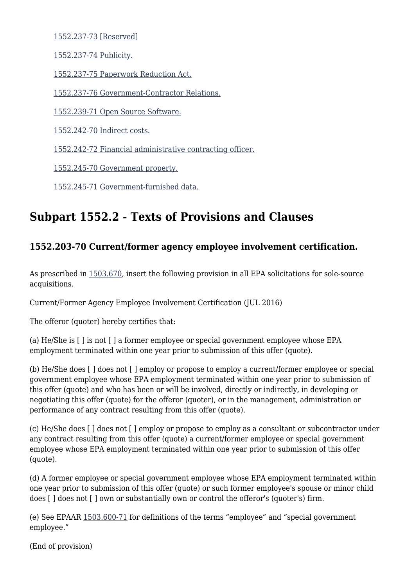[1552.237-73 \[Reserved\]](https://origin-www.acquisition.gov/%5Brp:link:epaar-part-1552%5D#Section_1552_237_73_T48_6018371177)

[1552.237-74 Publicity.](https://origin-www.acquisition.gov/%5Brp:link:epaar-part-1552%5D#Section_1552_237_74_T48_6018371178)

[1552.237-75 Paperwork Reduction Act.](https://origin-www.acquisition.gov/%5Brp:link:epaar-part-1552%5D#Section_1552_237_75_T48_6018371179)

[1552.237-76 Government-Contractor Relations.](https://origin-www.acquisition.gov/%5Brp:link:epaar-part-1552%5D#Section_1552_237_76_T48_6018371180)

[1552.239-71 Open Source Software.](https://origin-www.acquisition.gov/%5Brp:link:epaar-part-1552%5D#Section_1552_239_71)

[1552.242-70 Indirect costs.](https://origin-www.acquisition.gov/%5Brp:link:epaar-part-1552%5D#Section_1552_242_70_T48_6018371181)

[1552.242-72 Financial administrative contracting officer.](https://origin-www.acquisition.gov/%5Brp:link:epaar-part-1552%5D#Section_1552_242_72_T48_6018371182)

[1552.245-70 Government property.](https://origin-www.acquisition.gov/%5Brp:link:epaar-part-1552%5D#Section_1552_245_70_T48_6018371183)

[1552.245-71 Government-furnished data.](https://origin-www.acquisition.gov/%5Brp:link:epaar-part-1552%5D#Section_1552_245_71_T48_6018371184)

## **Subpart 1552.2 - Texts of Provisions and Clauses**

## **1552.203-70 Current/former agency employee involvement certification.**

As prescribed in [1503.670,](https://origin-www.acquisition.gov/%5Brp:link:epaar-part-1503%5D#Section_1503_670_T48_60114215) insert the following provision in all EPA solicitations for sole-source acquisitions.

Current/Former Agency Employee Involvement Certification (JUL 2016)

The offeror (quoter) hereby certifies that:

(a) He/She is [ ] is not [ ] a former employee or special government employee whose EPA employment terminated within one year prior to submission of this offer (quote).

(b) He/She does [ ] does not [ ] employ or propose to employ a current/former employee or special government employee whose EPA employment terminated within one year prior to submission of this offer (quote) and who has been or will be involved, directly or indirectly, in developing or negotiating this offer (quote) for the offeror (quoter), or in the management, administration or performance of any contract resulting from this offer (quote).

(c) He/She does [ ] does not [ ] employ or propose to employ as a consultant or subcontractor under any contract resulting from this offer (quote) a current/former employee or special government employee whose EPA employment terminated within one year prior to submission of this offer (quote).

(d) A former employee or special government employee whose EPA employment terminated within one year prior to submission of this offer (quote) or such former employee's spouse or minor child does [ ] does not [ ] own or substantially own or control the offeror's (quoter's) firm.

(e) See EPAAR [1503.600-71](https://origin-www.acquisition.gov/%5Brp:link:epaar-part-1503%5D#Section_1503_600_71_T48_60114212) for definitions of the terms "employee" and "special government employee."

(End of provision)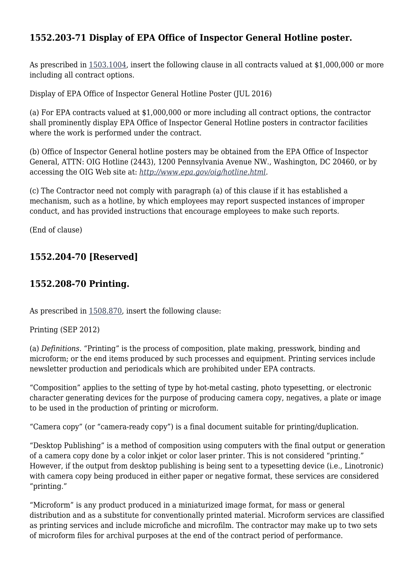## **1552.203-71 Display of EPA Office of Inspector General Hotline poster.**

As prescribed in [1503.1004](https://origin-www.acquisition.gov/%5Brp:link:epaar-part-1503%5D#Section_1503_1004_T48_60114413), insert the following clause in all contracts valued at \$1,000,000 or more including all contract options.

Display of EPA Office of Inspector General Hotline Poster (JUL 2016)

(a) For EPA contracts valued at \$1,000,000 or more including all contract options, the contractor shall prominently display EPA Office of Inspector General Hotline posters in contractor facilities where the work is performed under the contract.

(b) Office of Inspector General hotline posters may be obtained from the EPA Office of Inspector General, ATTN: OIG Hotline (2443), 1200 Pennsylvania Avenue NW., Washington, DC 20460, or by accessing the OIG Web site at: *<http://www.epa.gov/oig/hotline.html>.*

(c) The Contractor need not comply with paragraph (a) of this clause if it has established a mechanism, such as a hotline, by which employees may report suspected instances of improper conduct, and has provided instructions that encourage employees to make such reports.

(End of clause)

## **1552.204-70 [Reserved]**

#### **1552.208-70 Printing.**

As prescribed in [1508.870,](https://origin-www.acquisition.gov/%5Brp:link:epaar-part-1508%5D#Section_1508_870_T48_60128111) insert the following clause:

Printing (SEP 2012)

(a) *Definitions.* "Printing" is the process of composition, plate making, presswork, binding and microform; or the end items produced by such processes and equipment. Printing services include newsletter production and periodicals which are prohibited under EPA contracts.

"Composition" applies to the setting of type by hot-metal casting, photo typesetting, or electronic character generating devices for the purpose of producing camera copy, negatives, a plate or image to be used in the production of printing or microform.

"Camera copy" (or "camera-ready copy") is a final document suitable for printing/duplication.

"Desktop Publishing" is a method of composition using computers with the final output or generation of a camera copy done by a color inkjet or color laser printer. This is not considered "printing." However, if the output from desktop publishing is being sent to a typesetting device (i.e., Linotronic) with camera copy being produced in either paper or negative format, these services are considered "printing."

"Microform" is any product produced in a miniaturized image format, for mass or general distribution and as a substitute for conventionally printed material. Microform services are classified as printing services and include microfiche and microfilm. The contractor may make up to two sets of microform files for archival purposes at the end of the contract period of performance.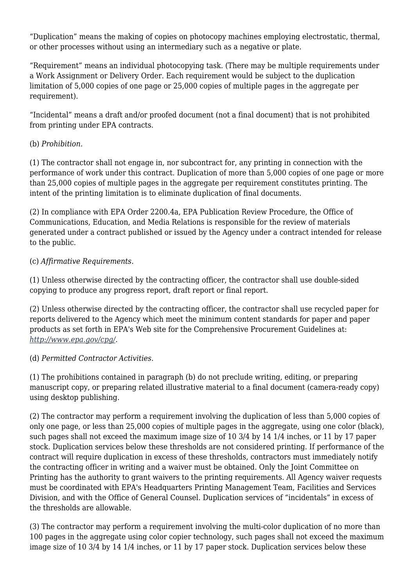"Duplication" means the making of copies on photocopy machines employing electrostatic, thermal, or other processes without using an intermediary such as a negative or plate.

"Requirement" means an individual photocopying task. (There may be multiple requirements under a Work Assignment or Delivery Order. Each requirement would be subject to the duplication limitation of 5,000 copies of one page or 25,000 copies of multiple pages in the aggregate per requirement).

"Incidental" means a draft and/or proofed document (not a final document) that is not prohibited from printing under EPA contracts.

#### (b) *Prohibition.*

(1) The contractor shall not engage in, nor subcontract for, any printing in connection with the performance of work under this contract. Duplication of more than 5,000 copies of one page or more than 25,000 copies of multiple pages in the aggregate per requirement constitutes printing. The intent of the printing limitation is to eliminate duplication of final documents.

(2) In compliance with EPA Order 2200.4a, EPA Publication Review Procedure, the Office of Communications, Education, and Media Relations is responsible for the review of materials generated under a contract published or issued by the Agency under a contract intended for release to the public.

#### (c) *Affirmative Requirements.*

(1) Unless otherwise directed by the contracting officer, the contractor shall use double-sided copying to produce any progress report, draft report or final report.

(2) Unless otherwise directed by the contracting officer, the contractor shall use recycled paper for reports delivered to the Agency which meet the minimum content standards for paper and paper products as set forth in EPA's Web site for the Comprehensive Procurement Guidelines at: *[http://www.epa.gov/cpg/.](http://www.epa.gov/cpg/)*

#### (d) *Permitted Contractor Activities.*

(1) The prohibitions contained in paragraph (b) do not preclude writing, editing, or preparing manuscript copy, or preparing related illustrative material to a final document (camera-ready copy) using desktop publishing.

(2) The contractor may perform a requirement involving the duplication of less than 5,000 copies of only one page, or less than 25,000 copies of multiple pages in the aggregate, using one color (black), such pages shall not exceed the maximum image size of 10 3/4 by 14 1/4 inches, or 11 by 17 paper stock. Duplication services below these thresholds are not considered printing. If performance of the contract will require duplication in excess of these thresholds, contractors must immediately notify the contracting officer in writing and a waiver must be obtained. Only the Joint Committee on Printing has the authority to grant waivers to the printing requirements. All Agency waiver requests must be coordinated with EPA's Headquarters Printing Management Team, Facilities and Services Division, and with the Office of General Counsel. Duplication services of "incidentals" in excess of the thresholds are allowable.

(3) The contractor may perform a requirement involving the multi-color duplication of no more than 100 pages in the aggregate using color copier technology, such pages shall not exceed the maximum image size of 10 3/4 by 14 1/4 inches, or 11 by 17 paper stock. Duplication services below these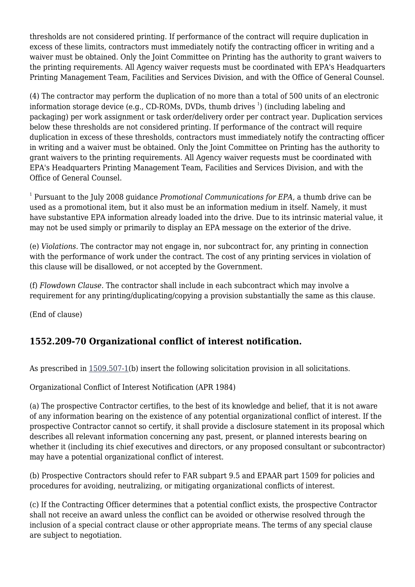thresholds are not considered printing. If performance of the contract will require duplication in excess of these limits, contractors must immediately notify the contracting officer in writing and a waiver must be obtained. Only the Joint Committee on Printing has the authority to grant waivers to the printing requirements. All Agency waiver requests must be coordinated with EPA's Headquarters Printing Management Team, Facilities and Services Division, and with the Office of General Counsel.

(4) The contractor may perform the duplication of no more than a total of 500 units of an electronic information storage device (e.g., CD-ROMs, DVDs, thumb drives  $^{\rm l}$ ) (including labeling and packaging) per work assignment or task order/delivery order per contract year. Duplication services below these thresholds are not considered printing. If performance of the contract will require duplication in excess of these thresholds, contractors must immediately notify the contracting officer in writing and a waiver must be obtained. Only the Joint Committee on Printing has the authority to grant waivers to the printing requirements. All Agency waiver requests must be coordinated with EPA's Headquarters Printing Management Team, Facilities and Services Division, and with the Office of General Counsel.

1 Pursuant to the July 2008 guidance *Promotional Communications for EPA,* a thumb drive can be used as a promotional item, but it also must be an information medium in itself. Namely, it must have substantive EPA information already loaded into the drive. Due to its intrinsic material value, it may not be used simply or primarily to display an EPA message on the exterior of the drive.

(e) *Violations.* The contractor may not engage in, nor subcontract for, any printing in connection with the performance of work under the contract. The cost of any printing services in violation of this clause will be disallowed, or not accepted by the Government.

(f) *Flowdown Clause.* The contractor shall include in each subcontract which may involve a requirement for any printing/duplicating/copying a provision substantially the same as this clause.

(End of clause)

## **1552.209-70 Organizational conflict of interest notification.**

As prescribed in [1509.507-1\(](https://origin-www.acquisition.gov/%5Brp:link:epaar-part-1509%5D#Section_1509_507_1_T48_60129216)b) insert the following solicitation provision in all solicitations.

Organizational Conflict of Interest Notification (APR 1984)

(a) The prospective Contractor certifies, to the best of its knowledge and belief, that it is not aware of any information bearing on the existence of any potential organizational conflict of interest. If the prospective Contractor cannot so certify, it shall provide a disclosure statement in its proposal which describes all relevant information concerning any past, present, or planned interests bearing on whether it (including its chief executives and directors, or any proposed consultant or subcontractor) may have a potential organizational conflict of interest.

(b) Prospective Contractors should refer to FAR subpart 9.5 and EPAAR part 1509 for policies and procedures for avoiding, neutralizing, or mitigating organizational conflicts of interest.

(c) If the Contracting Officer determines that a potential conflict exists, the prospective Contractor shall not receive an award unless the conflict can be avoided or otherwise resolved through the inclusion of a special contract clause or other appropriate means. The terms of any special clause are subject to negotiation.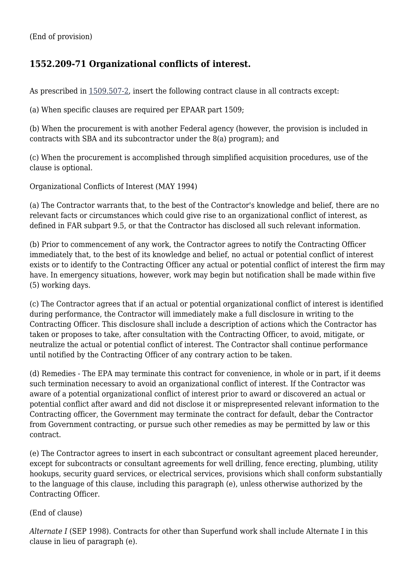## **1552.209-71 Organizational conflicts of interest.**

As prescribed in [1509.507-2,](https://origin-www.acquisition.gov/%5Brp:link:epaar-part-1509%5D#Section_1509_507_2_T48_60129217) insert the following contract clause in all contracts except:

(a) When specific clauses are required per EPAAR part 1509;

(b) When the procurement is with another Federal agency (however, the provision is included in contracts with SBA and its subcontractor under the 8(a) program); and

(c) When the procurement is accomplished through simplified acquisition procedures, use of the clause is optional.

Organizational Conflicts of Interest (MAY 1994)

(a) The Contractor warrants that, to the best of the Contractor's knowledge and belief, there are no relevant facts or circumstances which could give rise to an organizational conflict of interest, as defined in FAR subpart 9.5, or that the Contractor has disclosed all such relevant information.

(b) Prior to commencement of any work, the Contractor agrees to notify the Contracting Officer immediately that, to the best of its knowledge and belief, no actual or potential conflict of interest exists or to identify to the Contracting Officer any actual or potential conflict of interest the firm may have. In emergency situations, however, work may begin but notification shall be made within five (5) working days.

(c) The Contractor agrees that if an actual or potential organizational conflict of interest is identified during performance, the Contractor will immediately make a full disclosure in writing to the Contracting Officer. This disclosure shall include a description of actions which the Contractor has taken or proposes to take, after consultation with the Contracting Officer, to avoid, mitigate, or neutralize the actual or potential conflict of interest. The Contractor shall continue performance until notified by the Contracting Officer of any contrary action to be taken.

(d) Remedies - The EPA may terminate this contract for convenience, in whole or in part, if it deems such termination necessary to avoid an organizational conflict of interest. If the Contractor was aware of a potential organizational conflict of interest prior to award or discovered an actual or potential conflict after award and did not disclose it or misprepresented relevant information to the Contracting officer, the Government may terminate the contract for default, debar the Contractor from Government contracting, or pursue such other remedies as may be permitted by law or this contract.

(e) The Contractor agrees to insert in each subcontract or consultant agreement placed hereunder, except for subcontracts or consultant agreements for well drilling, fence erecting, plumbing, utility hookups, security guard services, or electrical services, provisions which shall conform substantially to the language of this clause, including this paragraph (e), unless otherwise authorized by the Contracting Officer.

#### (End of clause)

*Alternate I* (SEP 1998). Contracts for other than Superfund work shall include Alternate I in this clause in lieu of paragraph (e).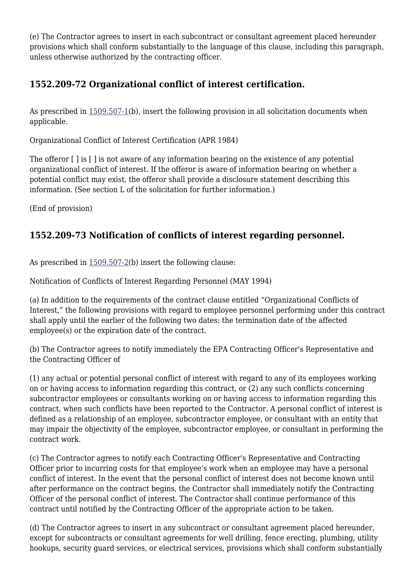(e) The Contractor agrees to insert in each subcontract or consultant agreement placed hereunder provisions which shall conform substantially to the language of this clause, including this paragraph, unless otherwise authorized by the contracting officer.

## **1552.209-72 Organizational conflict of interest certification.**

As prescribed in [1509.507-1\(](https://origin-www.acquisition.gov/%5Brp:link:epaar-part-1509%5D#Section_1509_507_1_T48_60129216)b), insert the following provision in all solicitation documents when applicable.

Organizational Conflict of Interest Certification (APR 1984)

The offeror  $\lceil \cdot \rceil$  is  $\lceil \cdot \rceil$  is not aware of any information bearing on the existence of any potential organizational conflict of interest. If the offeror is aware of information bearing on whether a potential conflict may exist, the offeror shall provide a disclosure statement describing this information. (See section L of the solicitation for further information.)

(End of provision)

## **1552.209-73 Notification of conflicts of interest regarding personnel.**

As prescribed in [1509.507-2\(](https://origin-www.acquisition.gov/%5Brp:link:epaar-part-1509%5D#Section_1509_507_2_T48_60129217)b) insert the following clause:

Notification of Conflicts of Interest Regarding Personnel (MAY 1994)

(a) In addition to the requirements of the contract clause entitled "Organizational Conflicts of Interest," the following provisions with regard to employee personnel performing under this contract shall apply until the earlier of the following two dates: the termination date of the affected employee(s) or the expiration date of the contract.

(b) The Contractor agrees to notify immediately the EPA Contracting Officer's Representative and the Contracting Officer of

(1) any actual or potential personal conflict of interest with regard to any of its employees working on or having access to information regarding this contract, or (2) any such conflicts concerning subcontractor employees or consultants working on or having access to information regarding this contract, when such conflicts have been reported to the Contractor. A personal conflict of interest is defined as a relationship of an employee, subcontractor employee, or consultant with an entity that may impair the objectivity of the employee, subcontractor employee, or consultant in performing the contract work.

(c) The Contractor agrees to notify each Contracting Officer's Representative and Contracting Officer prior to incurring costs for that employee's work when an employee may have a personal conflict of interest. In the event that the personal conflict of interest does not become known until after performance on the contract begins, the Contractor shall immediately notify the Contracting Officer of the personal conflict of interest. The Contractor shall continue performance of this contract until notified by the Contracting Officer of the appropriate action to be taken.

(d) The Contractor agrees to insert in any subcontract or consultant agreement placed hereunder, except for subcontracts or consultant agreements for well drilling, fence erecting, plumbing, utility hookups, security guard services, or electrical services, provisions which shall conform substantially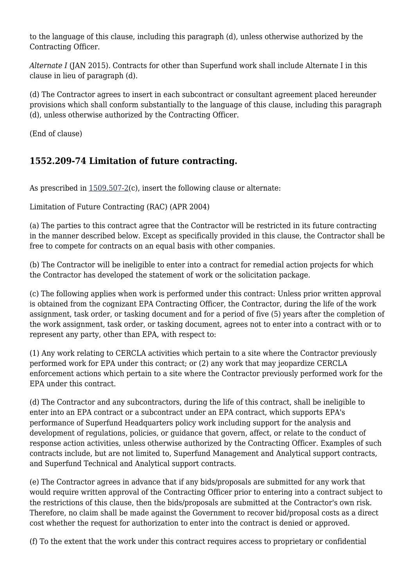to the language of this clause, including this paragraph (d), unless otherwise authorized by the Contracting Officer.

*Alternate I* (JAN 2015). Contracts for other than Superfund work shall include Alternate I in this clause in lieu of paragraph (d).

(d) The Contractor agrees to insert in each subcontract or consultant agreement placed hereunder provisions which shall conform substantially to the language of this clause, including this paragraph (d), unless otherwise authorized by the Contracting Officer.

(End of clause)

## **1552.209-74 Limitation of future contracting.**

As prescribed in  $1509.507-2(c)$  $1509.507-2(c)$ , insert the following clause or alternate:

Limitation of Future Contracting (RAC) (APR 2004)

(a) The parties to this contract agree that the Contractor will be restricted in its future contracting in the manner described below. Except as specifically provided in this clause, the Contractor shall be free to compete for contracts on an equal basis with other companies.

(b) The Contractor will be ineligible to enter into a contract for remedial action projects for which the Contractor has developed the statement of work or the solicitation package.

(c) The following applies when work is performed under this contract: Unless prior written approval is obtained from the cognizant EPA Contracting Officer, the Contractor, during the life of the work assignment, task order, or tasking document and for a period of five (5) years after the completion of the work assignment, task order, or tasking document, agrees not to enter into a contract with or to represent any party, other than EPA, with respect to:

(1) Any work relating to CERCLA activities which pertain to a site where the Contractor previously performed work for EPA under this contract; or (2) any work that may jeopardize CERCLA enforcement actions which pertain to a site where the Contractor previously performed work for the EPA under this contract.

(d) The Contractor and any subcontractors, during the life of this contract, shall be ineligible to enter into an EPA contract or a subcontract under an EPA contract, which supports EPA's performance of Superfund Headquarters policy work including support for the analysis and development of regulations, policies, or guidance that govern, affect, or relate to the conduct of response action activities, unless otherwise authorized by the Contracting Officer. Examples of such contracts include, but are not limited to, Superfund Management and Analytical support contracts, and Superfund Technical and Analytical support contracts.

(e) The Contractor agrees in advance that if any bids/proposals are submitted for any work that would require written approval of the Contracting Officer prior to entering into a contract subject to the restrictions of this clause, then the bids/proposals are submitted at the Contractor's own risk. Therefore, no claim shall be made against the Government to recover bid/proposal costs as a direct cost whether the request for authorization to enter into the contract is denied or approved.

(f) To the extent that the work under this contract requires access to proprietary or confidential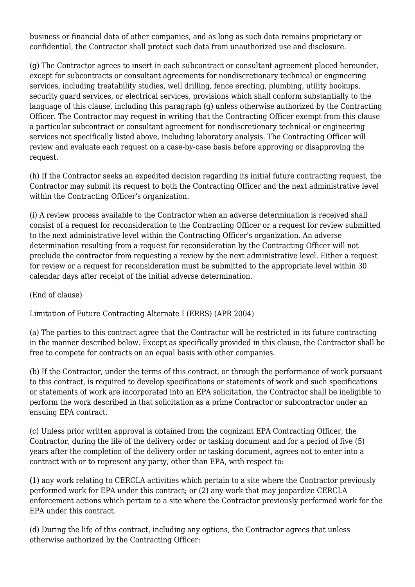business or financial data of other companies, and as long as such data remains proprietary or confidential, the Contractor shall protect such data from unauthorized use and disclosure.

(g) The Contractor agrees to insert in each subcontract or consultant agreement placed hereunder, except for subcontracts or consultant agreements for nondiscretionary technical or engineering services, including treatability studies, well drilling, fence erecting, plumbing, utility hookups, security guard services, or electrical services, provisions which shall conform substantially to the language of this clause, including this paragraph (g) unless otherwise authorized by the Contracting Officer. The Contractor may request in writing that the Contracting Officer exempt from this clause a particular subcontract or consultant agreement for nondiscretionary technical or engineering services not specifically listed above, including laboratory analysis. The Contracting Officer will review and evaluate each request on a case-by-case basis before approving or disapproving the request.

(h) If the Contractor seeks an expedited decision regarding its initial future contracting request, the Contractor may submit its request to both the Contracting Officer and the next administrative level within the Contracting Officer's organization.

(i) A review process available to the Contractor when an adverse determination is received shall consist of a request for reconsideration to the Contracting Officer or a request for review submitted to the next administrative level within the Contracting Officer's organization. An adverse determination resulting from a request for reconsideration by the Contracting Officer will not preclude the contractor from requesting a review by the next administrative level. Either a request for review or a request for reconsideration must be submitted to the appropriate level within 30 calendar days after receipt of the initial adverse determination.

(End of clause)

Limitation of Future Contracting Alternate I (ERRS) (APR 2004)

(a) The parties to this contract agree that the Contractor will be restricted in its future contracting in the manner described below. Except as specifically provided in this clause, the Contractor shall be free to compete for contracts on an equal basis with other companies.

(b) If the Contractor, under the terms of this contract, or through the performance of work pursuant to this contract, is required to develop specifications or statements of work and such specifications or statements of work are incorporated into an EPA solicitation, the Contractor shall be ineligible to perform the work described in that solicitation as a prime Contractor or subcontractor under an ensuing EPA contract.

(c) Unless prior written approval is obtained from the cognizant EPA Contracting Officer, the Contractor, during the life of the delivery order or tasking document and for a period of five (5) years after the completion of the delivery order or tasking document, agrees not to enter into a contract with or to represent any party, other than EPA, with respect to:

(1) any work relating to CERCLA activities which pertain to a site where the Contractor previously performed work for EPA under this contract; or (2) any work that may jeopardize CERCLA enforcement actions which pertain to a site where the Contractor previously performed work for the EPA under this contract.

(d) During the life of this contract, including any options, the Contractor agrees that unless otherwise authorized by the Contracting Officer: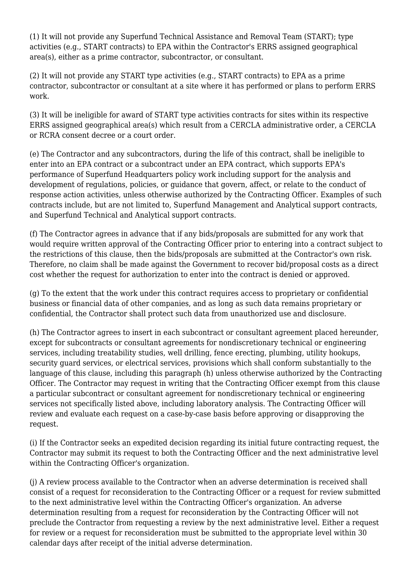(1) It will not provide any Superfund Technical Assistance and Removal Team (START); type activities (e.g., START contracts) to EPA within the Contractor's ERRS assigned geographical area(s), either as a prime contractor, subcontractor, or consultant.

(2) It will not provide any START type activities (e.g., START contracts) to EPA as a prime contractor, subcontractor or consultant at a site where it has performed or plans to perform ERRS work.

(3) It will be ineligible for award of START type activities contracts for sites within its respective ERRS assigned geographical area(s) which result from a CERCLA administrative order, a CERCLA or RCRA consent decree or a court order.

(e) The Contractor and any subcontractors, during the life of this contract, shall be ineligible to enter into an EPA contract or a subcontract under an EPA contract, which supports EPA's performance of Superfund Headquarters policy work including support for the analysis and development of regulations, policies, or guidance that govern, affect, or relate to the conduct of response action activities, unless otherwise authorized by the Contracting Officer. Examples of such contracts include, but are not limited to, Superfund Management and Analytical support contracts, and Superfund Technical and Analytical support contracts.

(f) The Contractor agrees in advance that if any bids/proposals are submitted for any work that would require written approval of the Contracting Officer prior to entering into a contract subject to the restrictions of this clause, then the bids/proposals are submitted at the Contractor's own risk. Therefore, no claim shall be made against the Government to recover bid/proposal costs as a direct cost whether the request for authorization to enter into the contract is denied or approved.

(g) To the extent that the work under this contract requires access to proprietary or confidential business or financial data of other companies, and as long as such data remains proprietary or confidential, the Contractor shall protect such data from unauthorized use and disclosure.

(h) The Contractor agrees to insert in each subcontract or consultant agreement placed hereunder, except for subcontracts or consultant agreements for nondiscretionary technical or engineering services, including treatability studies, well drilling, fence erecting, plumbing, utility hookups, security guard services, or electrical services, provisions which shall conform substantially to the language of this clause, including this paragraph (h) unless otherwise authorized by the Contracting Officer. The Contractor may request in writing that the Contracting Officer exempt from this clause a particular subcontract or consultant agreement for nondiscretionary technical or engineering services not specifically listed above, including laboratory analysis. The Contracting Officer will review and evaluate each request on a case-by-case basis before approving or disapproving the request.

(i) If the Contractor seeks an expedited decision regarding its initial future contracting request, the Contractor may submit its request to both the Contracting Officer and the next administrative level within the Contracting Officer's organization.

(j) A review process available to the Contractor when an adverse determination is received shall consist of a request for reconsideration to the Contracting Officer or a request for review submitted to the next administrative level within the Contracting Officer's organization. An adverse determination resulting from a request for reconsideration by the Contracting Officer will not preclude the Contractor from requesting a review by the next administrative level. Either a request for review or a request for reconsideration must be submitted to the appropriate level within 30 calendar days after receipt of the initial adverse determination.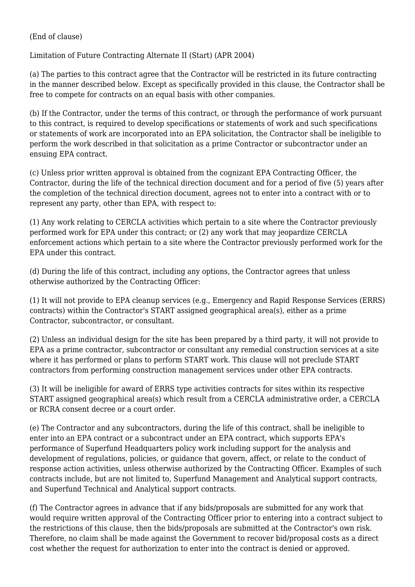#### (End of clause)

Limitation of Future Contracting Alternate II (Start) (APR 2004)

(a) The parties to this contract agree that the Contractor will be restricted in its future contracting in the manner described below. Except as specifically provided in this clause, the Contractor shall be free to compete for contracts on an equal basis with other companies.

(b) If the Contractor, under the terms of this contract, or through the performance of work pursuant to this contract, is required to develop specifications or statements of work and such specifications or statements of work are incorporated into an EPA solicitation, the Contractor shall be ineligible to perform the work described in that solicitation as a prime Contractor or subcontractor under an ensuing EPA contract.

(c) Unless prior written approval is obtained from the cognizant EPA Contracting Officer, the Contractor, during the life of the technical direction document and for a period of five (5) years after the completion of the technical direction document, agrees not to enter into a contract with or to represent any party, other than EPA, with respect to:

(1) Any work relating to CERCLA activities which pertain to a site where the Contractor previously performed work for EPA under this contract; or (2) any work that may jeopardize CERCLA enforcement actions which pertain to a site where the Contractor previously performed work for the EPA under this contract.

(d) During the life of this contract, including any options, the Contractor agrees that unless otherwise authorized by the Contracting Officer:

(1) It will not provide to EPA cleanup services (e.g., Emergency and Rapid Response Services (ERRS) contracts) within the Contractor's START assigned geographical area(s), either as a prime Contractor, subcontractor, or consultant.

(2) Unless an individual design for the site has been prepared by a third party, it will not provide to EPA as a prime contractor, subcontractor or consultant any remedial construction services at a site where it has performed or plans to perform START work. This clause will not preclude START contractors from performing construction management services under other EPA contracts.

(3) It will be ineligible for award of ERRS type activities contracts for sites within its respective START assigned geographical area(s) which result from a CERCLA administrative order, a CERCLA or RCRA consent decree or a court order.

(e) The Contractor and any subcontractors, during the life of this contract, shall be ineligible to enter into an EPA contract or a subcontract under an EPA contract, which supports EPA's performance of Superfund Headquarters policy work including support for the analysis and development of regulations, policies, or guidance that govern, affect, or relate to the conduct of response action activities, unless otherwise authorized by the Contracting Officer. Examples of such contracts include, but are not limited to, Superfund Management and Analytical support contracts, and Superfund Technical and Analytical support contracts.

(f) The Contractor agrees in advance that if any bids/proposals are submitted for any work that would require written approval of the Contracting Officer prior to entering into a contract subject to the restrictions of this clause, then the bids/proposals are submitted at the Contractor's own risk. Therefore, no claim shall be made against the Government to recover bid/proposal costs as a direct cost whether the request for authorization to enter into the contract is denied or approved.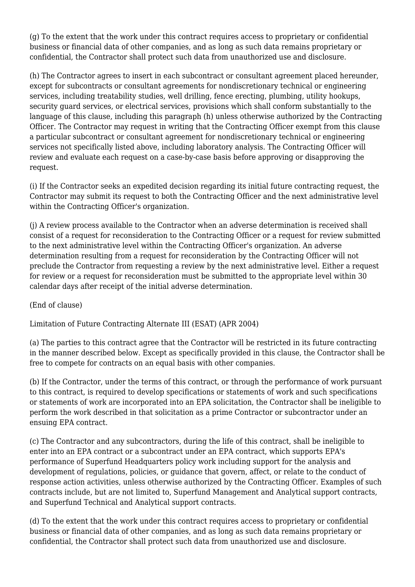(g) To the extent that the work under this contract requires access to proprietary or confidential business or financial data of other companies, and as long as such data remains proprietary or confidential, the Contractor shall protect such data from unauthorized use and disclosure.

(h) The Contractor agrees to insert in each subcontract or consultant agreement placed hereunder, except for subcontracts or consultant agreements for nondiscretionary technical or engineering services, including treatability studies, well drilling, fence erecting, plumbing, utility hookups, security guard services, or electrical services, provisions which shall conform substantially to the language of this clause, including this paragraph (h) unless otherwise authorized by the Contracting Officer. The Contractor may request in writing that the Contracting Officer exempt from this clause a particular subcontract or consultant agreement for nondiscretionary technical or engineering services not specifically listed above, including laboratory analysis. The Contracting Officer will review and evaluate each request on a case-by-case basis before approving or disapproving the request.

(i) If the Contractor seeks an expedited decision regarding its initial future contracting request, the Contractor may submit its request to both the Contracting Officer and the next administrative level within the Contracting Officer's organization.

(j) A review process available to the Contractor when an adverse determination is received shall consist of a request for reconsideration to the Contracting Officer or a request for review submitted to the next administrative level within the Contracting Officer's organization. An adverse determination resulting from a request for reconsideration by the Contracting Officer will not preclude the Contractor from requesting a review by the next administrative level. Either a request for review or a request for reconsideration must be submitted to the appropriate level within 30 calendar days after receipt of the initial adverse determination.

(End of clause)

Limitation of Future Contracting Alternate III (ESAT) (APR 2004)

(a) The parties to this contract agree that the Contractor will be restricted in its future contracting in the manner described below. Except as specifically provided in this clause, the Contractor shall be free to compete for contracts on an equal basis with other companies.

(b) If the Contractor, under the terms of this contract, or through the performance of work pursuant to this contract, is required to develop specifications or statements of work and such specifications or statements of work are incorporated into an EPA solicitation, the Contractor shall be ineligible to perform the work described in that solicitation as a prime Contractor or subcontractor under an ensuing EPA contract.

(c) The Contractor and any subcontractors, during the life of this contract, shall be ineligible to enter into an EPA contract or a subcontract under an EPA contract, which supports EPA's performance of Superfund Headquarters policy work including support for the analysis and development of regulations, policies, or guidance that govern, affect, or relate to the conduct of response action activities, unless otherwise authorized by the Contracting Officer. Examples of such contracts include, but are not limited to, Superfund Management and Analytical support contracts, and Superfund Technical and Analytical support contracts.

(d) To the extent that the work under this contract requires access to proprietary or confidential business or financial data of other companies, and as long as such data remains proprietary or confidential, the Contractor shall protect such data from unauthorized use and disclosure.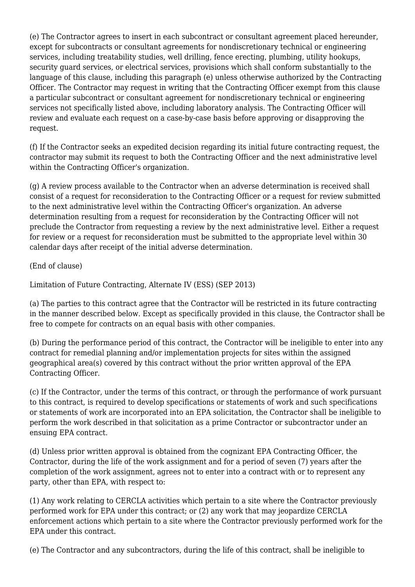(e) The Contractor agrees to insert in each subcontract or consultant agreement placed hereunder, except for subcontracts or consultant agreements for nondiscretionary technical or engineering services, including treatability studies, well drilling, fence erecting, plumbing, utility hookups, security guard services, or electrical services, provisions which shall conform substantially to the language of this clause, including this paragraph (e) unless otherwise authorized by the Contracting Officer. The Contractor may request in writing that the Contracting Officer exempt from this clause a particular subcontract or consultant agreement for nondiscretionary technical or engineering services not specifically listed above, including laboratory analysis. The Contracting Officer will review and evaluate each request on a case-by-case basis before approving or disapproving the request.

(f) If the Contractor seeks an expedited decision regarding its initial future contracting request, the contractor may submit its request to both the Contracting Officer and the next administrative level within the Contracting Officer's organization.

(g) A review process available to the Contractor when an adverse determination is received shall consist of a request for reconsideration to the Contracting Officer or a request for review submitted to the next administrative level within the Contracting Officer's organization. An adverse determination resulting from a request for reconsideration by the Contracting Officer will not preclude the Contractor from requesting a review by the next administrative level. Either a request for review or a request for reconsideration must be submitted to the appropriate level within 30 calendar days after receipt of the initial adverse determination.

(End of clause)

Limitation of Future Contracting, Alternate IV (ESS) (SEP 2013)

(a) The parties to this contract agree that the Contractor will be restricted in its future contracting in the manner described below. Except as specifically provided in this clause, the Contractor shall be free to compete for contracts on an equal basis with other companies.

(b) During the performance period of this contract, the Contractor will be ineligible to enter into any contract for remedial planning and/or implementation projects for sites within the assigned geographical area(s) covered by this contract without the prior written approval of the EPA Contracting Officer.

(c) If the Contractor, under the terms of this contract, or through the performance of work pursuant to this contract, is required to develop specifications or statements of work and such specifications or statements of work are incorporated into an EPA solicitation, the Contractor shall be ineligible to perform the work described in that solicitation as a prime Contractor or subcontractor under an ensuing EPA contract.

(d) Unless prior written approval is obtained from the cognizant EPA Contracting Officer, the Contractor, during the life of the work assignment and for a period of seven (7) years after the completion of the work assignment, agrees not to enter into a contract with or to represent any party, other than EPA, with respect to:

(1) Any work relating to CERCLA activities which pertain to a site where the Contractor previously performed work for EPA under this contract; or (2) any work that may jeopardize CERCLA enforcement actions which pertain to a site where the Contractor previously performed work for the EPA under this contract.

(e) The Contractor and any subcontractors, during the life of this contract, shall be ineligible to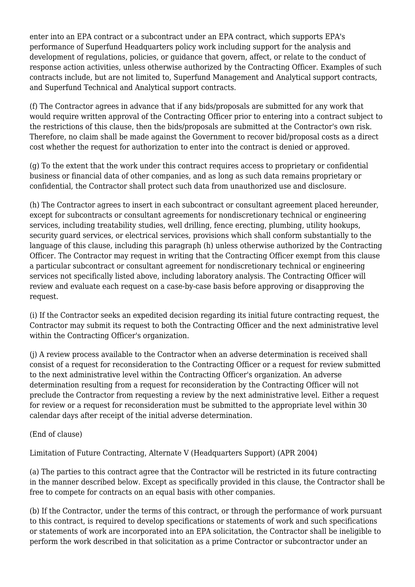enter into an EPA contract or a subcontract under an EPA contract, which supports EPA's performance of Superfund Headquarters policy work including support for the analysis and development of regulations, policies, or guidance that govern, affect, or relate to the conduct of response action activities, unless otherwise authorized by the Contracting Officer. Examples of such contracts include, but are not limited to, Superfund Management and Analytical support contracts, and Superfund Technical and Analytical support contracts.

(f) The Contractor agrees in advance that if any bids/proposals are submitted for any work that would require written approval of the Contracting Officer prior to entering into a contract subject to the restrictions of this clause, then the bids/proposals are submitted at the Contractor's own risk. Therefore, no claim shall be made against the Government to recover bid/proposal costs as a direct cost whether the request for authorization to enter into the contract is denied or approved.

(g) To the extent that the work under this contract requires access to proprietary or confidential business or financial data of other companies, and as long as such data remains proprietary or confidential, the Contractor shall protect such data from unauthorized use and disclosure.

(h) The Contractor agrees to insert in each subcontract or consultant agreement placed hereunder, except for subcontracts or consultant agreements for nondiscretionary technical or engineering services, including treatability studies, well drilling, fence erecting, plumbing, utility hookups, security guard services, or electrical services, provisions which shall conform substantially to the language of this clause, including this paragraph (h) unless otherwise authorized by the Contracting Officer. The Contractor may request in writing that the Contracting Officer exempt from this clause a particular subcontract or consultant agreement for nondiscretionary technical or engineering services not specifically listed above, including laboratory analysis. The Contracting Officer will review and evaluate each request on a case-by-case basis before approving or disapproving the request.

(i) If the Contractor seeks an expedited decision regarding its initial future contracting request, the Contractor may submit its request to both the Contracting Officer and the next administrative level within the Contracting Officer's organization.

(j) A review process available to the Contractor when an adverse determination is received shall consist of a request for reconsideration to the Contracting Officer or a request for review submitted to the next administrative level within the Contracting Officer's organization. An adverse determination resulting from a request for reconsideration by the Contracting Officer will not preclude the Contractor from requesting a review by the next administrative level. Either a request for review or a request for reconsideration must be submitted to the appropriate level within 30 calendar days after receipt of the initial adverse determination.

(End of clause)

Limitation of Future Contracting, Alternate V (Headquarters Support) (APR 2004)

(a) The parties to this contract agree that the Contractor will be restricted in its future contracting in the manner described below. Except as specifically provided in this clause, the Contractor shall be free to compete for contracts on an equal basis with other companies.

(b) If the Contractor, under the terms of this contract, or through the performance of work pursuant to this contract, is required to develop specifications or statements of work and such specifications or statements of work are incorporated into an EPA solicitation, the Contractor shall be ineligible to perform the work described in that solicitation as a prime Contractor or subcontractor under an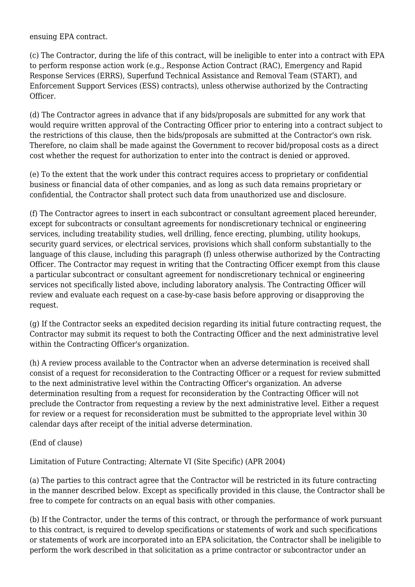ensuing EPA contract.

(c) The Contractor, during the life of this contract, will be ineligible to enter into a contract with EPA to perform response action work (e.g., Response Action Contract (RAC), Emergency and Rapid Response Services (ERRS), Superfund Technical Assistance and Removal Team (START), and Enforcement Support Services (ESS) contracts), unless otherwise authorized by the Contracting Officer.

(d) The Contractor agrees in advance that if any bids/proposals are submitted for any work that would require written approval of the Contracting Officer prior to entering into a contract subject to the restrictions of this clause, then the bids/proposals are submitted at the Contractor's own risk. Therefore, no claim shall be made against the Government to recover bid/proposal costs as a direct cost whether the request for authorization to enter into the contract is denied or approved.

(e) To the extent that the work under this contract requires access to proprietary or confidential business or financial data of other companies, and as long as such data remains proprietary or confidential, the Contractor shall protect such data from unauthorized use and disclosure.

(f) The Contractor agrees to insert in each subcontract or consultant agreement placed hereunder, except for subcontracts or consultant agreements for nondiscretionary technical or engineering services, including treatability studies, well drilling, fence erecting, plumbing, utility hookups, security guard services, or electrical services, provisions which shall conform substantially to the language of this clause, including this paragraph (f) unless otherwise authorized by the Contracting Officer. The Contractor may request in writing that the Contracting Officer exempt from this clause a particular subcontract or consultant agreement for nondiscretionary technical or engineering services not specifically listed above, including laboratory analysis. The Contracting Officer will review and evaluate each request on a case-by-case basis before approving or disapproving the request.

(g) If the Contractor seeks an expedited decision regarding its initial future contracting request, the Contractor may submit its request to both the Contracting Officer and the next administrative level within the Contracting Officer's organization.

(h) A review process available to the Contractor when an adverse determination is received shall consist of a request for reconsideration to the Contracting Officer or a request for review submitted to the next administrative level within the Contracting Officer's organization. An adverse determination resulting from a request for reconsideration by the Contracting Officer will not preclude the Contractor from requesting a review by the next administrative level. Either a request for review or a request for reconsideration must be submitted to the appropriate level within 30 calendar days after receipt of the initial adverse determination.

(End of clause)

Limitation of Future Contracting; Alternate VI (Site Specific) (APR 2004)

(a) The parties to this contract agree that the Contractor will be restricted in its future contracting in the manner described below. Except as specifically provided in this clause, the Contractor shall be free to compete for contracts on an equal basis with other companies.

(b) If the Contractor, under the terms of this contract, or through the performance of work pursuant to this contract, is required to develop specifications or statements of work and such specifications or statements of work are incorporated into an EPA solicitation, the Contractor shall be ineligible to perform the work described in that solicitation as a prime contractor or subcontractor under an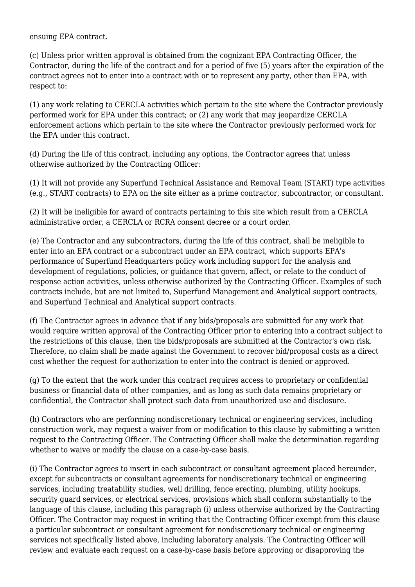ensuing EPA contract.

(c) Unless prior written approval is obtained from the cognizant EPA Contracting Officer, the Contractor, during the life of the contract and for a period of five (5) years after the expiration of the contract agrees not to enter into a contract with or to represent any party, other than EPA, with respect to:

(1) any work relating to CERCLA activities which pertain to the site where the Contractor previously performed work for EPA under this contract; or (2) any work that may jeopardize CERCLA enforcement actions which pertain to the site where the Contractor previously performed work for the EPA under this contract.

(d) During the life of this contract, including any options, the Contractor agrees that unless otherwise authorized by the Contracting Officer:

(1) It will not provide any Superfund Technical Assistance and Removal Team (START) type activities (e.g., START contracts) to EPA on the site either as a prime contractor, subcontractor, or consultant.

(2) It will be ineligible for award of contracts pertaining to this site which result from a CERCLA administrative order, a CERCLA or RCRA consent decree or a court order.

(e) The Contractor and any subcontractors, during the life of this contract, shall be ineligible to enter into an EPA contract or a subcontract under an EPA contract, which supports EPA's performance of Superfund Headquarters policy work including support for the analysis and development of regulations, policies, or guidance that govern, affect, or relate to the conduct of response action activities, unless otherwise authorized by the Contracting Officer. Examples of such contracts include, but are not limited to, Superfund Management and Analytical support contracts, and Superfund Technical and Analytical support contracts.

(f) The Contractor agrees in advance that if any bids/proposals are submitted for any work that would require written approval of the Contracting Officer prior to entering into a contract subject to the restrictions of this clause, then the bids/proposals are submitted at the Contractor's own risk. Therefore, no claim shall be made against the Government to recover bid/proposal costs as a direct cost whether the request for authorization to enter into the contract is denied or approved.

(g) To the extent that the work under this contract requires access to proprietary or confidential business or financial data of other companies, and as long as such data remains proprietary or confidential, the Contractor shall protect such data from unauthorized use and disclosure.

(h) Contractors who are performing nondiscretionary technical or engineering services, including construction work, may request a waiver from or modification to this clause by submitting a written request to the Contracting Officer. The Contracting Officer shall make the determination regarding whether to waive or modify the clause on a case-by-case basis.

(i) The Contractor agrees to insert in each subcontract or consultant agreement placed hereunder, except for subcontracts or consultant agreements for nondiscretionary technical or engineering services, including treatability studies, well drilling, fence erecting, plumbing, utility hookups, security guard services, or electrical services, provisions which shall conform substantially to the language of this clause, including this paragraph (i) unless otherwise authorized by the Contracting Officer. The Contractor may request in writing that the Contracting Officer exempt from this clause a particular subcontract or consultant agreement for nondiscretionary technical or engineering services not specifically listed above, including laboratory analysis. The Contracting Officer will review and evaluate each request on a case-by-case basis before approving or disapproving the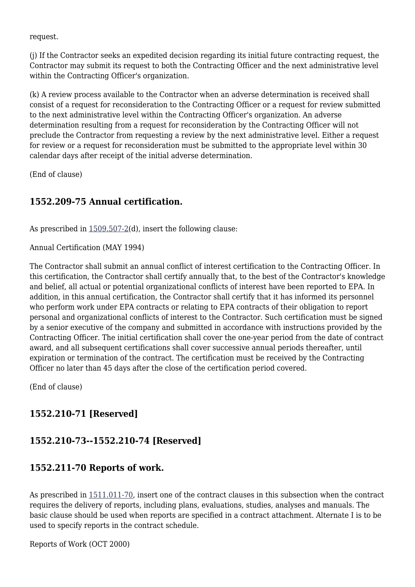request.

(j) If the Contractor seeks an expedited decision regarding its initial future contracting request, the Contractor may submit its request to both the Contracting Officer and the next administrative level within the Contracting Officer's organization.

(k) A review process available to the Contractor when an adverse determination is received shall consist of a request for reconsideration to the Contracting Officer or a request for review submitted to the next administrative level within the Contracting Officer's organization. An adverse determination resulting from a request for reconsideration by the Contracting Officer will not preclude the Contractor from requesting a review by the next administrative level. Either a request for review or a request for reconsideration must be submitted to the appropriate level within 30 calendar days after receipt of the initial adverse determination.

(End of clause)

#### **1552.209-75 Annual certification.**

As prescribed in  $1509.507-2(d)$  $1509.507-2(d)$ , insert the following clause:

Annual Certification (MAY 1994)

The Contractor shall submit an annual conflict of interest certification to the Contracting Officer. In this certification, the Contractor shall certify annually that, to the best of the Contractor's knowledge and belief, all actual or potential organizational conflicts of interest have been reported to EPA. In addition, in this annual certification, the Contractor shall certify that it has informed its personnel who perform work under EPA contracts or relating to EPA contracts of their obligation to report personal and organizational conflicts of interest to the Contractor. Such certification must be signed by a senior executive of the company and submitted in accordance with instructions provided by the Contracting Officer. The initial certification shall cover the one-year period from the date of contract award, and all subsequent certifications shall cover successive annual periods thereafter, until expiration or termination of the contract. The certification must be received by the Contracting Officer no later than 45 days after the close of the certification period covered.

(End of clause)

## **1552.210-71 [Reserved]**

#### **1552.210-73--1552.210-74 [Reserved]**

#### **1552.211-70 Reports of work.**

As prescribed in [1511.011-70,](https://origin-www.acquisition.gov/%5Brp:link:epaar-part-1511%5D#Section_1511_011_70_T48_601210013) insert one of the contract clauses in this subsection when the contract requires the delivery of reports, including plans, evaluations, studies, analyses and manuals. The basic clause should be used when reports are specified in a contract attachment. Alternate I is to be used to specify reports in the contract schedule.

Reports of Work (OCT 2000)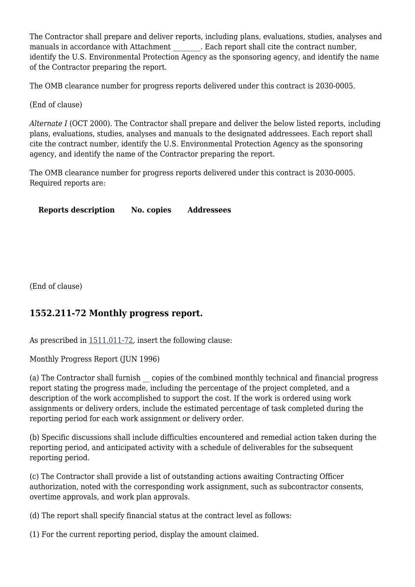The Contractor shall prepare and deliver reports, including plans, evaluations, studies, analyses and manuals in accordance with Attachment . Each report shall cite the contract number, identify the U.S. Environmental Protection Agency as the sponsoring agency, and identify the name of the Contractor preparing the report.

The OMB clearance number for progress reports delivered under this contract is 2030-0005.

(End of clause)

*Alternate I* (OCT 2000). The Contractor shall prepare and deliver the below listed reports, including plans, evaluations, studies, analyses and manuals to the designated addressees. Each report shall cite the contract number, identify the U.S. Environmental Protection Agency as the sponsoring agency, and identify the name of the Contractor preparing the report.

The OMB clearance number for progress reports delivered under this contract is 2030-0005. Required reports are:

**Reports description No. copies Addressees**

(End of clause)

#### **1552.211-72 Monthly progress report.**

As prescribed in [1511.011-72,](https://origin-www.acquisition.gov/%5Brp:link:epaar-part-1511%5D#Section_1511_011_72_T48_601210015) insert the following clause:

Monthly Progress Report (JUN 1996)

(a) The Contractor shall furnish copies of the combined monthly technical and financial progress report stating the progress made, including the percentage of the project completed, and a description of the work accomplished to support the cost. If the work is ordered using work assignments or delivery orders, include the estimated percentage of task completed during the reporting period for each work assignment or delivery order.

(b) Specific discussions shall include difficulties encountered and remedial action taken during the reporting period, and anticipated activity with a schedule of deliverables for the subsequent reporting period.

(c) The Contractor shall provide a list of outstanding actions awaiting Contracting Officer authorization, noted with the corresponding work assignment, such as subcontractor consents, overtime approvals, and work plan approvals.

(d) The report shall specify financial status at the contract level as follows:

(1) For the current reporting period, display the amount claimed.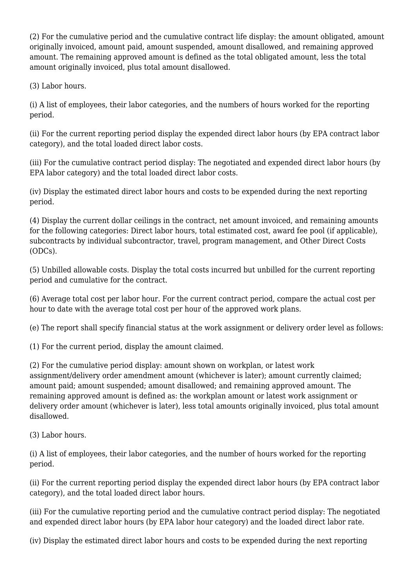(2) For the cumulative period and the cumulative contract life display: the amount obligated, amount originally invoiced, amount paid, amount suspended, amount disallowed, and remaining approved amount. The remaining approved amount is defined as the total obligated amount, less the total amount originally invoiced, plus total amount disallowed.

(3) Labor hours.

(i) A list of employees, their labor categories, and the numbers of hours worked for the reporting period.

(ii) For the current reporting period display the expended direct labor hours (by EPA contract labor category), and the total loaded direct labor costs.

(iii) For the cumulative contract period display: The negotiated and expended direct labor hours (by EPA labor category) and the total loaded direct labor costs.

(iv) Display the estimated direct labor hours and costs to be expended during the next reporting period.

(4) Display the current dollar ceilings in the contract, net amount invoiced, and remaining amounts for the following categories: Direct labor hours, total estimated cost, award fee pool (if applicable), subcontracts by individual subcontractor, travel, program management, and Other Direct Costs (ODCs).

(5) Unbilled allowable costs. Display the total costs incurred but unbilled for the current reporting period and cumulative for the contract.

(6) Average total cost per labor hour. For the current contract period, compare the actual cost per hour to date with the average total cost per hour of the approved work plans.

(e) The report shall specify financial status at the work assignment or delivery order level as follows:

(1) For the current period, display the amount claimed.

(2) For the cumulative period display: amount shown on workplan, or latest work assignment/delivery order amendment amount (whichever is later); amount currently claimed; amount paid; amount suspended; amount disallowed; and remaining approved amount. The remaining approved amount is defined as: the workplan amount or latest work assignment or delivery order amount (whichever is later), less total amounts originally invoiced, plus total amount disallowed.

(3) Labor hours.

(i) A list of employees, their labor categories, and the number of hours worked for the reporting period.

(ii) For the current reporting period display the expended direct labor hours (by EPA contract labor category), and the total loaded direct labor hours.

(iii) For the cumulative reporting period and the cumulative contract period display: The negotiated and expended direct labor hours (by EPA labor hour category) and the loaded direct labor rate.

(iv) Display the estimated direct labor hours and costs to be expended during the next reporting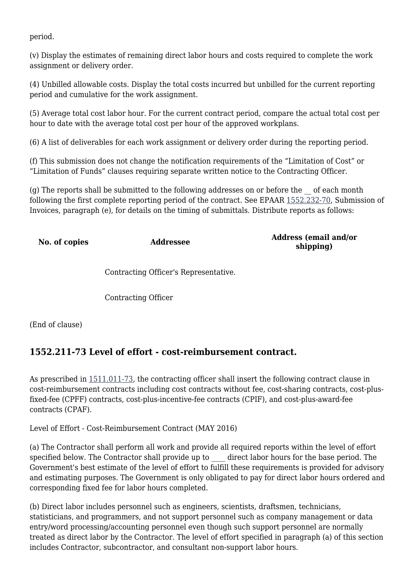period.

(v) Display the estimates of remaining direct labor hours and costs required to complete the work assignment or delivery order.

(4) Unbilled allowable costs. Display the total costs incurred but unbilled for the current reporting period and cumulative for the work assignment.

(5) Average total cost labor hour. For the current contract period, compare the actual total cost per hour to date with the average total cost per hour of the approved workplans.

(6) A list of deliverables for each work assignment or delivery order during the reporting period.

(f) This submission does not change the notification requirements of the "Limitation of Cost" or "Limitation of Funds" clauses requiring separate written notice to the Contracting Officer.

(g) The reports shall be submitted to the following addresses on or before the \_\_ of each month following the first complete reporting period of the contract. See EPAAR [1552.232-70](https://origin-www.acquisition.gov/%5Brp:link:epaar-part-1552%5D#Section_1552_232_70_T48_6018371156), Submission of Invoices, paragraph (e), for details on the timing of submittals. Distribute reports as follows:

**No. of copies Addressee Address (email and/or shipping)**

Contracting Officer's Representative.

Contracting Officer

(End of clause)

#### **1552.211-73 Level of effort - cost-reimbursement contract.**

As prescribed in [1511.011-73,](https://origin-www.acquisition.gov/%5Brp:link:epaar-part-1511%5D#Section_1511_011_73_T48_601210016) the contracting officer shall insert the following contract clause in cost-reimbursement contracts including cost contracts without fee, cost-sharing contracts, cost-plusfixed-fee (CPFF) contracts, cost-plus-incentive-fee contracts (CPIF), and cost-plus-award-fee contracts (CPAF).

Level of Effort - Cost-Reimbursement Contract (MAY 2016)

(a) The Contractor shall perform all work and provide all required reports within the level of effort specified below. The Contractor shall provide up to direct labor hours for the base period. The Government's best estimate of the level of effort to fulfill these requirements is provided for advisory and estimating purposes. The Government is only obligated to pay for direct labor hours ordered and corresponding fixed fee for labor hours completed.

(b) Direct labor includes personnel such as engineers, scientists, draftsmen, technicians, statisticians, and programmers, and not support personnel such as company management or data entry/word processing/accounting personnel even though such support personnel are normally treated as direct labor by the Contractor. The level of effort specified in paragraph (a) of this section includes Contractor, subcontractor, and consultant non-support labor hours.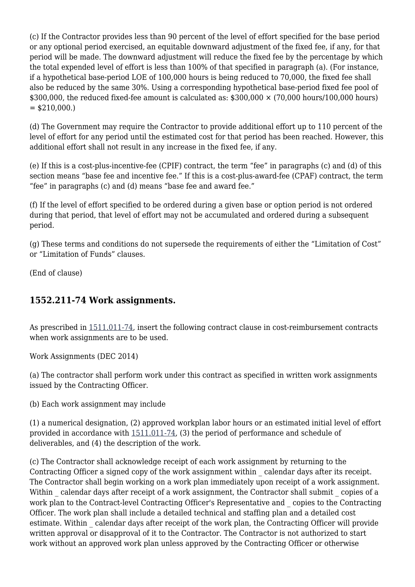(c) If the Contractor provides less than 90 percent of the level of effort specified for the base period or any optional period exercised, an equitable downward adjustment of the fixed fee, if any, for that period will be made. The downward adjustment will reduce the fixed fee by the percentage by which the total expended level of effort is less than 100% of that specified in paragraph (a). (For instance, if a hypothetical base-period LOE of 100,000 hours is being reduced to 70,000, the fixed fee shall also be reduced by the same 30%. Using a corresponding hypothetical base-period fixed fee pool of \$300,000, the reduced fixed-fee amount is calculated as:  $$300,000 \times (70,000 \text{ hours}/100,000 \text{ hours})$  $=$  \$210,000.)

(d) The Government may require the Contractor to provide additional effort up to 110 percent of the level of effort for any period until the estimated cost for that period has been reached. However, this additional effort shall not result in any increase in the fixed fee, if any.

(e) If this is a cost-plus-incentive-fee (CPIF) contract, the term "fee" in paragraphs (c) and (d) of this section means "base fee and incentive fee." If this is a cost-plus-award-fee (CPAF) contract, the term "fee" in paragraphs (c) and (d) means "base fee and award fee."

(f) If the level of effort specified to be ordered during a given base or option period is not ordered during that period, that level of effort may not be accumulated and ordered during a subsequent period.

(g) These terms and conditions do not supersede the requirements of either the "Limitation of Cost" or "Limitation of Funds" clauses.

(End of clause)

#### **1552.211-74 Work assignments.**

As prescribed in [1511.011-74,](https://origin-www.acquisition.gov/%5Brp:link:epaar-part-1511%5D#Section_1511_011_74_T48_601210017) insert the following contract clause in cost-reimbursement contracts when work assignments are to be used.

Work Assignments (DEC 2014)

(a) The contractor shall perform work under this contract as specified in written work assignments issued by the Contracting Officer.

(b) Each work assignment may include

(1) a numerical designation, (2) approved workplan labor hours or an estimated initial level of effort provided in accordance with [1511.011-74,](https://origin-www.acquisition.gov/%5Brp:link:epaar-part-1511%5D#Section_1511_011_74_T48_601210017) (3) the period of performance and schedule of deliverables, and (4) the description of the work.

(c) The Contractor shall acknowledge receipt of each work assignment by returning to the Contracting Officer a signed copy of the work assignment within \_ calendar days after its receipt. The Contractor shall begin working on a work plan immediately upon receipt of a work assignment. Within calendar days after receipt of a work assignment, the Contractor shall submit copies of a work plan to the Contract-level Contracting Officer's Representative and \_ copies to the Contracting Officer. The work plan shall include a detailed technical and staffing plan and a detailed cost estimate. Within calendar days after receipt of the work plan, the Contracting Officer will provide written approval or disapproval of it to the Contractor. The Contractor is not authorized to start work without an approved work plan unless approved by the Contracting Officer or otherwise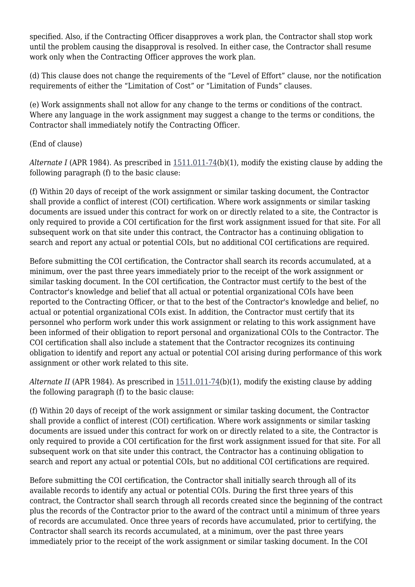specified. Also, if the Contracting Officer disapproves a work plan, the Contractor shall stop work until the problem causing the disapproval is resolved. In either case, the Contractor shall resume work only when the Contracting Officer approves the work plan.

(d) This clause does not change the requirements of the "Level of Effort" clause, nor the notification requirements of either the "Limitation of Cost" or "Limitation of Funds" clauses.

(e) Work assignments shall not allow for any change to the terms or conditions of the contract. Where any language in the work assignment may suggest a change to the terms or conditions, the Contractor shall immediately notify the Contracting Officer.

(End of clause)

*Alternate I* (APR 1984). As prescribed in [1511.011-74\(](https://origin-www.acquisition.gov/%5Brp:link:epaar-part-1511%5D#Section_1511_011_74_T48_601210017)b)(1), modify the existing clause by adding the following paragraph (f) to the basic clause:

(f) Within 20 days of receipt of the work assignment or similar tasking document, the Contractor shall provide a conflict of interest (COI) certification. Where work assignments or similar tasking documents are issued under this contract for work on or directly related to a site, the Contractor is only required to provide a COI certification for the first work assignment issued for that site. For all subsequent work on that site under this contract, the Contractor has a continuing obligation to search and report any actual or potential COIs, but no additional COI certifications are required.

Before submitting the COI certification, the Contractor shall search its records accumulated, at a minimum, over the past three years immediately prior to the receipt of the work assignment or similar tasking document. In the COI certification, the Contractor must certify to the best of the Contractor's knowledge and belief that all actual or potential organizational COIs have been reported to the Contracting Officer, or that to the best of the Contractor's knowledge and belief, no actual or potential organizational COIs exist. In addition, the Contractor must certify that its personnel who perform work under this work assignment or relating to this work assignment have been informed of their obligation to report personal and organizational COIs to the Contractor. The COI certification shall also include a statement that the Contractor recognizes its continuing obligation to identify and report any actual or potential COI arising during performance of this work assignment or other work related to this site.

*Alternate II* (APR 1984). As prescribed in  $1511.011-74(b)(1)$ , modify the existing clause by adding the following paragraph (f) to the basic clause:

(f) Within 20 days of receipt of the work assignment or similar tasking document, the Contractor shall provide a conflict of interest (COI) certification. Where work assignments or similar tasking documents are issued under this contract for work on or directly related to a site, the Contractor is only required to provide a COI certification for the first work assignment issued for that site. For all subsequent work on that site under this contract, the Contractor has a continuing obligation to search and report any actual or potential COIs, but no additional COI certifications are required.

Before submitting the COI certification, the Contractor shall initially search through all of its available records to identify any actual or potential COIs. During the first three years of this contract, the Contractor shall search through all records created since the beginning of the contract plus the records of the Contractor prior to the award of the contract until a minimum of three years of records are accumulated. Once three years of records have accumulated, prior to certifying, the Contractor shall search its records accumulated, at a minimum, over the past three years immediately prior to the receipt of the work assignment or similar tasking document. In the COI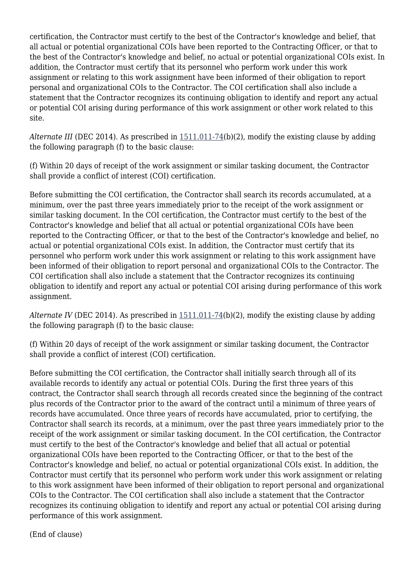certification, the Contractor must certify to the best of the Contractor's knowledge and belief, that all actual or potential organizational COIs have been reported to the Contracting Officer, or that to the best of the Contractor's knowledge and belief, no actual or potential organizational COIs exist. In addition, the Contractor must certify that its personnel who perform work under this work assignment or relating to this work assignment have been informed of their obligation to report personal and organizational COIs to the Contractor. The COI certification shall also include a statement that the Contractor recognizes its continuing obligation to identify and report any actual or potential COI arising during performance of this work assignment or other work related to this site.

*Alternate III* (DEC 2014). As prescribed in  $1511.011-74(b)(2)$  $1511.011-74(b)(2)$ , modify the existing clause by adding the following paragraph (f) to the basic clause:

(f) Within 20 days of receipt of the work assignment or similar tasking document, the Contractor shall provide a conflict of interest (COI) certification.

Before submitting the COI certification, the Contractor shall search its records accumulated, at a minimum, over the past three years immediately prior to the receipt of the work assignment or similar tasking document. In the COI certification, the Contractor must certify to the best of the Contractor's knowledge and belief that all actual or potential organizational COIs have been reported to the Contracting Officer, or that to the best of the Contractor's knowledge and belief, no actual or potential organizational COIs exist. In addition, the Contractor must certify that its personnel who perform work under this work assignment or relating to this work assignment have been informed of their obligation to report personal and organizational COIs to the Contractor. The COI certification shall also include a statement that the Contractor recognizes its continuing obligation to identify and report any actual or potential COI arising during performance of this work assignment.

*Alternate IV* (DEC 2014). As prescribed in  $1511.011-74(b)(2)$ , modify the existing clause by adding the following paragraph (f) to the basic clause:

(f) Within 20 days of receipt of the work assignment or similar tasking document, the Contractor shall provide a conflict of interest (COI) certification.

Before submitting the COI certification, the Contractor shall initially search through all of its available records to identify any actual or potential COIs. During the first three years of this contract, the Contractor shall search through all records created since the beginning of the contract plus records of the Contractor prior to the award of the contract until a minimum of three years of records have accumulated. Once three years of records have accumulated, prior to certifying, the Contractor shall search its records, at a minimum, over the past three years immediately prior to the receipt of the work assignment or similar tasking document. In the COI certification, the Contractor must certify to the best of the Contractor's knowledge and belief that all actual or potential organizational COIs have been reported to the Contracting Officer, or that to the best of the Contractor's knowledge and belief, no actual or potential organizational COIs exist. In addition, the Contractor must certify that its personnel who perform work under this work assignment or relating to this work assignment have been informed of their obligation to report personal and organizational COIs to the Contractor. The COI certification shall also include a statement that the Contractor recognizes its continuing obligation to identify and report any actual or potential COI arising during performance of this work assignment.

(End of clause)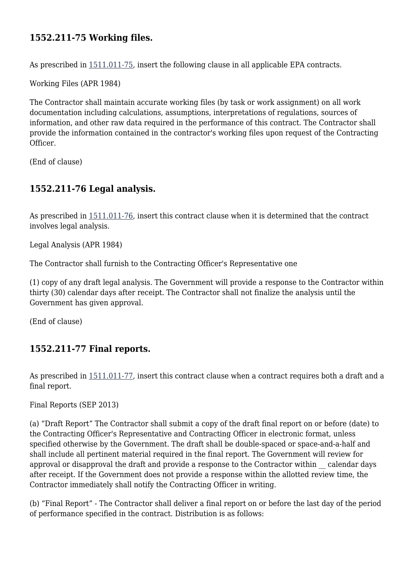## **1552.211-75 Working files.**

As prescribed in [1511.011-75,](https://origin-www.acquisition.gov/%5Brp:link:epaar-part-1511%5D#Section_1511_011_75_T48_601210018) insert the following clause in all applicable EPA contracts.

Working Files (APR 1984)

The Contractor shall maintain accurate working files (by task or work assignment) on all work documentation including calculations, assumptions, interpretations of regulations, sources of information, and other raw data required in the performance of this contract. The Contractor shall provide the information contained in the contractor's working files upon request of the Contracting Officer.

(End of clause)

#### **1552.211-76 Legal analysis.**

As prescribed in [1511.011-76,](https://origin-www.acquisition.gov/%5Brp:link:epaar-part-1511%5D#Section_1511_011_76_T48_601210019) insert this contract clause when it is determined that the contract involves legal analysis.

Legal Analysis (APR 1984)

The Contractor shall furnish to the Contracting Officer's Representative one

(1) copy of any draft legal analysis. The Government will provide a response to the Contractor within thirty (30) calendar days after receipt. The Contractor shall not finalize the analysis until the Government has given approval.

(End of clause)

#### **1552.211-77 Final reports.**

As prescribed in [1511.011-77,](https://origin-www.acquisition.gov/%5Brp:link:epaar-part-1511%5D#Section_1511_011_77_T48_6012100110) insert this contract clause when a contract requires both a draft and a final report.

Final Reports (SEP 2013)

(a) "Draft Report" The Contractor shall submit a copy of the draft final report on or before (date) to the Contracting Officer's Representative and Contracting Officer in electronic format, unless specified otherwise by the Government. The draft shall be double-spaced or space-and-a-half and shall include all pertinent material required in the final report. The Government will review for approval or disapproval the draft and provide a response to the Contractor within \_\_ calendar days after receipt. If the Government does not provide a response within the allotted review time, the Contractor immediately shall notify the Contracting Officer in writing.

(b) "Final Report" - The Contractor shall deliver a final report on or before the last day of the period of performance specified in the contract. Distribution is as follows: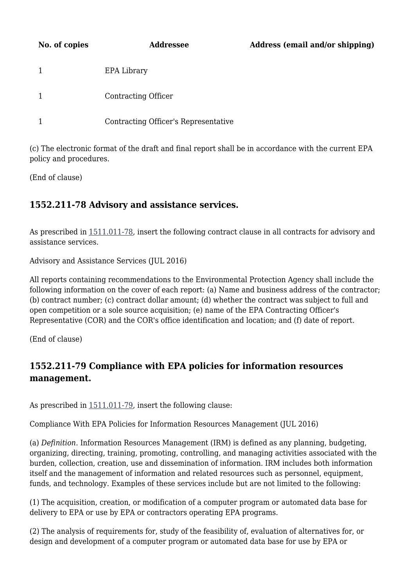| No. of copies | Addressee                            | Address (email and/or shipping) |
|---------------|--------------------------------------|---------------------------------|
|               | EPA Library                          |                                 |
|               | Contracting Officer                  |                                 |
|               | Contracting Officer's Representative |                                 |

(c) The electronic format of the draft and final report shall be in accordance with the current EPA policy and procedures.

(End of clause)

## **1552.211-78 Advisory and assistance services.**

As prescribed in  $1511.011-78$ , insert the following contract clause in all contracts for advisory and assistance services.

Advisory and Assistance Services (JUL 2016)

All reports containing recommendations to the Environmental Protection Agency shall include the following information on the cover of each report: (a) Name and business address of the contractor; (b) contract number; (c) contract dollar amount; (d) whether the contract was subject to full and open competition or a sole source acquisition; (e) name of the EPA Contracting Officer's Representative (COR) and the COR's office identification and location; and (f) date of report.

(End of clause)

## **1552.211-79 Compliance with EPA policies for information resources management.**

As prescribed in [1511.011-79,](https://origin-www.acquisition.gov/%5Brp:link:epaar-part-1511%5D#Section_1511_011_79_T48_6012100112) insert the following clause:

Compliance With EPA Policies for Information Resources Management (JUL 2016)

(a) *Definition.* Information Resources Management (IRM) is defined as any planning, budgeting, organizing, directing, training, promoting, controlling, and managing activities associated with the burden, collection, creation, use and dissemination of information. IRM includes both information itself and the management of information and related resources such as personnel, equipment, funds, and technology. Examples of these services include but are not limited to the following:

(1) The acquisition, creation, or modification of a computer program or automated data base for delivery to EPA or use by EPA or contractors operating EPA programs.

(2) The analysis of requirements for, study of the feasibility of, evaluation of alternatives for, or design and development of a computer program or automated data base for use by EPA or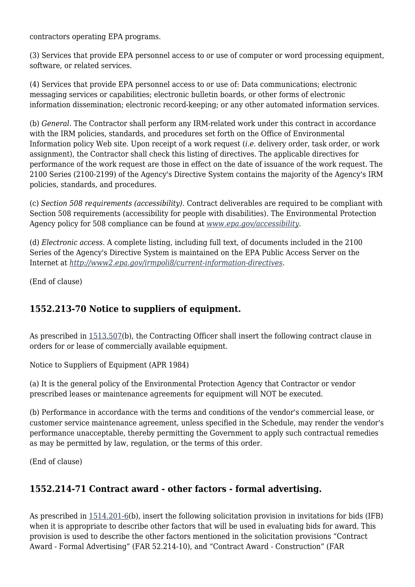contractors operating EPA programs.

(3) Services that provide EPA personnel access to or use of computer or word processing equipment, software, or related services.

(4) Services that provide EPA personnel access to or use of: Data communications; electronic messaging services or capabilities; electronic bulletin boards, or other forms of electronic information dissemination; electronic record-keeping; or any other automated information services.

(b) *General.* The Contractor shall perform any IRM-related work under this contract in accordance with the IRM policies, standards, and procedures set forth on the Office of Environmental Information policy Web site. Upon receipt of a work request (*i.e.* delivery order, task order, or work assignment), the Contractor shall check this listing of directives. The applicable directives for performance of the work request are those in effect on the date of issuance of the work request. The 2100 Series (2100-2199) of the Agency's Directive System contains the majority of the Agency's IRM policies, standards, and procedures.

(c) *Section 508 requirements (accessibility).* Contract deliverables are required to be compliant with Section 508 requirements (accessibility for people with disabilities). The Environmental Protection Agency policy for 508 compliance can be found at *[www.epa.gov/accessibility](http://www.epa.gov/accessibility).*

(d) *Electronic access.* A complete listing, including full text, of documents included in the 2100 Series of the Agency's Directive System is maintained on the EPA Public Access Server on the Internet at *<http://www2.epa.gov/irmpoli8/current-information-directives>.*

(End of clause)

#### **1552.213-70 Notice to suppliers of equipment.**

As prescribed in  $1513.507(b)$  $1513.507(b)$ , the Contracting Officer shall insert the following contract clause in orders for or lease of commercially available equipment.

Notice to Suppliers of Equipment (APR 1984)

(a) It is the general policy of the Environmental Protection Agency that Contractor or vendor prescribed leases or maintenance agreements for equipment will NOT be executed.

(b) Performance in accordance with the terms and conditions of the vendor's commercial lease, or customer service maintenance agreement, unless specified in the Schedule, may render the vendor's performance unacceptable, thereby permitting the Government to apply such contractual remedies as may be permitted by law, regulation, or the terms of this order.

(End of clause)

#### **1552.214-71 Contract award - other factors - formal advertising.**

As prescribed in [1514.201-6\(](https://origin-www.acquisition.gov/%5Brp:link:epaar-part-1514%5D#Section_1514_201_6_T48_601312112)b), insert the following solicitation provision in invitations for bids (IFB) when it is appropriate to describe other factors that will be used in evaluating bids for award. This provision is used to describe the other factors mentioned in the solicitation provisions "Contract Award - Formal Advertising" (FAR 52.214-10), and "Contract Award - Construction" (FAR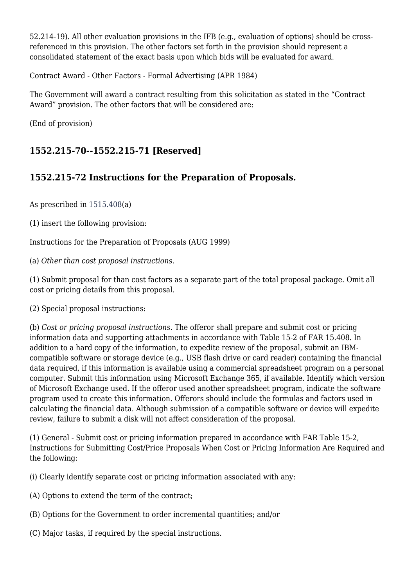52.214-19). All other evaluation provisions in the IFB (e.g., evaluation of options) should be crossreferenced in this provision. The other factors set forth in the provision should represent a consolidated statement of the exact basis upon which bids will be evaluated for award.

Contract Award - Other Factors - Formal Advertising (APR 1984)

The Government will award a contract resulting from this solicitation as stated in the "Contract Award" provision. The other factors that will be considered are:

(End of provision)

## **1552.215-70--1552.215-71 [Reserved]**

## **1552.215-72 Instructions for the Preparation of Proposals.**

As prescribed in [1515.408\(](https://origin-www.acquisition.gov/%5Brp:link:epaar-part-1515%5D#Section_1515_408_T48_601313218)a)

(1) insert the following provision:

Instructions for the Preparation of Proposals (AUG 1999)

(a) *Other than cost proposal instructions.*

(1) Submit proposal for than cost factors as a separate part of the total proposal package. Omit all cost or pricing details from this proposal.

(2) Special proposal instructions:

(b) *Cost or pricing proposal instructions.* The offeror shall prepare and submit cost or pricing information data and supporting attachments in accordance with Table 15-2 of FAR 15.408. In addition to a hard copy of the information, to expedite review of the proposal, submit an IBMcompatible software or storage device (e.g., USB flash drive or card reader) containing the financial data required, if this information is available using a commercial spreadsheet program on a personal computer. Submit this information using Microsoft Exchange 365, if available. Identify which version of Microsoft Exchange used. If the offeror used another spreadsheet program, indicate the software program used to create this information. Offerors should include the formulas and factors used in calculating the financial data. Although submission of a compatible software or device will expedite review, failure to submit a disk will not affect consideration of the proposal.

(1) General - Submit cost or pricing information prepared in accordance with FAR Table 15-2, Instructions for Submitting Cost/Price Proposals When Cost or Pricing Information Are Required and the following:

(i) Clearly identify separate cost or pricing information associated with any:

- (A) Options to extend the term of the contract;
- (B) Options for the Government to order incremental quantities; and/or
- (C) Major tasks, if required by the special instructions.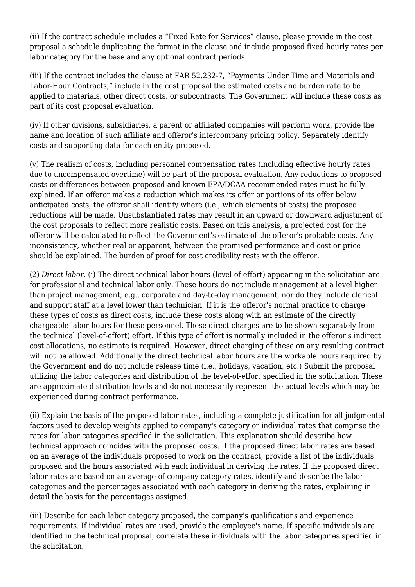(ii) If the contract schedule includes a "Fixed Rate for Services" clause, please provide in the cost proposal a schedule duplicating the format in the clause and include proposed fixed hourly rates per labor category for the base and any optional contract periods.

(iii) If the contract includes the clause at FAR 52.232-7, "Payments Under Time and Materials and Labor-Hour Contracts," include in the cost proposal the estimated costs and burden rate to be applied to materials, other direct costs, or subcontracts. The Government will include these costs as part of its cost proposal evaluation.

(iv) If other divisions, subsidiaries, a parent or affiliated companies will perform work, provide the name and location of such affiliate and offeror's intercompany pricing policy. Separately identify costs and supporting data for each entity proposed.

(v) The realism of costs, including personnel compensation rates (including effective hourly rates due to uncompensated overtime) will be part of the proposal evaluation. Any reductions to proposed costs or differences between proposed and known EPA/DCAA recommended rates must be fully explained. If an offeror makes a reduction which makes its offer or portions of its offer below anticipated costs, the offeror shall identify where (i.e., which elements of costs) the proposed reductions will be made. Unsubstantiated rates may result in an upward or downward adjustment of the cost proposals to reflect more realistic costs. Based on this analysis, a projected cost for the offeror will be calculated to reflect the Government's estimate of the offeror's probable costs. Any inconsistency, whether real or apparent, between the promised performance and cost or price should be explained. The burden of proof for cost credibility rests with the offeror.

(2) *Direct labor.* (i) The direct technical labor hours (level-of-effort) appearing in the solicitation are for professional and technical labor only. These hours do not include management at a level higher than project management, e.g., corporate and day-to-day management, nor do they include clerical and support staff at a level lower than technician. If it is the offeror's normal practice to charge these types of costs as direct costs, include these costs along with an estimate of the directly chargeable labor-hours for these personnel. These direct charges are to be shown separately from the technical (level-of-effort) effort. If this type of effort is normally included in the offeror's indirect cost allocations, no estimate is required. However, direct charging of these on any resulting contract will not be allowed. Additionally the direct technical labor hours are the workable hours required by the Government and do not include release time (i.e., holidays, vacation, etc.) Submit the proposal utilizing the labor categories and distribution of the level-of-effort specified in the solicitation. These are approximate distribution levels and do not necessarily represent the actual levels which may be experienced during contract performance.

(ii) Explain the basis of the proposed labor rates, including a complete justification for all judgmental factors used to develop weights applied to company's category or individual rates that comprise the rates for labor categories specified in the solicitation. This explanation should describe how technical approach coincides with the proposed costs. If the proposed direct labor rates are based on an average of the individuals proposed to work on the contract, provide a list of the individuals proposed and the hours associated with each individual in deriving the rates. If the proposed direct labor rates are based on an average of company category rates, identify and describe the labor categories and the percentages associated with each category in deriving the rates, explaining in detail the basis for the percentages assigned.

(iii) Describe for each labor category proposed, the company's qualifications and experience requirements. If individual rates are used, provide the employee's name. If specific individuals are identified in the technical proposal, correlate these individuals with the labor categories specified in the solicitation.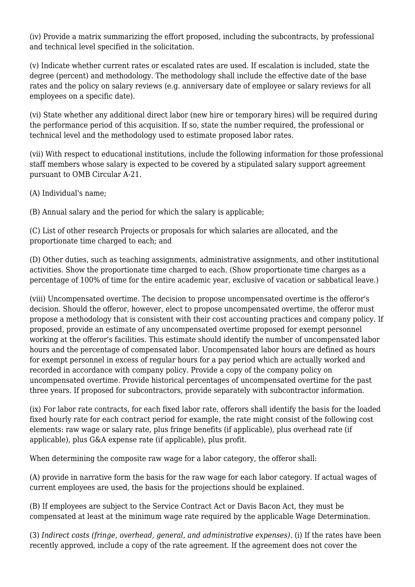(iv) Provide a matrix summarizing the effort proposed, including the subcontracts, by professional and technical level specified in the solicitation.

(v) Indicate whether current rates or escalated rates are used. If escalation is included, state the degree (percent) and methodology. The methodology shall include the effective date of the base rates and the policy on salary reviews (e.g. anniversary date of employee or salary reviews for all employees on a specific date).

(vi) State whether any additional direct labor (new hire or temporary hires) will be required during the performance period of this acquisition. If so, state the number required, the professional or technical level and the methodology used to estimate proposed labor rates.

(vii) With respect to educational institutions, include the following information for those professional staff members whose salary is expected to be covered by a stipulated salary support agreement pursuant to OMB Circular A-21.

(A) Individual's name;

(B) Annual salary and the period for which the salary is applicable;

(C) List of other research Projects or proposals for which salaries are allocated, and the proportionate time charged to each; and

(D) Other duties, such as teaching assignments, administrative assignments, and other institutional activities. Show the proportionate time charged to each. (Show proportionate time charges as a percentage of 100% of time for the entire academic year, exclusive of vacation or sabbatical leave.)

(viii) Uncompensated overtime. The decision to propose uncompensated overtime is the offeror's decision. Should the offeror, however, elect to propose uncompensated overtime, the offeror must propose a methodology that is consistent with their cost accounting practices and company policy. If proposed, provide an estimate of any uncompensated overtime proposed for exempt personnel working at the offeror's facilities. This estimate should identify the number of uncompensated labor hours and the percentage of compensated labor. Uncompensated labor hours are defined as hours for exempt personnel in excess of regular hours for a pay period which are actually worked and recorded in accordance with company policy. Provide a copy of the company policy on uncompensated overtime. Provide historical percentages of uncompensated overtime for the past three years. If proposed for subcontractors, provide separately with subcontractor information.

(ix) For labor rate contracts, for each fixed labor rate, offerors shall identify the basis for the loaded fixed hourly rate for each contract period for example, the rate might consist of the following cost elements: raw wage or salary rate, plus fringe benefits (if applicable), plus overhead rate (if applicable), plus G&A expense rate (if applicable), plus profit.

When determining the composite raw wage for a labor category, the offeror shall:

(A) provide in narrative form the basis for the raw wage for each labor category. If actual wages of current employees are used, the basis for the projections should be explained.

(B) If employees are subject to the Service Contract Act or Davis Bacon Act, they must be compensated at least at the minimum wage rate required by the applicable Wage Determination.

(3) *Indirect costs (fringe, overhead, general, and administrative expenses).* (i) If the rates have been recently approved, include a copy of the rate agreement. If the agreement does not cover the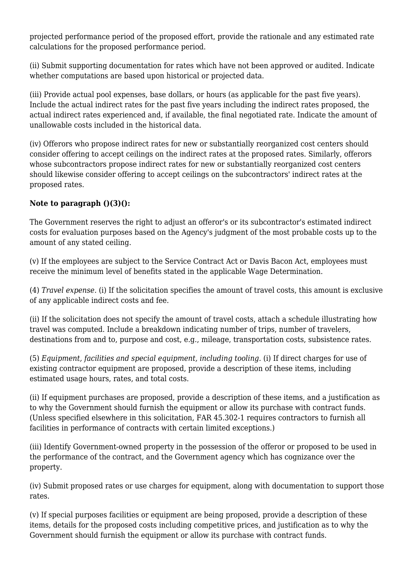projected performance period of the proposed effort, provide the rationale and any estimated rate calculations for the proposed performance period.

(ii) Submit supporting documentation for rates which have not been approved or audited. Indicate whether computations are based upon historical or projected data.

(iii) Provide actual pool expenses, base dollars, or hours (as applicable for the past five years). Include the actual indirect rates for the past five years including the indirect rates proposed, the actual indirect rates experienced and, if available, the final negotiated rate. Indicate the amount of unallowable costs included in the historical data.

(iv) Offerors who propose indirect rates for new or substantially reorganized cost centers should consider offering to accept ceilings on the indirect rates at the proposed rates. Similarly, offerors whose subcontractors propose indirect rates for new or substantially reorganized cost centers should likewise consider offering to accept ceilings on the subcontractors' indirect rates at the proposed rates.

#### **Note to paragraph ()(3)():**

The Government reserves the right to adjust an offeror's or its subcontractor's estimated indirect costs for evaluation purposes based on the Agency's judgment of the most probable costs up to the amount of any stated ceiling.

(v) If the employees are subject to the Service Contract Act or Davis Bacon Act, employees must receive the minimum level of benefits stated in the applicable Wage Determination.

(4) *Travel expense.* (i) If the solicitation specifies the amount of travel costs, this amount is exclusive of any applicable indirect costs and fee.

(ii) If the solicitation does not specify the amount of travel costs, attach a schedule illustrating how travel was computed. Include a breakdown indicating number of trips, number of travelers, destinations from and to, purpose and cost, e.g., mileage, transportation costs, subsistence rates.

(5) *Equipment, facilities and special equipment, including tooling.* (i) If direct charges for use of existing contractor equipment are proposed, provide a description of these items, including estimated usage hours, rates, and total costs.

(ii) If equipment purchases are proposed, provide a description of these items, and a justification as to why the Government should furnish the equipment or allow its purchase with contract funds. (Unless specified elsewhere in this solicitation, FAR 45.302-1 requires contractors to furnish all facilities in performance of contracts with certain limited exceptions.)

(iii) Identify Government-owned property in the possession of the offeror or proposed to be used in the performance of the contract, and the Government agency which has cognizance over the property.

(iv) Submit proposed rates or use charges for equipment, along with documentation to support those rates.

(v) If special purposes facilities or equipment are being proposed, provide a description of these items, details for the proposed costs including competitive prices, and justification as to why the Government should furnish the equipment or allow its purchase with contract funds.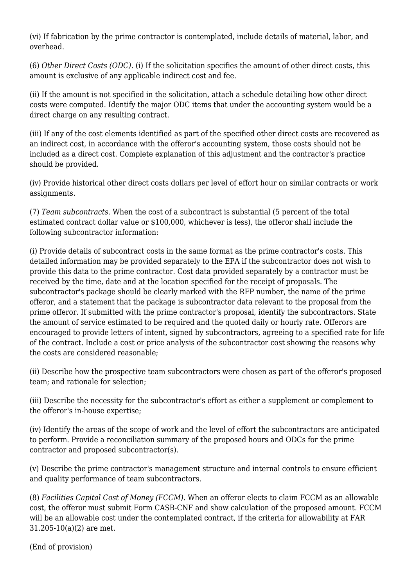(vi) If fabrication by the prime contractor is contemplated, include details of material, labor, and overhead.

(6) *Other Direct Costs (ODC).* (i) If the solicitation specifies the amount of other direct costs, this amount is exclusive of any applicable indirect cost and fee.

(ii) If the amount is not specified in the solicitation, attach a schedule detailing how other direct costs were computed. Identify the major ODC items that under the accounting system would be a direct charge on any resulting contract.

(iii) If any of the cost elements identified as part of the specified other direct costs are recovered as an indirect cost, in accordance with the offeror's accounting system, those costs should not be included as a direct cost. Complete explanation of this adjustment and the contractor's practice should be provided.

(iv) Provide historical other direct costs dollars per level of effort hour on similar contracts or work assignments.

(7) *Team subcontracts.* When the cost of a subcontract is substantial (5 percent of the total estimated contract dollar value or \$100,000, whichever is less), the offeror shall include the following subcontractor information:

(i) Provide details of subcontract costs in the same format as the prime contractor's costs. This detailed information may be provided separately to the EPA if the subcontractor does not wish to provide this data to the prime contractor. Cost data provided separately by a contractor must be received by the time, date and at the location specified for the receipt of proposals. The subcontractor's package should be clearly marked with the RFP number, the name of the prime offeror, and a statement that the package is subcontractor data relevant to the proposal from the prime offeror. If submitted with the prime contractor's proposal, identify the subcontractors. State the amount of service estimated to be required and the quoted daily or hourly rate. Offerors are encouraged to provide letters of intent, signed by subcontractors, agreeing to a specified rate for life of the contract. Include a cost or price analysis of the subcontractor cost showing the reasons why the costs are considered reasonable;

(ii) Describe how the prospective team subcontractors were chosen as part of the offeror's proposed team; and rationale for selection;

(iii) Describe the necessity for the subcontractor's effort as either a supplement or complement to the offeror's in-house expertise;

(iv) Identify the areas of the scope of work and the level of effort the subcontractors are anticipated to perform. Provide a reconciliation summary of the proposed hours and ODCs for the prime contractor and proposed subcontractor(s).

(v) Describe the prime contractor's management structure and internal controls to ensure efficient and quality performance of team subcontractors.

(8) *Facilities Capital Cost of Money (FCCM).* When an offeror elects to claim FCCM as an allowable cost, the offeror must submit Form CASB-CNF and show calculation of the proposed amount. FCCM will be an allowable cost under the contemplated contract, if the criteria for allowability at FAR 31.205-10(a)(2) are met.

(End of provision)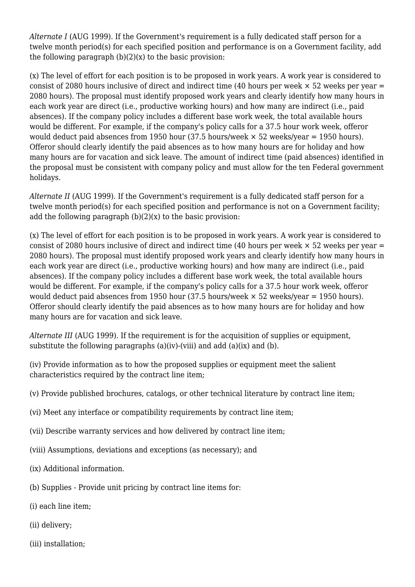*Alternate I* (AUG 1999). If the Government's requirement is a fully dedicated staff person for a twelve month period(s) for each specified position and performance is on a Government facility, add the following paragraph  $(b)(2)(x)$  to the basic provision:

(x) The level of effort for each position is to be proposed in work years. A work year is considered to consist of 2080 hours inclusive of direct and indirect time (40 hours per week  $\times$  52 weeks per year = 2080 hours). The proposal must identify proposed work years and clearly identify how many hours in each work year are direct (i.e., productive working hours) and how many are indirect (i.e., paid absences). If the company policy includes a different base work week, the total available hours would be different. For example, if the company's policy calls for a 37.5 hour work week, offeror would deduct paid absences from 1950 hour (37.5 hours/week  $\times$  52 weeks/year = 1950 hours). Offeror should clearly identify the paid absences as to how many hours are for holiday and how many hours are for vacation and sick leave. The amount of indirect time (paid absences) identified in the proposal must be consistent with company policy and must allow for the ten Federal government holidays.

*Alternate II* (AUG 1999). If the Government's requirement is a fully dedicated staff person for a twelve month period(s) for each specified position and performance is not on a Government facility; add the following paragraph  $(b)(2)(x)$  to the basic provision:

(x) The level of effort for each position is to be proposed in work years. A work year is considered to consist of 2080 hours inclusive of direct and indirect time (40 hours per week  $\times$  52 weeks per year = 2080 hours). The proposal must identify proposed work years and clearly identify how many hours in each work year are direct (i.e., productive working hours) and how many are indirect (i.e., paid absences). If the company policy includes a different base work week, the total available hours would be different. For example, if the company's policy calls for a 37.5 hour work week, offeror would deduct paid absences from 1950 hour (37.5 hours/week  $\times$  52 weeks/year = 1950 hours). Offeror should clearly identify the paid absences as to how many hours are for holiday and how many hours are for vacation and sick leave.

*Alternate III* (AUG 1999). If the requirement is for the acquisition of supplies or equipment, substitute the following paragraphs (a)(iv)-(viii) and add (a)(ix) and (b).

(iv) Provide information as to how the proposed supplies or equipment meet the salient characteristics required by the contract line item;

- (v) Provide published brochures, catalogs, or other technical literature by contract line item;
- (vi) Meet any interface or compatibility requirements by contract line item;
- (vii) Describe warranty services and how delivered by contract line item;
- (viii) Assumptions, deviations and exceptions (as necessary); and
- (ix) Additional information.
- (b) Supplies Provide unit pricing by contract line items for:
- (i) each line item;
- (ii) delivery;
- (iii) installation;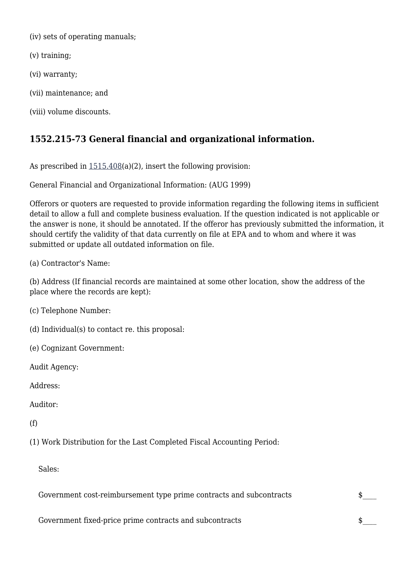(iv) sets of operating manuals;

(v) training;

(vi) warranty;

(vii) maintenance; and

(viii) volume discounts.

## **1552.215-73 General financial and organizational information.**

As prescribed in  $1515.408(a)(2)$  $1515.408(a)(2)$ , insert the following provision:

General Financial and Organizational Information: (AUG 1999)

Offerors or quoters are requested to provide information regarding the following items in sufficient detail to allow a full and complete business evaluation. If the question indicated is not applicable or the answer is none, it should be annotated. If the offeror has previously submitted the information, it should certify the validity of that data currently on file at EPA and to whom and where it was submitted or update all outdated information on file.

(a) Contractor's Name:

(b) Address (If financial records are maintained at some other location, show the address of the place where the records are kept):

(c) Telephone Number:

- (d) Individual(s) to contact re. this proposal:
- (e) Cognizant Government:

Audit Agency:

Address:

Auditor:

(f)

(1) Work Distribution for the Last Completed Fiscal Accounting Period:

Sales:

Government cost-reimbursement type prime contracts and subcontracts  $\quad \$ 

Government fixed-price prime contracts and subcontracts  $\$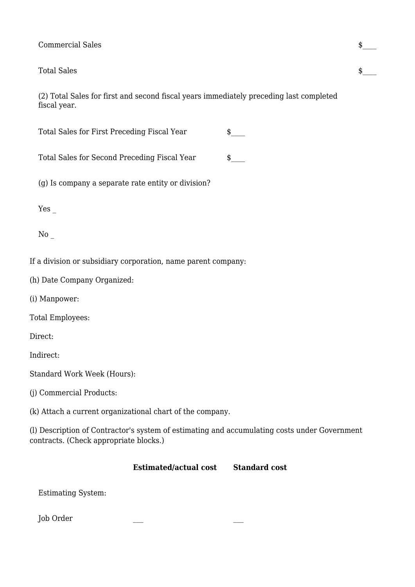#### Commercial Sales \$\_\_\_\_

#### Total Sales  $\qquad \qquad \bullet$

(2) Total Sales for first and second fiscal years immediately preceding last completed fiscal year.

| Total Sales for First Preceding Fiscal Year |  |
|---------------------------------------------|--|
|---------------------------------------------|--|

Total Sales for Second Preceding Fiscal Year \$

(g) Is company a separate rate entity or division?

Yes \_

No \_

If a division or subsidiary corporation, name parent company:

(h) Date Company Organized:

(i) Manpower:

Total Employees:

Direct:

Indirect:

Standard Work Week (Hours):

(j) Commercial Products:

(k) Attach a current organizational chart of the company.

(l) Description of Contractor's system of estimating and accumulating costs under Government contracts. (Check appropriate blocks.)

#### **Estimated/actual cost Standard cost**

Estimating System:

Job Order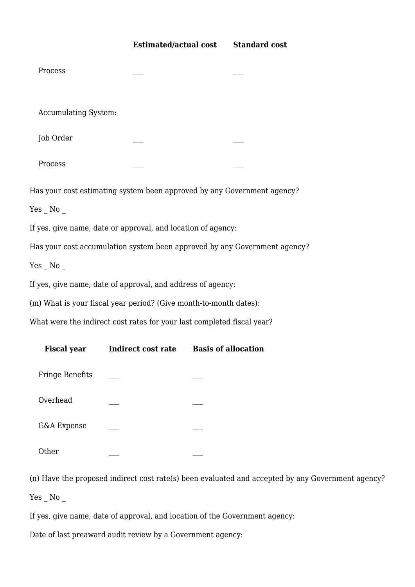| Process                     |                                                                   |                                                                           |  |
|-----------------------------|-------------------------------------------------------------------|---------------------------------------------------------------------------|--|
| <b>Accumulating System:</b> |                                                                   |                                                                           |  |
| Job Order                   |                                                                   |                                                                           |  |
| Process                     |                                                                   |                                                                           |  |
|                             |                                                                   | Has your cost estimating system been approved by any Government agency?   |  |
| $Yes$ No $_{-}$             |                                                                   |                                                                           |  |
|                             | If yes, give name, date or approval, and location of agency:      |                                                                           |  |
|                             |                                                                   | Has your cost accumulation system been approved by any Government agency? |  |
| $Yes$ No                    |                                                                   |                                                                           |  |
|                             | If yes, give name, date of approval, and address of agency:       |                                                                           |  |
|                             | (m) What is your fiscal year period? (Give month-to-month dates): |                                                                           |  |
|                             |                                                                   | What were the indirect cost rates for your last completed fiscal year?    |  |
| <b>Fiscal year</b>          | Indirect cost rate                                                | <b>Basis of allocation</b>                                                |  |
| <b>Fringe Benefits</b>      |                                                                   |                                                                           |  |

Overhead

G&A Expense

Other \_\_\_ \_\_\_

(n) Have the proposed indirect cost rate(s) been evaluated and accepted by any Government agency?

 $Yes$   $No$   $\overline{\phantom{a}}$ 

If yes, give name, date of approval, and location of the Government agency:

Date of last preaward audit review by a Government agency: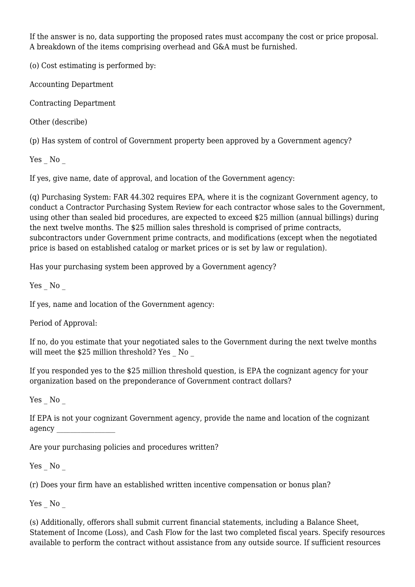If the answer is no, data supporting the proposed rates must accompany the cost or price proposal. A breakdown of the items comprising overhead and G&A must be furnished.

(o) Cost estimating is performed by:

Accounting Department

Contracting Department

Other (describe)

(p) Has system of control of Government property been approved by a Government agency?

Yes No

If yes, give name, date of approval, and location of the Government agency:

(q) Purchasing System: FAR 44.302 requires EPA, where it is the cognizant Government agency, to conduct a Contractor Purchasing System Review for each contractor whose sales to the Government, using other than sealed bid procedures, are expected to exceed \$25 million (annual billings) during the next twelve months. The \$25 million sales threshold is comprised of prime contracts, subcontractors under Government prime contracts, and modifications (except when the negotiated price is based on established catalog or market prices or is set by law or regulation).

Has your purchasing system been approved by a Government agency?

Yes No

If yes, name and location of the Government agency:

Period of Approval:

If no, do you estimate that your negotiated sales to the Government during the next twelve months will meet the \$25 million threshold? Yes No

If you responded yes to the \$25 million threshold question, is EPA the cognizant agency for your organization based on the preponderance of Government contract dollars?

Yes No

If EPA is not your cognizant Government agency, provide the name and location of the cognizant agency \_\_\_\_\_\_\_\_\_\_\_\_\_\_\_\_\_

Are your purchasing policies and procedures written?

Yes No

(r) Does your firm have an established written incentive compensation or bonus plan?

Yes No

(s) Additionally, offerors shall submit current financial statements, including a Balance Sheet, Statement of Income (Loss), and Cash Flow for the last two completed fiscal years. Specify resources available to perform the contract without assistance from any outside source. If sufficient resources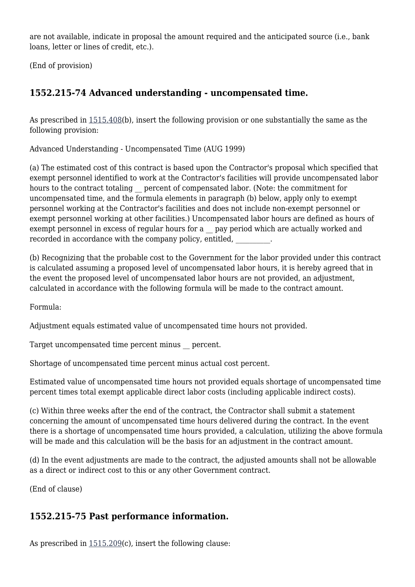are not available, indicate in proposal the amount required and the anticipated source (i.e., bank loans, letter or lines of credit, etc.).

(End of provision)

# **1552.215-74 Advanced understanding - uncompensated time.**

As prescribed in [1515.408\(](https://origin-www.acquisition.gov/%5Brp:link:epaar-part-1515%5D#Section_1515_408_T48_601313218)b), insert the following provision or one substantially the same as the following provision:

Advanced Understanding - Uncompensated Time (AUG 1999)

(a) The estimated cost of this contract is based upon the Contractor's proposal which specified that exempt personnel identified to work at the Contractor's facilities will provide uncompensated labor hours to the contract totaling percent of compensated labor. (Note: the commitment for uncompensated time, and the formula elements in paragraph (b) below, apply only to exempt personnel working at the Contractor's facilities and does not include non-exempt personnel or exempt personnel working at other facilities.) Uncompensated labor hours are defined as hours of exempt personnel in excess of regular hours for a \_\_ pay period which are actually worked and recorded in accordance with the company policy, entitled,

(b) Recognizing that the probable cost to the Government for the labor provided under this contract is calculated assuming a proposed level of uncompensated labor hours, it is hereby agreed that in the event the proposed level of uncompensated labor hours are not provided, an adjustment, calculated in accordance with the following formula will be made to the contract amount.

Formula:

Adjustment equals estimated value of uncompensated time hours not provided.

Target uncompensated time percent minus \_\_ percent.

Shortage of uncompensated time percent minus actual cost percent.

Estimated value of uncompensated time hours not provided equals shortage of uncompensated time percent times total exempt applicable direct labor costs (including applicable indirect costs).

(c) Within three weeks after the end of the contract, the Contractor shall submit a statement concerning the amount of uncompensated time hours delivered during the contract. In the event there is a shortage of uncompensated time hours provided, a calculation, utilizing the above formula will be made and this calculation will be the basis for an adjustment in the contract amount.

(d) In the event adjustments are made to the contract, the adjusted amounts shall not be allowable as a direct or indirect cost to this or any other Government contract.

(End of clause)

## **1552.215-75 Past performance information.**

As prescribed in [1515.209\(](https://origin-www.acquisition.gov/%5Brp:link:epaar-part-1515%5D#Section_1515_209_T48_601313111)c), insert the following clause: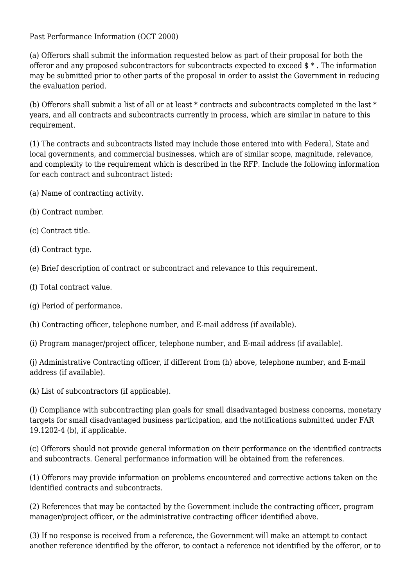Past Performance Information (OCT 2000)

(a) Offerors shall submit the information requested below as part of their proposal for both the offeror and any proposed subcontractors for subcontracts expected to exceed \$ \* . The information may be submitted prior to other parts of the proposal in order to assist the Government in reducing the evaluation period.

(b) Offerors shall submit a list of all or at least \* contracts and subcontracts completed in the last \* years, and all contracts and subcontracts currently in process, which are similar in nature to this requirement.

(1) The contracts and subcontracts listed may include those entered into with Federal, State and local governments, and commercial businesses, which are of similar scope, magnitude, relevance, and complexity to the requirement which is described in the RFP. Include the following information for each contract and subcontract listed:

- (a) Name of contracting activity.
- (b) Contract number.
- (c) Contract title.
- (d) Contract type.
- (e) Brief description of contract or subcontract and relevance to this requirement.
- (f) Total contract value.
- (g) Period of performance.
- (h) Contracting officer, telephone number, and E-mail address (if available).

(i) Program manager/project officer, telephone number, and E-mail address (if available).

(j) Administrative Contracting officer, if different from (h) above, telephone number, and E-mail address (if available).

(k) List of subcontractors (if applicable).

(l) Compliance with subcontracting plan goals for small disadvantaged business concerns, monetary targets for small disadvantaged business participation, and the notifications submitted under FAR 19.1202-4 (b), if applicable.

(c) Offerors should not provide general information on their performance on the identified contracts and subcontracts. General performance information will be obtained from the references.

(1) Offerors may provide information on problems encountered and corrective actions taken on the identified contracts and subcontracts.

(2) References that may be contacted by the Government include the contracting officer, program manager/project officer, or the administrative contracting officer identified above.

(3) If no response is received from a reference, the Government will make an attempt to contact another reference identified by the offeror, to contact a reference not identified by the offeror, or to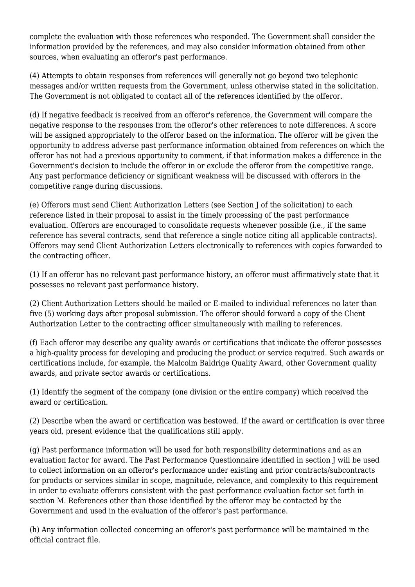complete the evaluation with those references who responded. The Government shall consider the information provided by the references, and may also consider information obtained from other sources, when evaluating an offeror's past performance.

(4) Attempts to obtain responses from references will generally not go beyond two telephonic messages and/or written requests from the Government, unless otherwise stated in the solicitation. The Government is not obligated to contact all of the references identified by the offeror.

(d) If negative feedback is received from an offeror's reference, the Government will compare the negative response to the responses from the offeror's other references to note differences. A score will be assigned appropriately to the offeror based on the information. The offeror will be given the opportunity to address adverse past performance information obtained from references on which the offeror has not had a previous opportunity to comment, if that information makes a difference in the Government's decision to include the offeror in or exclude the offeror from the competitive range. Any past performance deficiency or significant weakness will be discussed with offerors in the competitive range during discussions.

(e) Offerors must send Client Authorization Letters (see Section J of the solicitation) to each reference listed in their proposal to assist in the timely processing of the past performance evaluation. Offerors are encouraged to consolidate requests whenever possible (i.e., if the same reference has several contracts, send that reference a single notice citing all applicable contracts). Offerors may send Client Authorization Letters electronically to references with copies forwarded to the contracting officer.

(1) If an offeror has no relevant past performance history, an offeror must affirmatively state that it possesses no relevant past performance history.

(2) Client Authorization Letters should be mailed or E-mailed to individual references no later than five (5) working days after proposal submission. The offeror should forward a copy of the Client Authorization Letter to the contracting officer simultaneously with mailing to references.

(f) Each offeror may describe any quality awards or certifications that indicate the offeror possesses a high-quality process for developing and producing the product or service required. Such awards or certifications include, for example, the Malcolm Baldrige Quality Award, other Government quality awards, and private sector awards or certifications.

(1) Identify the segment of the company (one division or the entire company) which received the award or certification.

(2) Describe when the award or certification was bestowed. If the award or certification is over three years old, present evidence that the qualifications still apply.

(g) Past performance information will be used for both responsibility determinations and as an evaluation factor for award. The Past Performance Questionnaire identified in section J will be used to collect information on an offeror's performance under existing and prior contracts/subcontracts for products or services similar in scope, magnitude, relevance, and complexity to this requirement in order to evaluate offerors consistent with the past performance evaluation factor set forth in section M. References other than those identified by the offeror may be contacted by the Government and used in the evaluation of the offeror's past performance.

(h) Any information collected concerning an offeror's past performance will be maintained in the official contract file.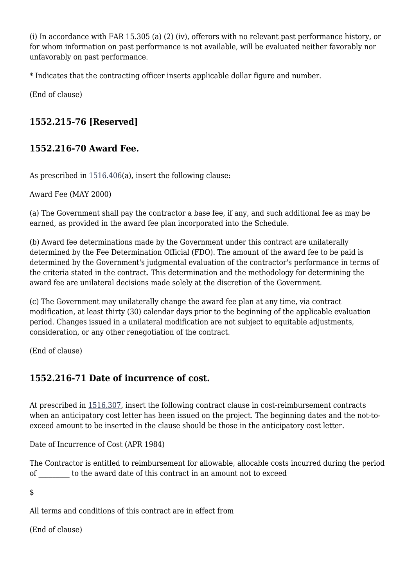(i) In accordance with FAR 15.305 (a) (2) (iv), offerors with no relevant past performance history, or for whom information on past performance is not available, will be evaluated neither favorably nor unfavorably on past performance.

\* Indicates that the contracting officer inserts applicable dollar figure and number.

(End of clause)

# **1552.215-76 [Reserved]**

## **1552.216-70 Award Fee.**

As prescribed in [1516.406\(](https://origin-www.acquisition.gov/%5Brp:link:epaar-part-1516%5D#Section_1516_406_T48_601314218)a), insert the following clause:

Award Fee (MAY 2000)

(a) The Government shall pay the contractor a base fee, if any, and such additional fee as may be earned, as provided in the award fee plan incorporated into the Schedule.

(b) Award fee determinations made by the Government under this contract are unilaterally determined by the Fee Determination Official (FDO). The amount of the award fee to be paid is determined by the Government's judgmental evaluation of the contractor's performance in terms of the criteria stated in the contract. This determination and the methodology for determining the award fee are unilateral decisions made solely at the discretion of the Government.

(c) The Government may unilaterally change the award fee plan at any time, via contract modification, at least thirty (30) calendar days prior to the beginning of the applicable evaluation period. Changes issued in a unilateral modification are not subject to equitable adjustments, consideration, or any other renegotiation of the contract.

(End of clause)

# **1552.216-71 Date of incurrence of cost.**

At prescribed in [1516.307,](https://origin-www.acquisition.gov/%5Brp:link:epaar-part-1516%5D#Section_1516_307_T48_6013141110) insert the following contract clause in cost-reimbursement contracts when an anticipatory cost letter has been issued on the project. The beginning dates and the not-toexceed amount to be inserted in the clause should be those in the anticipatory cost letter.

Date of Incurrence of Cost (APR 1984)

The Contractor is entitled to reimbursement for allowable, allocable costs incurred during the period of \_\_\_\_\_\_\_\_\_ to the award date of this contract in an amount not to exceed

\$

All terms and conditions of this contract are in effect from

(End of clause)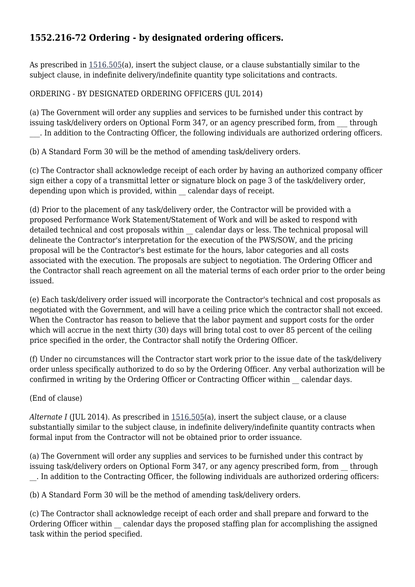# **1552.216-72 Ordering - by designated ordering officers.**

As prescribed in [1516.505\(](https://origin-www.acquisition.gov/%5Brp:link:epaar-part-1516%5D#Section_1516_505_T48_601314311)a), insert the subject clause, or a clause substantially similar to the subject clause, in indefinite delivery/indefinite quantity type solicitations and contracts.

### ORDERING - BY DESIGNATED ORDERING OFFICERS (JUL 2014)

(a) The Government will order any supplies and services to be furnished under this contract by issuing task/delivery orders on Optional Form 347, or an agency prescribed form, from through \_\_\_. In addition to the Contracting Officer, the following individuals are authorized ordering officers.

(b) A Standard Form 30 will be the method of amending task/delivery orders.

(c) The Contractor shall acknowledge receipt of each order by having an authorized company officer sign either a copy of a transmittal letter or signature block on page 3 of the task/delivery order, depending upon which is provided, within calendar days of receipt.

(d) Prior to the placement of any task/delivery order, the Contractor will be provided with a proposed Performance Work Statement/Statement of Work and will be asked to respond with detailed technical and cost proposals within \_\_ calendar days or less. The technical proposal will delineate the Contractor's interpretation for the execution of the PWS/SOW, and the pricing proposal will be the Contractor's best estimate for the hours, labor categories and all costs associated with the execution. The proposals are subject to negotiation. The Ordering Officer and the Contractor shall reach agreement on all the material terms of each order prior to the order being issued.

(e) Each task/delivery order issued will incorporate the Contractor's technical and cost proposals as negotiated with the Government, and will have a ceiling price which the contractor shall not exceed. When the Contractor has reason to believe that the labor payment and support costs for the order which will accrue in the next thirty (30) days will bring total cost to over 85 percent of the ceiling price specified in the order, the Contractor shall notify the Ordering Officer.

(f) Under no circumstances will the Contractor start work prior to the issue date of the task/delivery order unless specifically authorized to do so by the Ordering Officer. Any verbal authorization will be confirmed in writing by the Ordering Officer or Contracting Officer within calendar days.

(End of clause)

*Alternate I* (JUL 2014). As prescribed in [1516.505](https://origin-www.acquisition.gov/%5Brp:link:epaar-part-1516%5D#Section_1516_505_T48_601314311)(a), insert the subject clause, or a clause substantially similar to the subject clause, in indefinite delivery/indefinite quantity contracts when formal input from the Contractor will not be obtained prior to order issuance.

(a) The Government will order any supplies and services to be furnished under this contract by issuing task/delivery orders on Optional Form 347, or any agency prescribed form, from through \_\_. In addition to the Contracting Officer, the following individuals are authorized ordering officers:

(b) A Standard Form 30 will be the method of amending task/delivery orders.

(c) The Contractor shall acknowledge receipt of each order and shall prepare and forward to the Ordering Officer within calendar days the proposed staffing plan for accomplishing the assigned task within the period specified.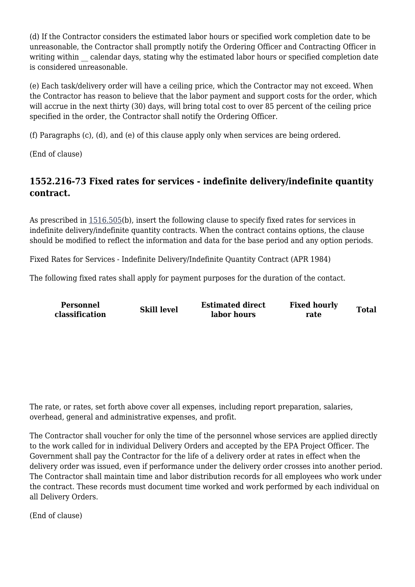(d) If the Contractor considers the estimated labor hours or specified work completion date to be unreasonable, the Contractor shall promptly notify the Ordering Officer and Contracting Officer in writing within calendar days, stating why the estimated labor hours or specified completion date is considered unreasonable.

(e) Each task/delivery order will have a ceiling price, which the Contractor may not exceed. When the Contractor has reason to believe that the labor payment and support costs for the order, which will accrue in the next thirty (30) days, will bring total cost to over 85 percent of the ceiling price specified in the order, the Contractor shall notify the Ordering Officer.

(f) Paragraphs (c), (d), and (e) of this clause apply only when services are being ordered.

(End of clause)

# **1552.216-73 Fixed rates for services - indefinite delivery/indefinite quantity contract.**

As prescribed in [1516.505\(](https://origin-www.acquisition.gov/%5Brp:link:epaar-part-1516%5D#Section_1516_505_T48_601314311)b), insert the following clause to specify fixed rates for services in indefinite delivery/indefinite quantity contracts. When the contract contains options, the clause should be modified to reflect the information and data for the base period and any option periods.

Fixed Rates for Services - Indefinite Delivery/Indefinite Quantity Contract (APR 1984)

The following fixed rates shall apply for payment purposes for the duration of the contact.

**Personnel**

**classification constant in Skill level Estimated direct** classification **labor hours**

**Fixed hourly rate Total**

The rate, or rates, set forth above cover all expenses, including report preparation, salaries, overhead, general and administrative expenses, and profit.

The Contractor shall voucher for only the time of the personnel whose services are applied directly to the work called for in individual Delivery Orders and accepted by the EPA Project Officer. The Government shall pay the Contractor for the life of a delivery order at rates in effect when the delivery order was issued, even if performance under the delivery order crosses into another period. The Contractor shall maintain time and labor distribution records for all employees who work under the contract. These records must document time worked and work performed by each individual on all Delivery Orders.

(End of clause)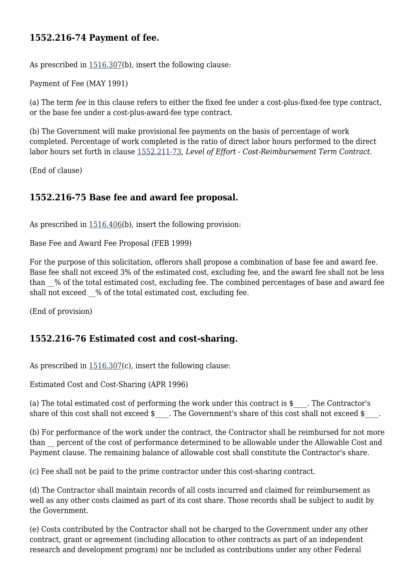## **1552.216-74 Payment of fee.**

As prescribed in [1516.307\(](https://origin-www.acquisition.gov/%5Brp:link:epaar-part-1516%5D#Section_1516_307_T48_6013141110)b), insert the following clause:

Payment of Fee (MAY 1991)

(a) The term *fee* in this clause refers to either the fixed fee under a cost-plus-fixed-fee type contract, or the base fee under a cost-plus-award-fee type contract.

(b) The Government will make provisional fee payments on the basis of percentage of work completed. Percentage of work completed is the ratio of direct labor hours performed to the direct labor hours set forth in clause [1552.211-73](https://origin-www.acquisition.gov/%5Brp:link:epaar-part-1552%5D#Section_1552_211_73_T48_6018371115), *Level of Effort - Cost-Reimbursement Term Contract.*

(End of clause)

## **1552.216-75 Base fee and award fee proposal.**

As prescribed in  $1516.406(b)$  $1516.406(b)$ , insert the following provision:

Base Fee and Award Fee Proposal (FEB 1999)

For the purpose of this solicitation, offerors shall propose a combination of base fee and award fee. Base fee shall not exceed 3% of the estimated cost, excluding fee, and the award fee shall not be less than \_\_% of the total estimated cost, excluding fee. The combined percentages of base and award fee shall not exceed % of the total estimated cost, excluding fee.

(End of provision)

## **1552.216-76 Estimated cost and cost-sharing.**

As prescribed in [1516.307\(](https://origin-www.acquisition.gov/%5Brp:link:epaar-part-1516%5D#Section_1516_307_T48_6013141110)c), insert the following clause:

Estimated Cost and Cost-Sharing (APR 1996)

(a) The total estimated cost of performing the work under this contract is \$ \_\_\_. The Contractor's share of this cost shall not exceed  $\frac{1}{2}$ . The Government's share of this cost shall not exceed  $\frac{1}{2}$ 

(b) For performance of the work under the contract, the Contractor shall be reimbursed for not more than percent of the cost of performance determined to be allowable under the Allowable Cost and Payment clause. The remaining balance of allowable cost shall constitute the Contractor's share.

(c) Fee shall not be paid to the prime contractor under this cost-sharing contract.

(d) The Contractor shall maintain records of all costs incurred and claimed for reimbursement as well as any other costs claimed as part of its cost share. Those records shall be subject to audit by the Government.

(e) Costs contributed by the Contractor shall not be charged to the Government under any other contract, grant or agreement (including allocation to other contracts as part of an independent research and development program) nor be included as contributions under any other Federal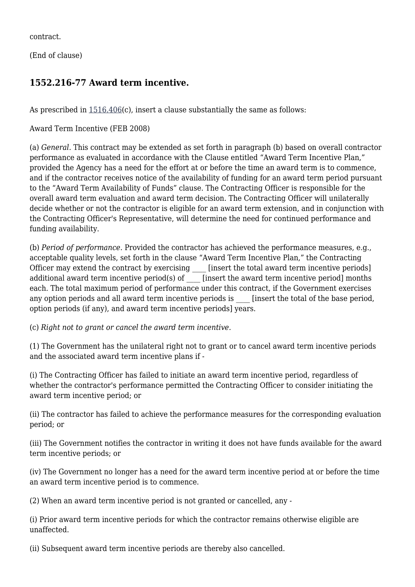contract.

(End of clause)

## **1552.216-77 Award term incentive.**

As prescribed in  $1516.406(c)$  $1516.406(c)$ , insert a clause substantially the same as follows:

Award Term Incentive (FEB 2008)

(a) *General.* This contract may be extended as set forth in paragraph (b) based on overall contractor performance as evaluated in accordance with the Clause entitled "Award Term Incentive Plan," provided the Agency has a need for the effort at or before the time an award term is to commence, and if the contractor receives notice of the availability of funding for an award term period pursuant to the "Award Term Availability of Funds" clause. The Contracting Officer is responsible for the overall award term evaluation and award term decision. The Contracting Officer will unilaterally decide whether or not the contractor is eligible for an award term extension, and in conjunction with the Contracting Officer's Representative, will determine the need for continued performance and funding availability.

(b) *Period of performance.* Provided the contractor has achieved the performance measures, e.g., acceptable quality levels, set forth in the clause "Award Term Incentive Plan," the Contracting Officer may extend the contract by exercising [insert the total award term incentive periods] additional award term incentive period(s) of [insert the award term incentive period] months each. The total maximum period of performance under this contract, if the Government exercises any option periods and all award term incentive periods is [insert the total of the base period, option periods (if any), and award term incentive periods] years.

(c) *Right not to grant or cancel the award term incentive.*

(1) The Government has the unilateral right not to grant or to cancel award term incentive periods and the associated award term incentive plans if -

(i) The Contracting Officer has failed to initiate an award term incentive period, regardless of whether the contractor's performance permitted the Contracting Officer to consider initiating the award term incentive period; or

(ii) The contractor has failed to achieve the performance measures for the corresponding evaluation period; or

(iii) The Government notifies the contractor in writing it does not have funds available for the award term incentive periods; or

(iv) The Government no longer has a need for the award term incentive period at or before the time an award term incentive period is to commence.

(2) When an award term incentive period is not granted or cancelled, any -

(i) Prior award term incentive periods for which the contractor remains otherwise eligible are unaffected.

(ii) Subsequent award term incentive periods are thereby also cancelled.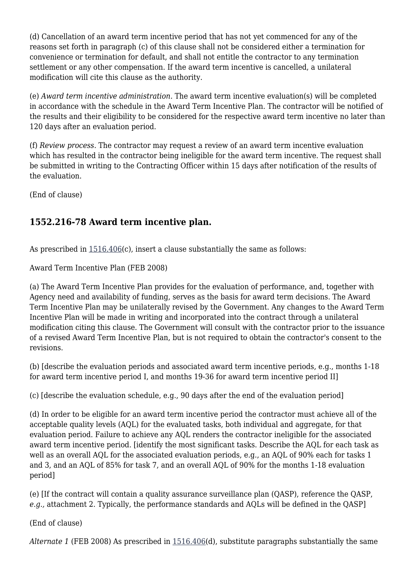(d) Cancellation of an award term incentive period that has not yet commenced for any of the reasons set forth in paragraph (c) of this clause shall not be considered either a termination for convenience or termination for default, and shall not entitle the contractor to any termination settlement or any other compensation. If the award term incentive is cancelled, a unilateral modification will cite this clause as the authority.

(e) *Award term incentive administration.* The award term incentive evaluation(s) will be completed in accordance with the schedule in the Award Term Incentive Plan. The contractor will be notified of the results and their eligibility to be considered for the respective award term incentive no later than 120 days after an evaluation period.

(f) *Review process.* The contractor may request a review of an award term incentive evaluation which has resulted in the contractor being ineligible for the award term incentive. The request shall be submitted in writing to the Contracting Officer within 15 days after notification of the results of the evaluation.

(End of clause)

# **1552.216-78 Award term incentive plan.**

As prescribed in  $1516.406(c)$  $1516.406(c)$ , insert a clause substantially the same as follows:

Award Term Incentive Plan (FEB 2008)

(a) The Award Term Incentive Plan provides for the evaluation of performance, and, together with Agency need and availability of funding, serves as the basis for award term decisions. The Award Term Incentive Plan may be unilaterally revised by the Government. Any changes to the Award Term Incentive Plan will be made in writing and incorporated into the contract through a unilateral modification citing this clause. The Government will consult with the contractor prior to the issuance of a revised Award Term Incentive Plan, but is not required to obtain the contractor's consent to the revisions.

(b) [describe the evaluation periods and associated award term incentive periods, e.g., months 1-18 for award term incentive period I, and months 19-36 for award term incentive period II]

(c) [describe the evaluation schedule, e.g., 90 days after the end of the evaluation period]

(d) In order to be eligible for an award term incentive period the contractor must achieve all of the acceptable quality levels (AQL) for the evaluated tasks, both individual and aggregate. for that evaluation period. Failure to achieve any AQL renders the contractor ineligible for the associated award term incentive period. [identify the most significant tasks. Describe the AQL for each task as well as an overall AQL for the associated evaluation periods, e.g., an AQL of 90% each for tasks 1 and 3, and an AQL of 85% for task 7, and an overall AQL of 90% for the months 1-18 evaluation period]

(e) [If the contract will contain a quality assurance surveillance plan (QASP), reference the QASP, *e.g.,* attachment 2. Typically, the performance standards and AQLs will be defined in the QASP]

(End of clause)

*Alternate 1* (FEB 2008) As prescribed in [1516.406\(](https://origin-www.acquisition.gov/%5Brp:link:epaar-part-1516%5D#Section_1516_406_T48_601314218)d), substitute paragraphs substantially the same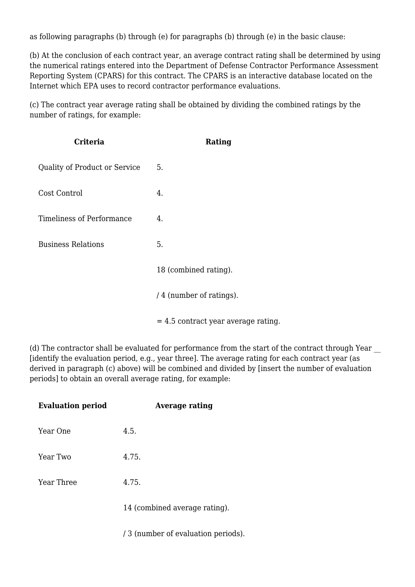as following paragraphs (b) through (e) for paragraphs (b) through (e) in the basic clause:

(b) At the conclusion of each contract year, an average contract rating shall be determined by using the numerical ratings entered into the Department of Defense Contractor Performance Assessment Reporting System (CPARS) for this contract. The CPARS is an interactive database located on the Internet which EPA uses to record contractor performance evaluations.

(c) The contract year average rating shall be obtained by dividing the combined ratings by the number of ratings, for example:

| Criteria                             | Rating                                |
|--------------------------------------|---------------------------------------|
| <b>Quality of Product or Service</b> | 5.                                    |
| Cost Control                         | 4.                                    |
| <b>Timeliness of Performance</b>     | 4.                                    |
| <b>Business Relations</b>            | 5.                                    |
|                                      | 18 (combined rating).                 |
|                                      | / 4 (number of ratings).              |
|                                      | $= 4.5$ contract year average rating. |

(d) The contractor shall be evaluated for performance from the start of the contract through Year \_\_ [identify the evaluation period, e.g., year three]. The average rating for each contract year (as derived in paragraph (c) above) will be combined and divided by [insert the number of evaluation periods] to obtain an overall average rating, for example:

| <b>Evaluation period</b> | <b>Average rating</b>               |
|--------------------------|-------------------------------------|
| Year One                 | 4.5.                                |
| Year Two                 | 4.75.                               |
| Year Three               | 4.75.                               |
|                          | 14 (combined average rating).       |
|                          | / 3 (number of evaluation periods). |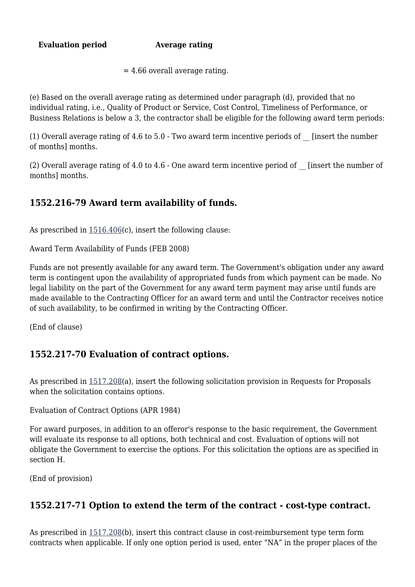**Evaluation period Average rating**

 $= 4.66$  overall average rating.

(e) Based on the overall average rating as determined under paragraph (d), provided that no individual rating, i.e., Quality of Product or Service, Cost Control, Timeliness of Performance, or Business Relations is below a 3, the contractor shall be eligible for the following award term periods:

(1) Overall average rating of 4.6 to 5.0 - Two award term incentive periods of  $\Box$  [insert the number of months] months.

(2) Overall average rating of 4.0 to 4.6 - One award term incentive period of \_\_ [insert the number of months] months.

## **1552.216-79 Award term availability of funds.**

As prescribed in [1516.406\(](https://origin-www.acquisition.gov/%5Brp:link:epaar-part-1516%5D#Section_1516_406_T48_601314218)c), insert the following clause:

Award Term Availability of Funds (FEB 2008)

Funds are not presently available for any award term. The Government's obligation under any award term is contingent upon the availability of appropriated funds from which payment can be made. No legal liability on the part of the Government for any award term payment may arise until funds are made available to the Contracting Officer for an award term and until the Contractor receives notice of such availability, to be confirmed in writing by the Contracting Officer.

(End of clause)

## **1552.217-70 Evaluation of contract options.**

As prescribed in [1517.208\(](https://origin-www.acquisition.gov/%5Brp:link:epaar-part-1517%5D#Section_1517_208_T48_601315113)a), insert the following solicitation provision in Requests for Proposals when the solicitation contains options.

Evaluation of Contract Options (APR 1984)

For award purposes, in addition to an offeror's response to the basic requirement, the Government will evaluate its response to all options, both technical and cost. Evaluation of options will not obligate the Government to exercise the options. For this solicitation the options are as specified in section H.

(End of provision)

## **1552.217-71 Option to extend the term of the contract - cost-type contract.**

As prescribed in [1517.208\(](https://origin-www.acquisition.gov/%5Brp:link:epaar-part-1517%5D#Section_1517_208_T48_601315113)b), insert this contract clause in cost-reimbursement type term form contracts when applicable. If only one option period is used, enter "NA" in the proper places of the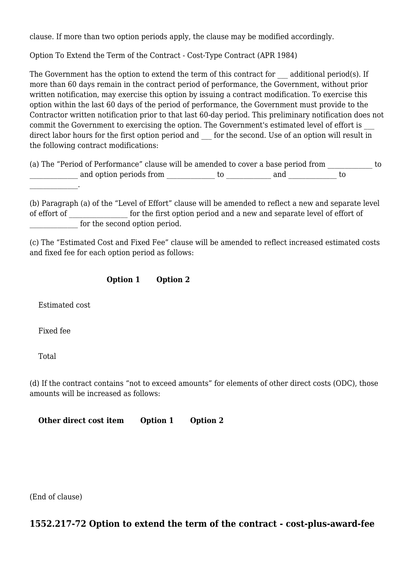clause. If more than two option periods apply, the clause may be modified accordingly.

Option To Extend the Term of the Contract - Cost-Type Contract (APR 1984)

The Government has the option to extend the term of this contract for additional period(s). If more than 60 days remain in the contract period of performance, the Government, without prior written notification, may exercise this option by issuing a contract modification. To exercise this option within the last 60 days of the period of performance, the Government must provide to the Contractor written notification prior to that last 60-day period. This preliminary notification does not commit the Government to exercising the option. The Government's estimated level of effort is direct labor hours for the first option period and \_\_\_ for the second. Use of an option will result in the following contract modifications:

| (a) The "Period of Performance" clause will be amended to cover a base period from |  |     |  |
|------------------------------------------------------------------------------------|--|-----|--|
| and option periods from                                                            |  | and |  |

(b) Paragraph (a) of the "Level of Effort" clause will be amended to reflect a new and separate level of effort of  $\qquad \qquad$  for the first option period and a new and separate level of effort of for the second option period.

(c) The "Estimated Cost and Fixed Fee" clause will be amended to reflect increased estimated costs and fixed fee for each option period as follows:

#### **Option 1 Option 2**

Estimated cost

Fixed fee

 $\mathcal{L}=\mathcal{L}^{\text{max}}$ 

Total

(d) If the contract contains "not to exceed amounts" for elements of other direct costs (ODC), those amounts will be increased as follows:

**Other direct cost item Option 1 Option 2**

(End of clause)

## **1552.217-72 Option to extend the term of the contract - cost-plus-award-fee**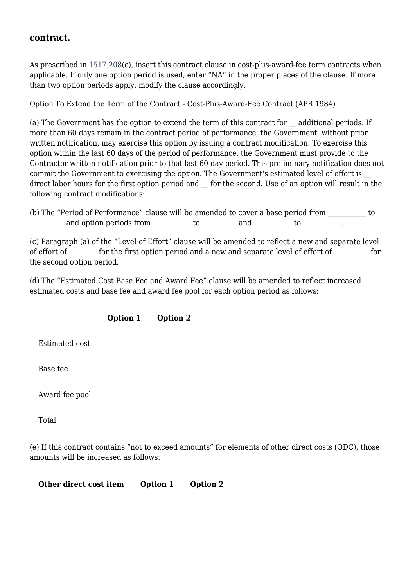#### **contract.**

As prescribed in  $1517.208(c)$  $1517.208(c)$ , insert this contract clause in cost-plus-award-fee term contracts when applicable. If only one option period is used, enter "NA" in the proper places of the clause. If more than two option periods apply, modify the clause accordingly.

Option To Extend the Term of the Contract - Cost-Plus-Award-Fee Contract (APR 1984)

(a) The Government has the option to extend the term of this contract for \_\_ additional periods. If more than 60 days remain in the contract period of performance, the Government, without prior written notification, may exercise this option by issuing a contract modification. To exercise this option within the last 60 days of the period of performance, the Government must provide to the Contractor written notification prior to that last 60-day period. This preliminary notification does not commit the Government to exercising the option. The Government's estimated level of effort is direct labor hours for the first option period and \_\_ for the second. Use of an option will result in the following contract modifications:

(b) The "Period of Performance" clause will be amended to cover a base period from to and option periods from \_\_\_\_\_\_\_\_\_\_\_ to \_\_\_\_\_\_\_\_\_\_ and \_\_\_\_\_\_\_\_\_\_\_ to \_\_\_\_\_\_\_\_\_.

(c) Paragraph (a) of the "Level of Effort" clause will be amended to reflect a new and separate level of effort of  $\qquad$  for the first option period and a new and separate level of effort of  $\qquad$  for the second option period.

(d) The "Estimated Cost Base Fee and Award Fee" clause will be amended to reflect increased estimated costs and base fee and award fee pool for each option period as follows:

#### **Option 1 Option 2**

Estimated cost

Base fee

Award fee pool

Total

(e) If this contract contains "not to exceed amounts" for elements of other direct costs (ODC), those amounts will be increased as follows:

**Other direct cost item Option 1 Option 2**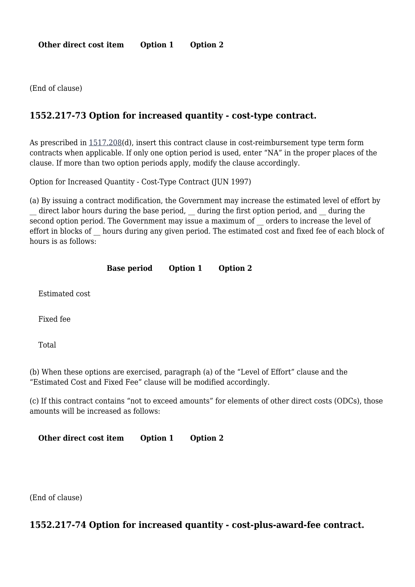**Other direct cost item Option 1 Option 2**

(End of clause)

## **1552.217-73 Option for increased quantity - cost-type contract.**

As prescribed in [1517.208\(](https://origin-www.acquisition.gov/%5Brp:link:epaar-part-1517%5D#Section_1517_208_T48_601315113)d), insert this contract clause in cost-reimbursement type term form contracts when applicable. If only one option period is used, enter "NA" in the proper places of the clause. If more than two option periods apply, modify the clause accordingly.

Option for Increased Quantity - Cost-Type Contract (JUN 1997)

(a) By issuing a contract modification, the Government may increase the estimated level of effort by \_\_ direct labor hours during the base period, \_\_ during the first option period, and \_\_ during the second option period. The Government may issue a maximum of orders to increase the level of effort in blocks of \_\_ hours during any given period. The estimated cost and fixed fee of each block of hours is as follows:

#### **Base period Option 1 Option 2**

Estimated cost

Fixed fee

Total

(b) When these options are exercised, paragraph (a) of the "Level of Effort" clause and the "Estimated Cost and Fixed Fee" clause will be modified accordingly.

(c) If this contract contains "not to exceed amounts" for elements of other direct costs (ODCs), those amounts will be increased as follows:

**Other direct cost item Option 1 Option 2**

(End of clause)

#### **1552.217-74 Option for increased quantity - cost-plus-award-fee contract.**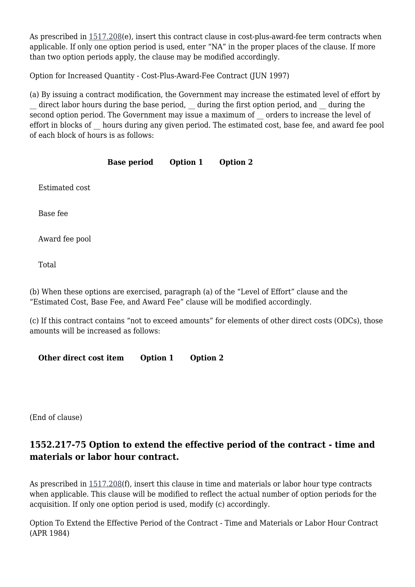As prescribed in [1517.208\(](https://origin-www.acquisition.gov/%5Brp:link:epaar-part-1517%5D#Section_1517_208_T48_601315113)e), insert this contract clause in cost-plus-award-fee term contracts when applicable. If only one option period is used, enter "NA" in the proper places of the clause. If more than two option periods apply, the clause may be modified accordingly.

Option for Increased Quantity - Cost-Plus-Award-Fee Contract (JUN 1997)

(a) By issuing a contract modification, the Government may increase the estimated level of effort by \_\_ direct labor hours during the base period, \_\_ during the first option period, and \_\_ during the second option period. The Government may issue a maximum of orders to increase the level of effort in blocks of \_\_ hours during any given period. The estimated cost, base fee, and award fee pool of each block of hours is as follows:

|                | <b>Base period</b> | Option 1 | <b>Option 2</b> |
|----------------|--------------------|----------|-----------------|
| Estimated cost |                    |          |                 |
| Base fee       |                    |          |                 |
| Award fee pool |                    |          |                 |
| Total          |                    |          |                 |
|                |                    |          |                 |

(b) When these options are exercised, paragraph (a) of the "Level of Effort" clause and the "Estimated Cost, Base Fee, and Award Fee" clause will be modified accordingly.

(c) If this contract contains "not to exceed amounts" for elements of other direct costs (ODCs), those amounts will be increased as follows:

**Other direct cost item Option 1 Option 2**

(End of clause)

# **1552.217-75 Option to extend the effective period of the contract - time and materials or labor hour contract.**

As prescribed in  $1517.208(f)$  $1517.208(f)$ , insert this clause in time and materials or labor hour type contracts when applicable. This clause will be modified to reflect the actual number of option periods for the acquisition. If only one option period is used, modify (c) accordingly.

Option To Extend the Effective Period of the Contract - Time and Materials or Labor Hour Contract (APR 1984)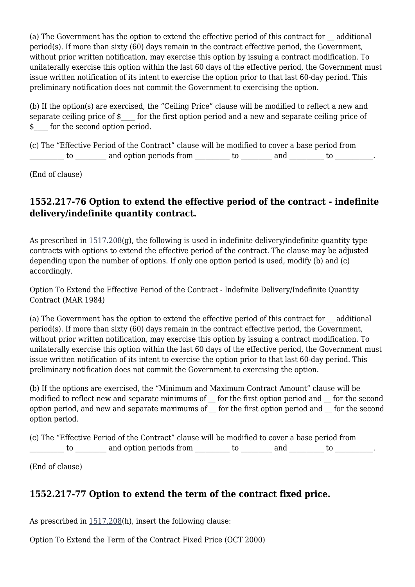(a) The Government has the option to extend the effective period of this contract for \_\_ additional period(s). If more than sixty (60) days remain in the contract effective period, the Government, without prior written notification, may exercise this option by issuing a contract modification. To unilaterally exercise this option within the last 60 days of the effective period, the Government must issue written notification of its intent to exercise the option prior to that last 60-day period. This preliminary notification does not commit the Government to exercising the option.

(b) If the option(s) are exercised, the "Ceiling Price" clause will be modified to reflect a new and separate ceiling price of  $\frac{1}{2}$  for the first option period and a new and separate ceiling price of \$ for the second option period.

(c) The "Effective Period of the Contract" clause will be modified to cover a base period from to and option periods from to and to  $\cdots$ 

(End of clause)

## **1552.217-76 Option to extend the effective period of the contract - indefinite delivery/indefinite quantity contract.**

As prescribed in [1517.208\(](https://origin-www.acquisition.gov/%5Brp:link:epaar-part-1517%5D#Section_1517_208_T48_601315113)g), the following is used in indefinite delivery/indefinite quantity type contracts with options to extend the effective period of the contract. The clause may be adjusted depending upon the number of options. If only one option period is used, modify (b) and (c) accordingly.

Option To Extend the Effective Period of the Contract - Indefinite Delivery/Indefinite Quantity Contract (MAR 1984)

(a) The Government has the option to extend the effective period of this contract for \_\_ additional period(s). If more than sixty (60) days remain in the contract effective period, the Government, without prior written notification, may exercise this option by issuing a contract modification. To unilaterally exercise this option within the last 60 days of the effective period, the Government must issue written notification of its intent to exercise the option prior to that last 60-day period. This preliminary notification does not commit the Government to exercising the option.

(b) If the options are exercised, the "Minimum and Maximum Contract Amount" clause will be modified to reflect new and separate minimums of \_\_ for the first option period and \_\_ for the second option period, and new and separate maximums of \_\_ for the first option period and \_\_ for the second option period.

(c) The "Effective Period of the Contract" clause will be modified to cover a base period from  $\textrm{to}$   $\hspace{1.5cm}$  and option periods from  $\hspace{1.5cm}$  to  $\hspace{1.5cm}$  and  $\hspace{1.5cm}$  to  $\hspace{1.5cm}$  .

(End of clause)

# **1552.217-77 Option to extend the term of the contract fixed price.**

As prescribed in [1517.208\(](https://origin-www.acquisition.gov/%5Brp:link:epaar-part-1517%5D#Section_1517_208_T48_601315113)h), insert the following clause:

Option To Extend the Term of the Contract Fixed Price (OCT 2000)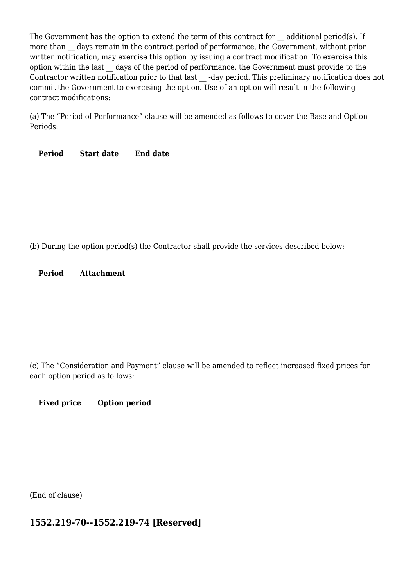The Government has the option to extend the term of this contract for additional period(s). If more than days remain in the contract period of performance, the Government, without prior written notification, may exercise this option by issuing a contract modification. To exercise this option within the last \_\_ days of the period of performance, the Government must provide to the Contractor written notification prior to that last -day period. This preliminary notification does not commit the Government to exercising the option. Use of an option will result in the following contract modifications:

(a) The "Period of Performance" clause will be amended as follows to cover the Base and Option Periods:

**Period Start date End date**

(b) During the option period(s) the Contractor shall provide the services described below:

**Period Attachment**

(c) The "Consideration and Payment" clause will be amended to reflect increased fixed prices for each option period as follows:

#### **Fixed price Option period**

(End of clause)

## **1552.219-70--1552.219-74 [Reserved]**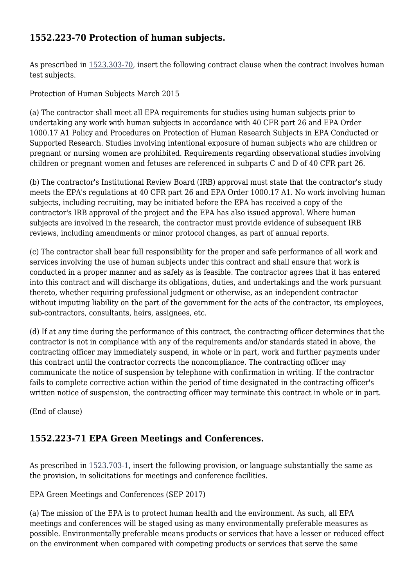## **1552.223-70 Protection of human subjects.**

As prescribed in  $1523.303-70$ , insert the following contract clause when the contract involves human test subjects.

#### Protection of Human Subjects March 2015

(a) The contractor shall meet all EPA requirements for studies using human subjects prior to undertaking any work with human subjects in accordance with 40 CFR part 26 and EPA Order 1000.17 A1 Policy and Procedures on Protection of Human Research Subjects in EPA Conducted or Supported Research. Studies involving intentional exposure of human subjects who are children or pregnant or nursing women are prohibited. Requirements regarding observational studies involving children or pregnant women and fetuses are referenced in subparts C and D of 40 CFR part 26.

(b) The contractor's Institutional Review Board (IRB) approval must state that the contractor's study meets the EPA's regulations at 40 CFR part 26 and EPA Order 1000.17 A1. No work involving human subjects, including recruiting, may be initiated before the EPA has received a copy of the contractor's IRB approval of the project and the EPA has also issued approval. Where human subjects are involved in the research, the contractor must provide evidence of subsequent IRB reviews, including amendments or minor protocol changes, as part of annual reports.

(c) The contractor shall bear full responsibility for the proper and safe performance of all work and services involving the use of human subjects under this contract and shall ensure that work is conducted in a proper manner and as safely as is feasible. The contractor agrees that it has entered into this contract and will discharge its obligations, duties, and undertakings and the work pursuant thereto, whether requiring professional judgment or otherwise, as an independent contractor without imputing liability on the part of the government for the acts of the contractor, its employees, sub-contractors, consultants, heirs, assignees, etc.

(d) If at any time during the performance of this contract, the contracting officer determines that the contractor is not in compliance with any of the requirements and/or standards stated in above, the contracting officer may immediately suspend, in whole or in part, work and further payments under this contract until the contractor corrects the noncompliance. The contracting officer may communicate the notice of suspension by telephone with confirmation in writing. If the contractor fails to complete corrective action within the period of time designated in the contracting officer's written notice of suspension, the contracting officer may terminate this contract in whole or in part.

(End of clause)

## **1552.223-71 EPA Green Meetings and Conferences.**

As prescribed in [1523.703-1,](https://origin-www.acquisition.gov/%5Brp:link:epaar-part-1523%5D#Section_1523_703_1_T48_601419212) insert the following provision, or language substantially the same as the provision, in solicitations for meetings and conference facilities.

EPA Green Meetings and Conferences (SEP 2017)

(a) The mission of the EPA is to protect human health and the environment. As such, all EPA meetings and conferences will be staged using as many environmentally preferable measures as possible. Environmentally preferable means products or services that have a lesser or reduced effect on the environment when compared with competing products or services that serve the same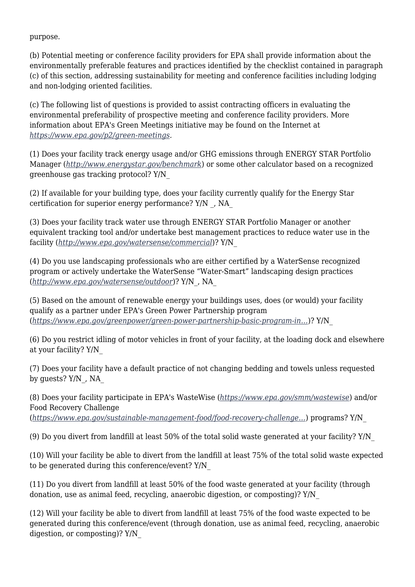purpose.

(b) Potential meeting or conference facility providers for EPA shall provide information about the environmentally preferable features and practices identified by the checklist contained in paragraph (c) of this section, addressing sustainability for meeting and conference facilities including lodging and non-lodging oriented facilities.

(c) The following list of questions is provided to assist contracting officers in evaluating the environmental preferability of prospective meeting and conference facility providers. More information about EPA's Green Meetings initiative may be found on the Internet at *[https://www.epa.gov/p2/green-meetings.](https://www.epa.gov/p2/green-meetings)*

(1) Does your facility track energy usage and/or GHG emissions through ENERGY STAR Portfolio Manager (*<http://www.energystar.gov/benchmark>*) or some other calculator based on a recognized greenhouse gas tracking protocol? Y/N\_

(2) If available for your building type, does your facility currently qualify for the Energy Star certification for superior energy performance? Y/N \_, NA\_

(3) Does your facility track water use through ENERGY STAR Portfolio Manager or another equivalent tracking tool and/or undertake best management practices to reduce water use in the facility (*<http://www.epa.gov/watersense/commercial>*)? Y/N\_

(4) Do you use landscaping professionals who are either certified by a WaterSense recognized program or actively undertake the WaterSense "Water-Smart" landscaping design practices (*<http://www.epa.gov/watersense/outdoor>*)? Y/N\_, NA\_

(5) Based on the amount of renewable energy your buildings uses, does (or would) your facility qualify as a partner under EPA's Green Power Partnership program (*[https://www.epa.gov/greenpower/green-power-partnership-basic-program-in…](https://www.epa.gov/greenpower/green-power-partnership-basic-program-information)*)? Y/N\_

(6) Do you restrict idling of motor vehicles in front of your facility, at the loading dock and elsewhere at your facility? Y/N\_

(7) Does your facility have a default practice of not changing bedding and towels unless requested by guests? Y/N\_, NA\_

(8) Does your facility participate in EPA's WasteWise (*<https://www.epa.gov/smm/wastewise>*) and/or Food Recovery Challenge (*[https://www.epa.gov/sustainable-management-food/food-recovery-challenge…](https://www.epa.gov/sustainable-management-food/food-recovery-challenge-frc)*) programs? Y/N\_

(9) Do you divert from landfill at least 50% of the total solid waste generated at your facility? Y/N\_

(10) Will your facility be able to divert from the landfill at least 75% of the total solid waste expected to be generated during this conference/event? Y/N\_

(11) Do you divert from landfill at least 50% of the food waste generated at your facility (through donation, use as animal feed, recycling, anaerobic digestion, or composting)? Y/N\_

(12) Will your facility be able to divert from landfill at least 75% of the food waste expected to be generated during this conference/event (through donation, use as animal feed, recycling, anaerobic digestion, or composting)? Y/N\_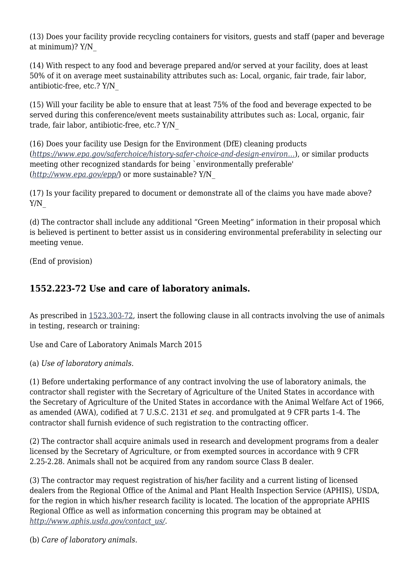(13) Does your facility provide recycling containers for visitors, guests and staff (paper and beverage at minimum)? Y/N\_

(14) With respect to any food and beverage prepared and/or served at your facility, does at least 50% of it on average meet sustainability attributes such as: Local, organic, fair trade, fair labor, antibiotic-free, etc.? Y/N\_

(15) Will your facility be able to ensure that at least 75% of the food and beverage expected to be served during this conference/event meets sustainability attributes such as: Local, organic, fair trade, fair labor, antibiotic-free, etc.? Y/N\_

(16) Does your facility use Design for the Environment (DfE) cleaning products (*[https://www.epa.gov/saferchoice/history-safer-choice-and-design-environ…](https://www.epa.gov/saferchoice/history-safer-choice-and-design-environment)*), or similar products meeting other recognized standards for being `environmentally preferable' (*<http://www.epa.gov/epp/>*) or more sustainable? Y/N\_

(17) Is your facility prepared to document or demonstrate all of the claims you have made above? Y/N\_

(d) The contractor shall include any additional "Green Meeting" information in their proposal which is believed is pertinent to better assist us in considering environmental preferability in selecting our meeting venue.

(End of provision)

## **1552.223-72 Use and care of laboratory animals.**

As prescribed in [1523.303-72,](https://origin-www.acquisition.gov/%5Brp:link:epaar-part-1523%5D#Section_1523_303_72_T48_601419114) insert the following clause in all contracts involving the use of animals in testing, research or training:

Use and Care of Laboratory Animals March 2015

(a) *Use of laboratory animals.*

(1) Before undertaking performance of any contract involving the use of laboratory animals, the contractor shall register with the Secretary of Agriculture of the United States in accordance with the Secretary of Agriculture of the United States in accordance with the Animal Welfare Act of 1966, as amended (AWA), codified at 7 U.S.C. 2131 *et seq.* and promulgated at 9 CFR parts 1-4. The contractor shall furnish evidence of such registration to the contracting officer.

(2) The contractor shall acquire animals used in research and development programs from a dealer licensed by the Secretary of Agriculture, or from exempted sources in accordance with 9 CFR 2.25-2.28. Animals shall not be acquired from any random source Class B dealer.

(3) The contractor may request registration of his/her facility and a current listing of licensed dealers from the Regional Office of the Animal and Plant Health Inspection Service (APHIS), USDA, for the region in which his/her research facility is located. The location of the appropriate APHIS Regional Office as well as information concerning this program may be obtained at *[http://www.aphis.usda.gov/contact\\_us/.](http://www.aphis.usda.gov/contact_us/)*

(b) *Care of laboratory animals.*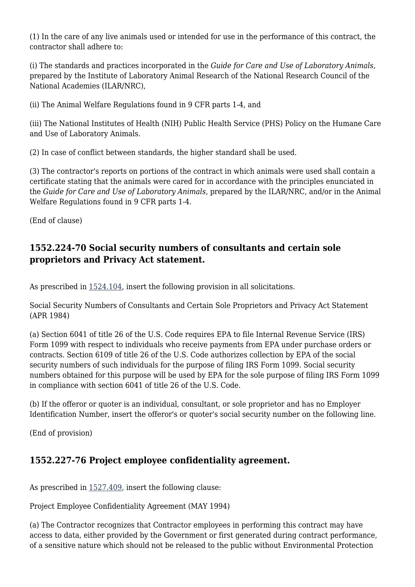(1) In the care of any live animals used or intended for use in the performance of this contract, the contractor shall adhere to:

(i) The standards and practices incorporated in the *Guide for Care and Use of Laboratory Animals,* prepared by the Institute of Laboratory Animal Research of the National Research Council of the National Academies (ILAR/NRC),

(ii) The Animal Welfare Regulations found in 9 CFR parts 1-4, and

(iii) The National Institutes of Health (NIH) Public Health Service (PHS) Policy on the Humane Care and Use of Laboratory Animals.

(2) In case of conflict between standards, the higher standard shall be used.

(3) The contractor's reports on portions of the contract in which animals were used shall contain a certificate stating that the animals were cared for in accordance with the principles enunciated in the *Guide for Care and Use of Laboratory Animals,* prepared by the ILAR/NRC, and/or in the Animal Welfare Regulations found in 9 CFR parts 1-4.

(End of clause)

# **1552.224-70 Social security numbers of consultants and certain sole proprietors and Privacy Act statement.**

As prescribed in [1524.104,](https://origin-www.acquisition.gov/%5Brp:link:epaar-part-1524%5D#Section_1524_104_T48_601420111) insert the following provision in all solicitations.

Social Security Numbers of Consultants and Certain Sole Proprietors and Privacy Act Statement (APR 1984)

(a) Section 6041 of title 26 of the U.S. Code requires EPA to file Internal Revenue Service (IRS) Form 1099 with respect to individuals who receive payments from EPA under purchase orders or contracts. Section 6109 of title 26 of the U.S. Code authorizes collection by EPA of the social security numbers of such individuals for the purpose of filing IRS Form 1099. Social security numbers obtained for this purpose will be used by EPA for the sole purpose of filing IRS Form 1099 in compliance with section 6041 of title 26 of the U.S. Code.

(b) If the offeror or quoter is an individual, consultant, or sole proprietor and has no Employer Identification Number, insert the offeror's or quoter's social security number on the following line.

(End of provision)

# **1552.227-76 Project employee confidentiality agreement.**

As prescribed in [1527.409,](https://origin-www.acquisition.gov/%5Brp:link:epaar-part-1527%5D#Section_1527_409_T48_601522112) insert the following clause:

Project Employee Confidentiality Agreement (MAY 1994)

(a) The Contractor recognizes that Contractor employees in performing this contract may have access to data, either provided by the Government or first generated during contract performance, of a sensitive nature which should not be released to the public without Environmental Protection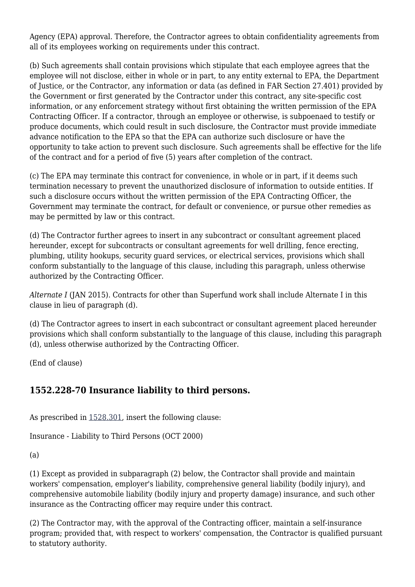Agency (EPA) approval. Therefore, the Contractor agrees to obtain confidentiality agreements from all of its employees working on requirements under this contract.

(b) Such agreements shall contain provisions which stipulate that each employee agrees that the employee will not disclose, either in whole or in part, to any entity external to EPA, the Department of Justice, or the Contractor, any information or data (as defined in FAR Section 27.401) provided by the Government or first generated by the Contractor under this contract, any site-specific cost information, or any enforcement strategy without first obtaining the written permission of the EPA Contracting Officer. If a contractor, through an employee or otherwise, is subpoenaed to testify or produce documents, which could result in such disclosure, the Contractor must provide immediate advance notification to the EPA so that the EPA can authorize such disclosure or have the opportunity to take action to prevent such disclosure. Such agreements shall be effective for the life of the contract and for a period of five (5) years after completion of the contract.

(c) The EPA may terminate this contract for convenience, in whole or in part, if it deems such termination necessary to prevent the unauthorized disclosure of information to outside entities. If such a disclosure occurs without the written permission of the EPA Contracting Officer, the Government may terminate the contract, for default or convenience, or pursue other remedies as may be permitted by law or this contract.

(d) The Contractor further agrees to insert in any subcontract or consultant agreement placed hereunder, except for subcontracts or consultant agreements for well drilling, fence erecting, plumbing, utility hookups, security guard services, or electrical services, provisions which shall conform substantially to the language of this clause, including this paragraph, unless otherwise authorized by the Contracting Officer.

*Alternate I* (JAN 2015). Contracts for other than Superfund work shall include Alternate I in this clause in lieu of paragraph (d).

(d) The Contractor agrees to insert in each subcontract or consultant agreement placed hereunder provisions which shall conform substantially to the language of this clause, including this paragraph (d), unless otherwise authorized by the Contracting Officer.

(End of clause)

# **1552.228-70 Insurance liability to third persons.**

As prescribed in [1528.301,](https://origin-www.acquisition.gov/%5Brp:link:epaar-part-1528%5D#Section_1528_301_T48_601523111) insert the following clause:

Insurance - Liability to Third Persons (OCT 2000)

(a)

(1) Except as provided in subparagraph (2) below, the Contractor shall provide and maintain workers' compensation, employer's liability, comprehensive general liability (bodily injury), and comprehensive automobile liability (bodily injury and property damage) insurance, and such other insurance as the Contracting officer may require under this contract.

(2) The Contractor may, with the approval of the Contracting officer, maintain a self-insurance program; provided that, with respect to workers' compensation, the Contractor is qualified pursuant to statutory authority.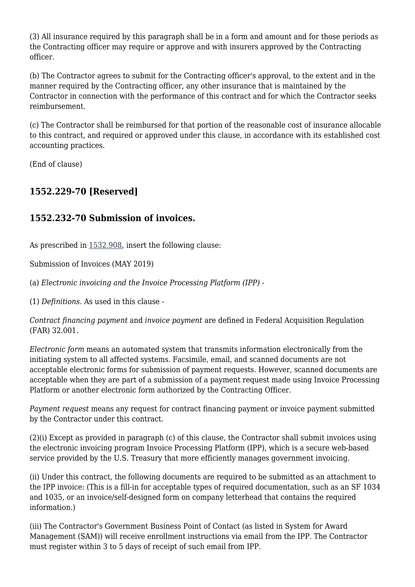(3) All insurance required by this paragraph shall be in a form and amount and for those periods as the Contracting officer may require or approve and with insurers approved by the Contracting officer.

(b) The Contractor agrees to submit for the Contracting officer's approval, to the extent and in the manner required by the Contracting officer, any other insurance that is maintained by the Contractor in connection with the performance of this contract and for which the Contractor seeks reimbursement.

(c) The Contractor shall be reimbursed for that portion of the reasonable cost of insurance allocable to this contract, and required or approved under this clause, in accordance with its established cost accounting practices.

(End of clause)

# **1552.229-70 [Reserved]**

# **1552.232-70 Submission of invoices.**

As prescribed in [1532.908,](https://origin-www.acquisition.gov/%5Brp:link:epaar-part-1532%5D#Section_1532_908_T48_601527511) insert the following clause:

Submission of Invoices (MAY 2019)

(a) *Electronic invoicing and the Invoice Processing Platform (IPP)* -

(1) *Definitions.* As used in this clause -

*Contract financing payment* and *invoice payment* are defined in Federal Acquisition Regulation (FAR) 32.001.

*Electronic form* means an automated system that transmits information electronically from the initiating system to all affected systems. Facsimile, email, and scanned documents are not acceptable electronic forms for submission of payment requests. However, scanned documents are acceptable when they are part of a submission of a payment request made using Invoice Processing Platform or another electronic form authorized by the Contracting Officer.

*Payment request* means any request for contract financing payment or invoice payment submitted by the Contractor under this contract.

(2)(i) Except as provided in paragraph (c) of this clause, the Contractor shall submit invoices using the electronic invoicing program Invoice Processing Platform (IPP), which is a secure web-based service provided by the U.S. Treasury that more efficiently manages government invoicing.

(ii) Under this contract, the following documents are required to be submitted as an attachment to the IPP invoice: (This is a fill-in for acceptable types of required documentation, such as an SF 1034 and 1035, or an invoice/self-designed form on company letterhead that contains the required information.)

(iii) The Contractor's Government Business Point of Contact (as listed in System for Award Management (SAM)) will receive enrollment instructions via email from the IPP. The Contractor must register within 3 to 5 days of receipt of such email from IPP.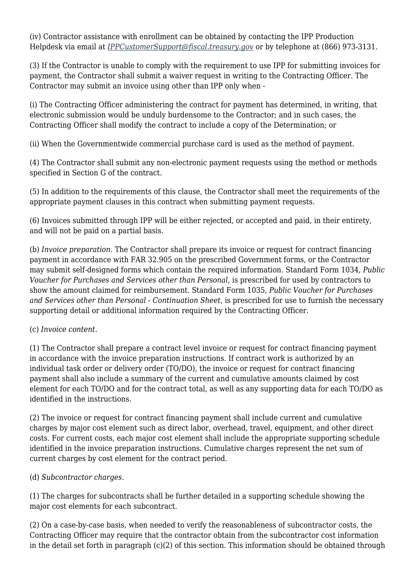(iv) Contractor assistance with enrollment can be obtained by contacting the IPP Production Helpdesk via email at *[IPPCustomerSupport@fiscal.treasury.gov](mailto:IPPCustomerSupport@fiscal.treasury.gov)* or by telephone at (866) 973-3131.

(3) If the Contractor is unable to comply with the requirement to use IPP for submitting invoices for payment, the Contractor shall submit a waiver request in writing to the Contracting Officer. The Contractor may submit an invoice using other than IPP only when -

(i) The Contracting Officer administering the contract for payment has determined, in writing, that electronic submission would be unduly burdensome to the Contractor; and in such cases, the Contracting Officer shall modify the contract to include a copy of the Determination; or

(ii) When the Governmentwide commercial purchase card is used as the method of payment.

(4) The Contractor shall submit any non-electronic payment requests using the method or methods specified in Section G of the contract.

(5) In addition to the requirements of this clause, the Contractor shall meet the requirements of the appropriate payment clauses in this contract when submitting payment requests.

(6) Invoices submitted through IPP will be either rejected, or accepted and paid, in their entirety, and will not be paid on a partial basis.

(b) *Invoice preparation.* The Contractor shall prepare its invoice or request for contract financing payment in accordance with FAR 32.905 on the prescribed Government forms, or the Contractor may submit self-designed forms which contain the required information. Standard Form 1034, *Public Voucher for Purchases and Services other than Personal,* is prescribed for used by contractors to show the amount claimed for reimbursement. Standard Form 1035, *Public Voucher for Purchases and Services other than Personal - Continuation Sheet,* is prescribed for use to furnish the necessary supporting detail or additional information required by the Contracting Officer.

#### (c) *Invoice content.*

(1) The Contractor shall prepare a contract level invoice or request for contract financing payment in accordance with the invoice preparation instructions. If contract work is authorized by an individual task order or delivery order (TO/DO), the invoice or request for contract financing payment shall also include a summary of the current and cumulative amounts claimed by cost element for each TO/DO and for the contract total, as well as any supporting data for each TO/DO as identified in the instructions.

(2) The invoice or request for contract financing payment shall include current and cumulative charges by major cost element such as direct labor, overhead, travel, equipment, and other direct costs. For current costs, each major cost element shall include the appropriate supporting schedule identified in the invoice preparation instructions. Cumulative charges represent the net sum of current charges by cost element for the contract period.

#### (d) *Subcontractor charges.*

(1) The charges for subcontracts shall be further detailed in a supporting schedule showing the major cost elements for each subcontract.

(2) On a case-by-case basis, when needed to verify the reasonableness of subcontractor costs, the Contracting Officer may require that the contractor obtain from the subcontractor cost information in the detail set forth in paragraph (c)(2) of this section. This information should be obtained through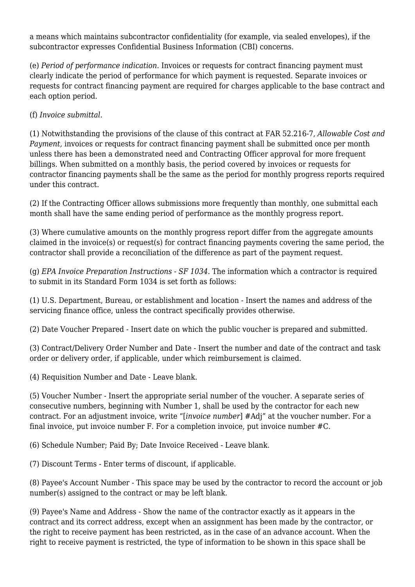a means which maintains subcontractor confidentiality (for example, via sealed envelopes), if the subcontractor expresses Confidential Business Information (CBI) concerns.

(e) *Period of performance indication.* Invoices or requests for contract financing payment must clearly indicate the period of performance for which payment is requested. Separate invoices or requests for contract financing payment are required for charges applicable to the base contract and each option period.

(f) *Invoice submittal.*

(1) Notwithstanding the provisions of the clause of this contract at FAR 52.216-7, *Allowable Cost and Payment,* invoices or requests for contract financing payment shall be submitted once per month unless there has been a demonstrated need and Contracting Officer approval for more frequent billings. When submitted on a monthly basis, the period covered by invoices or requests for contractor financing payments shall be the same as the period for monthly progress reports required under this contract.

(2) If the Contracting Officer allows submissions more frequently than monthly, one submittal each month shall have the same ending period of performance as the monthly progress report.

(3) Where cumulative amounts on the monthly progress report differ from the aggregate amounts claimed in the invoice(s) or request(s) for contract financing payments covering the same period, the contractor shall provide a reconciliation of the difference as part of the payment request.

(g) *EPA Invoice Preparation Instructions - SF 1034.* The information which a contractor is required to submit in its Standard Form 1034 is set forth as follows:

(1) U.S. Department, Bureau, or establishment and location - Insert the names and address of the servicing finance office, unless the contract specifically provides otherwise.

(2) Date Voucher Prepared - Insert date on which the public voucher is prepared and submitted.

(3) Contract/Delivery Order Number and Date - Insert the number and date of the contract and task order or delivery order, if applicable, under which reimbursement is claimed.

(4) Requisition Number and Date - Leave blank.

(5) Voucher Number - Insert the appropriate serial number of the voucher. A separate series of consecutive numbers, beginning with Number 1, shall be used by the contractor for each new contract. For an adjustment invoice, write "[*invoice number*] #Adj" at the voucher number. For a final invoice, put invoice number F. For a completion invoice, put invoice number #C.

(6) Schedule Number; Paid By; Date Invoice Received - Leave blank.

(7) Discount Terms - Enter terms of discount, if applicable.

(8) Payee's Account Number - This space may be used by the contractor to record the account or job number(s) assigned to the contract or may be left blank.

(9) Payee's Name and Address - Show the name of the contractor exactly as it appears in the contract and its correct address, except when an assignment has been made by the contractor, or the right to receive payment has been restricted, as in the case of an advance account. When the right to receive payment is restricted, the type of information to be shown in this space shall be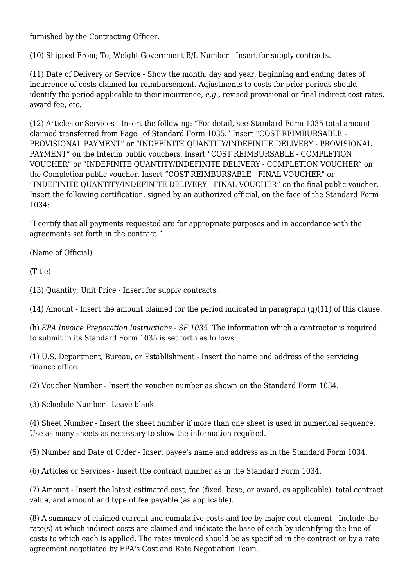furnished by the Contracting Officer.

(10) Shipped From; To; Weight Government B/L Number - Insert for supply contracts.

(11) Date of Delivery or Service - Show the month, day and year, beginning and ending dates of incurrence of costs claimed for reimbursement. Adjustments to costs for prior periods should identify the period applicable to their incurrence, *e.g.,* revised provisional or final indirect cost rates, award fee, etc.

(12) Articles or Services - Insert the following: "For detail, see Standard Form 1035 total amount claimed transferred from Page \_of Standard Form 1035." Insert "COST REIMBURSABLE - PROVISIONAL PAYMENT" or "INDEFINITE QUANTITY/INDEFINITE DELIVERY - PROVISIONAL PAYMENT" on the Interim public vouchers. Insert "COST REIMBURSABLE - COMPLETION VOUCHER" or "INDEFINITE QUANTITY/INDEFINITE DELIVERY - COMPLETION VOUCHER" on the Completion public voucher. Insert "COST REIMBURSABLE - FINAL VOUCHER" or "INDEFINITE QUANTITY/INDEFINITE DELIVERY - FINAL VOUCHER" on the final public voucher. Insert the following certification, signed by an authorized official, on the face of the Standard Form 1034:

"I certify that all payments requested are for appropriate purposes and in accordance with the agreements set forth in the contract."

(Name of Official)

(Title)

(13) Quantity; Unit Price - Insert for supply contracts.

(14) Amount - Insert the amount claimed for the period indicated in paragraph (g)(11) of this clause.

(h) *EPA Invoice Preparation Instructions - SF 1035.* The information which a contractor is required to submit in its Standard Form 1035 is set forth as follows:

(1) U.S. Department, Bureau, or Establishment - Insert the name and address of the servicing finance office.

(2) Voucher Number - Insert the voucher number as shown on the Standard Form 1034.

(3) Schedule Number - Leave blank.

(4) Sheet Number - Insert the sheet number if more than one sheet is used in numerical sequence. Use as many sheets as necessary to show the information required.

(5) Number and Date of Order - Insert payee's name and address as in the Standard Form 1034.

(6) Articles or Services - Insert the contract number as in the Standard Form 1034.

(7) Amount - Insert the latest estimated cost, fee (fixed, base, or award, as applicable), total contract value, and amount and type of fee payable (as applicable).

(8) A summary of claimed current and cumulative costs and fee by major cost element - Include the rate(s) at which indirect costs are claimed and indicate the base of each by identifying the line of costs to which each is applied. The rates invoiced should be as specified in the contract or by a rate agreement negotiated by EPA's Cost and Rate Negotiation Team.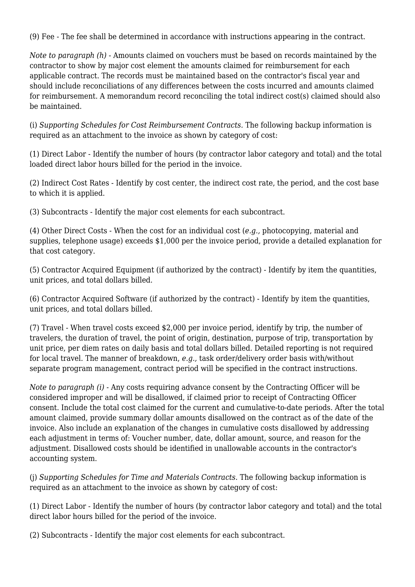(9) Fee - The fee shall be determined in accordance with instructions appearing in the contract.

*Note to paragraph (h)* - Amounts claimed on vouchers must be based on records maintained by the contractor to show by major cost element the amounts claimed for reimbursement for each applicable contract. The records must be maintained based on the contractor's fiscal year and should include reconciliations of any differences between the costs incurred and amounts claimed for reimbursement. A memorandum record reconciling the total indirect cost(s) claimed should also be maintained.

(i) *Supporting Schedules for Cost Reimbursement Contracts.* The following backup information is required as an attachment to the invoice as shown by category of cost:

(1) Direct Labor - Identify the number of hours (by contractor labor category and total) and the total loaded direct labor hours billed for the period in the invoice.

(2) Indirect Cost Rates - Identify by cost center, the indirect cost rate, the period, and the cost base to which it is applied.

(3) Subcontracts - Identify the major cost elements for each subcontract.

(4) Other Direct Costs - When the cost for an individual cost (*e.g.,* photocopying, material and supplies, telephone usage) exceeds \$1,000 per the invoice period, provide a detailed explanation for that cost category.

(5) Contractor Acquired Equipment (if authorized by the contract) - Identify by item the quantities, unit prices, and total dollars billed.

(6) Contractor Acquired Software (if authorized by the contract) - Identify by item the quantities, unit prices, and total dollars billed.

(7) Travel - When travel costs exceed \$2,000 per invoice period, identify by trip, the number of travelers, the duration of travel, the point of origin, destination, purpose of trip, transportation by unit price, per diem rates on daily basis and total dollars billed. Detailed reporting is not required for local travel. The manner of breakdown, *e.g.,* task order/delivery order basis with/without separate program management, contract period will be specified in the contract instructions.

*Note to paragraph (i)* - Any costs requiring advance consent by the Contracting Officer will be considered improper and will be disallowed, if claimed prior to receipt of Contracting Officer consent. Include the total cost claimed for the current and cumulative-to-date periods. After the total amount claimed, provide summary dollar amounts disallowed on the contract as of the date of the invoice. Also include an explanation of the changes in cumulative costs disallowed by addressing each adjustment in terms of: Voucher number, date, dollar amount, source, and reason for the adjustment. Disallowed costs should be identified in unallowable accounts in the contractor's accounting system.

(j) *Supporting Schedules for Time and Materials Contracts.* The following backup information is required as an attachment to the invoice as shown by category of cost:

(1) Direct Labor - Identify the number of hours (by contractor labor category and total) and the total direct labor hours billed for the period of the invoice.

(2) Subcontracts - Identify the major cost elements for each subcontract.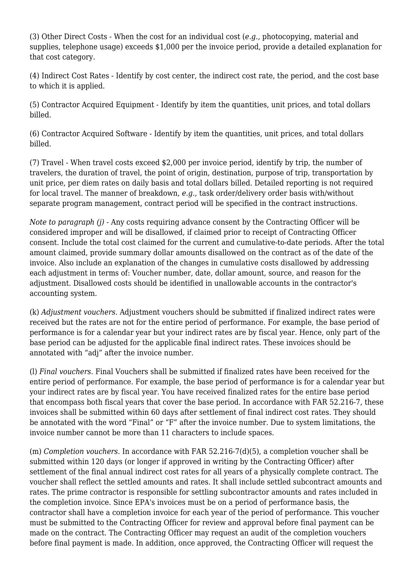(3) Other Direct Costs - When the cost for an individual cost (*e.g.,* photocopying, material and supplies, telephone usage) exceeds \$1,000 per the invoice period, provide a detailed explanation for that cost category.

(4) Indirect Cost Rates - Identify by cost center, the indirect cost rate, the period, and the cost base to which it is applied.

(5) Contractor Acquired Equipment - Identify by item the quantities, unit prices, and total dollars billed.

(6) Contractor Acquired Software - Identify by item the quantities, unit prices, and total dollars billed.

(7) Travel - When travel costs exceed \$2,000 per invoice period, identify by trip, the number of travelers, the duration of travel, the point of origin, destination, purpose of trip, transportation by unit price, per diem rates on daily basis and total dollars billed. Detailed reporting is not required for local travel. The manner of breakdown, *e.g.,* task order/delivery order basis with/without separate program management, contract period will be specified in the contract instructions.

*Note to paragraph (j)* - Any costs requiring advance consent by the Contracting Officer will be considered improper and will be disallowed, if claimed prior to receipt of Contracting Officer consent. Include the total cost claimed for the current and cumulative-to-date periods. After the total amount claimed, provide summary dollar amounts disallowed on the contract as of the date of the invoice. Also include an explanation of the changes in cumulative costs disallowed by addressing each adjustment in terms of: Voucher number, date, dollar amount, source, and reason for the adjustment. Disallowed costs should be identified in unallowable accounts in the contractor's accounting system.

(k) *Adjustment vouchers.* Adjustment vouchers should be submitted if finalized indirect rates were received but the rates are not for the entire period of performance. For example, the base period of performance is for a calendar year but your indirect rates are by fiscal year. Hence, only part of the base period can be adjusted for the applicable final indirect rates. These invoices should be annotated with "adj" after the invoice number.

(l) *Final vouchers.* Final Vouchers shall be submitted if finalized rates have been received for the entire period of performance. For example, the base period of performance is for a calendar year but your indirect rates are by fiscal year. You have received finalized rates for the entire base period that encompass both fiscal years that cover the base period. In accordance with FAR 52.216-7, these invoices shall be submitted within 60 days after settlement of final indirect cost rates. They should be annotated with the word "Final" or "F" after the invoice number. Due to system limitations, the invoice number cannot be more than 11 characters to include spaces.

(m) *Completion vouchers.* In accordance with FAR 52.216-7(d)(5), a completion voucher shall be submitted within 120 days (or longer if approved in writing by the Contracting Officer) after settlement of the final annual indirect cost rates for all years of a physically complete contract. The voucher shall reflect the settled amounts and rates. It shall include settled subcontract amounts and rates. The prime contractor is responsible for settling subcontractor amounts and rates included in the completion invoice. Since EPA's invoices must be on a period of performance basis, the contractor shall have a completion invoice for each year of the period of performance. This voucher must be submitted to the Contracting Officer for review and approval before final payment can be made on the contract. The Contracting Officer may request an audit of the completion vouchers before final payment is made. In addition, once approved, the Contracting Officer will request the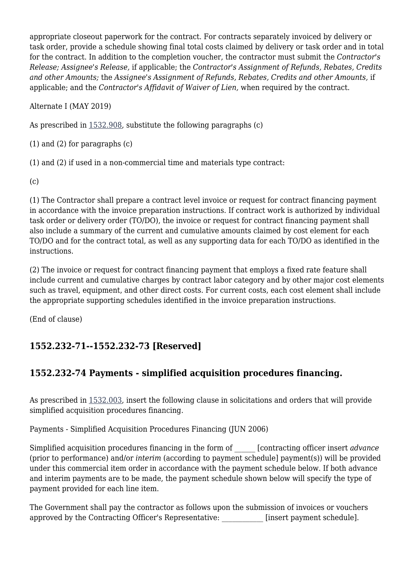appropriate closeout paperwork for the contract. For contracts separately invoiced by delivery or task order, provide a schedule showing final total costs claimed by delivery or task order and in total for the contract. In addition to the completion voucher, the contractor must submit the *Contractor's Release; Assignee's Release,* if applicable; the *Contractor's Assignment of Refunds, Rebates, Credits and other Amounts;* the *Assignee's Assignment of Refunds, Rebates, Credits and other Amounts,* if applicable; and the *Contractor's Affidavit of Waiver of Lien,* when required by the contract.

Alternate I (MAY 2019)

As prescribed in [1532.908,](https://origin-www.acquisition.gov/%5Brp:link:epaar-part-1532%5D#Section_1532_908_T48_601527511) substitute the following paragraphs (c)

(1) and (2) for paragraphs (c)

(1) and (2) if used in a non-commercial time and materials type contract:

(c)

(1) The Contractor shall prepare a contract level invoice or request for contract financing payment in accordance with the invoice preparation instructions. If contract work is authorized by individual task order or delivery order (TO/DO), the invoice or request for contract financing payment shall also include a summary of the current and cumulative amounts claimed by cost element for each TO/DO and for the contract total, as well as any supporting data for each TO/DO as identified in the instructions.

(2) The invoice or request for contract financing payment that employs a fixed rate feature shall include current and cumulative charges by contract labor category and by other major cost elements such as travel, equipment, and other direct costs. For current costs, each cost element shall include the appropriate supporting schedules identified in the invoice preparation instructions.

(End of clause)

# **1552.232-71--1552.232-73 [Reserved]**

# **1552.232-74 Payments - simplified acquisition procedures financing.**

As prescribed in [1532.003,](https://origin-www.acquisition.gov/%5Brp:link:epaar-part-1532%5D#Section_1532_003_T48_601527011) insert the following clause in solicitations and orders that will provide simplified acquisition procedures financing.

Payments - Simplified Acquisition Procedures Financing (JUN 2006)

Simplified acquisition procedures financing in the form of \_\_\_\_\_\_ [contracting officer insert *advance* (prior to performance) and/or *interim* (according to payment schedule] payment(s)) will be provided under this commercial item order in accordance with the payment schedule below. If both advance and interim payments are to be made, the payment schedule shown below will specify the type of payment provided for each line item.

The Government shall pay the contractor as follows upon the submission of invoices or vouchers approved by the Contracting Officer's Representative: [insert payment schedule].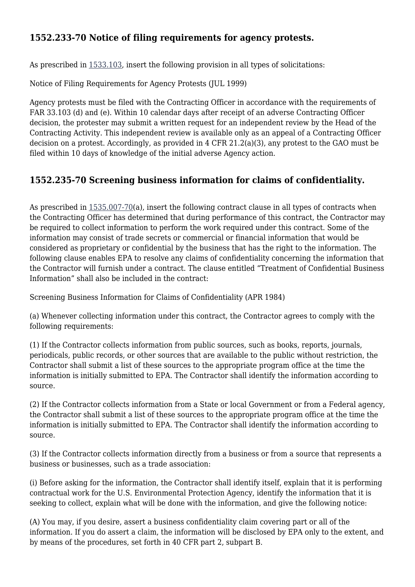# **1552.233-70 Notice of filing requirements for agency protests.**

As prescribed in  $1533.103$ , insert the following provision in all types of solicitations:

Notice of Filing Requirements for Agency Protests (JUL 1999)

Agency protests must be filed with the Contracting Officer in accordance with the requirements of FAR 33.103 (d) and (e). Within 10 calendar days after receipt of an adverse Contracting Officer decision, the protester may submit a written request for an independent review by the Head of the Contracting Activity. This independent review is available only as an appeal of a Contracting Officer decision on a protest. Accordingly, as provided in 4 CFR 21.2(a)(3), any protest to the GAO must be filed within 10 days of knowledge of the initial adverse Agency action.

## **1552.235-70 Screening business information for claims of confidentiality.**

As prescribed in [1535.007-70\(](https://origin-www.acquisition.gov/%5Brp:link:epaar-part-1535%5D#Section_1535_007_70_T48_601629012)a), insert the following contract clause in all types of contracts when the Contracting Officer has determined that during performance of this contract, the Contractor may be required to collect information to perform the work required under this contract. Some of the information may consist of trade secrets or commercial or financial information that would be considered as proprietary or confidential by the business that has the right to the information. The following clause enables EPA to resolve any claims of confidentiality concerning the information that the Contractor will furnish under a contract. The clause entitled "Treatment of Confidential Business Information" shall also be included in the contract:

Screening Business Information for Claims of Confidentiality (APR 1984)

(a) Whenever collecting information under this contract, the Contractor agrees to comply with the following requirements:

(1) If the Contractor collects information from public sources, such as books, reports, journals, periodicals, public records, or other sources that are available to the public without restriction, the Contractor shall submit a list of these sources to the appropriate program office at the time the information is initially submitted to EPA. The Contractor shall identify the information according to source.

(2) If the Contractor collects information from a State or local Government or from a Federal agency, the Contractor shall submit a list of these sources to the appropriate program office at the time the information is initially submitted to EPA. The Contractor shall identify the information according to source.

(3) If the Contractor collects information directly from a business or from a source that represents a business or businesses, such as a trade association:

(i) Before asking for the information, the Contractor shall identify itself, explain that it is performing contractual work for the U.S. Environmental Protection Agency, identify the information that it is seeking to collect, explain what will be done with the information, and give the following notice:

(A) You may, if you desire, assert a business confidentiality claim covering part or all of the information. If you do assert a claim, the information will be disclosed by EPA only to the extent, and by means of the procedures, set forth in 40 CFR part 2, subpart B.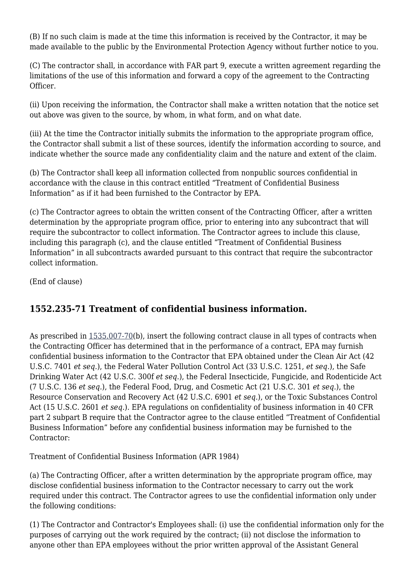(B) If no such claim is made at the time this information is received by the Contractor, it may be made available to the public by the Environmental Protection Agency without further notice to you.

(C) The contractor shall, in accordance with FAR part 9, execute a written agreement regarding the limitations of the use of this information and forward a copy of the agreement to the Contracting Officer.

(ii) Upon receiving the information, the Contractor shall make a written notation that the notice set out above was given to the source, by whom, in what form, and on what date.

(iii) At the time the Contractor initially submits the information to the appropriate program office, the Contractor shall submit a list of these sources, identify the information according to source, and indicate whether the source made any confidentiality claim and the nature and extent of the claim.

(b) The Contractor shall keep all information collected from nonpublic sources confidential in accordance with the clause in this contract entitled "Treatment of Confidential Business Information" as if it had been furnished to the Contractor by EPA.

(c) The Contractor agrees to obtain the written consent of the Contracting Officer, after a written determination by the appropriate program office, prior to entering into any subcontract that will require the subcontractor to collect information. The Contractor agrees to include this clause, including this paragraph (c), and the clause entitled "Treatment of Confidential Business Information" in all subcontracts awarded pursuant to this contract that require the subcontractor collect information.

(End of clause)

# **1552.235-71 Treatment of confidential business information.**

As prescribed in  $1535.007-70(b)$  $1535.007-70(b)$ , insert the following contract clause in all types of contracts when the Contracting Officer has determined that in the performance of a contract, EPA may furnish confidential business information to the Contractor that EPA obtained under the Clean Air Act (42 U.S.C. 7401 *et seq.*), the Federal Water Pollution Control Act (33 U.S.C. 1251, *et seq.*), the Safe Drinking Water Act (42 U.S.C. 300f *et seq.*), the Federal Insecticide, Fungicide, and Rodenticide Act (7 U.S.C. 136 *et seq.*), the Federal Food, Drug, and Cosmetic Act (21 U.S.C. 301 *et seq.*), the Resource Conservation and Recovery Act (42 U.S.C. 6901 *et seq.*), or the Toxic Substances Control Act (15 U.S.C. 2601 *et seq.*). EPA regulations on confidentiality of business information in 40 CFR part 2 subpart B require that the Contractor agree to the clause entitled "Treatment of Confidential Business Information" before any confidential business information may be furnished to the Contractor:

Treatment of Confidential Business Information (APR 1984)

(a) The Contracting Officer, after a written determination by the appropriate program office, may disclose confidential business information to the Contractor necessary to carry out the work required under this contract. The Contractor agrees to use the confidential information only under the following conditions:

(1) The Contractor and Contractor's Employees shall: (i) use the confidential information only for the purposes of carrying out the work required by the contract; (ii) not disclose the information to anyone other than EPA employees without the prior written approval of the Assistant General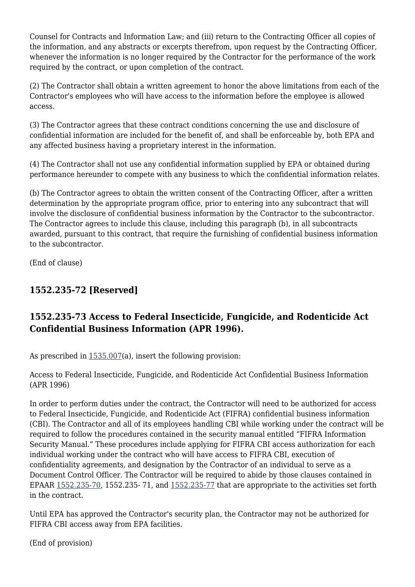Counsel for Contracts and Information Law; and (iii) return to the Contracting Officer all copies of the information, and any abstracts or excerpts therefrom, upon request by the Contracting Officer, whenever the information is no longer required by the Contractor for the performance of the work required by the contract, or upon completion of the contract.

(2) The Contractor shall obtain a written agreement to honor the above limitations from each of the Contractor's employees who will have access to the information before the employee is allowed access.

(3) The Contractor agrees that these contract conditions concerning the use and disclosure of confidential information are included for the benefit of, and shall be enforceable by, both EPA and any affected business having a proprietary interest in the information.

(4) The Contractor shall not use any confidential information supplied by EPA or obtained during performance hereunder to compete with any business to which the confidential information relates.

(b) The Contractor agrees to obtain the written consent of the Contracting Officer, after a written determination by the appropriate program office, prior to entering into any subcontract that will involve the disclosure of confidential business information by the Contractor to the subcontractor. The Contractor agrees to include this clause, including this paragraph (b), in all subcontracts awarded, pursuant to this contract, that require the furnishing of confidential business information to the subcontractor.

(End of clause)

# **1552.235-72 [Reserved]**

# **1552.235-73 Access to Federal Insecticide, Fungicide, and Rodenticide Act Confidential Business Information (APR 1996).**

As prescribed in [1535.007\(](https://origin-www.acquisition.gov/%5Brp:link:epaar-part-1535%5D#Section_1535_007_T48_601629011)a), insert the following provision:

Access to Federal Insecticide, Fungicide, and Rodenticide Act Confidential Business Information (APR 1996)

In order to perform duties under the contract, the Contractor will need to be authorized for access to Federal Insecticide, Fungicide, and Rodenticide Act (FIFRA) confidential business information (CBI). The Contractor and all of its employees handling CBI while working under the contract will be required to follow the procedures contained in the security manual entitled "FIFRA Information Security Manual." These procedures include applying for FIFRA CBI access authorization for each individual working under the contract who will have access to FIFRA CBI, execution of confidentiality agreements, and designation by the Contractor of an individual to serve as a Document Control Officer. The Contractor will be required to abide by those clauses contained in EPAAR [1552.235-70](https://origin-www.acquisition.gov/%5Brp:link:epaar-part-1552%5D#Section_1552_235_70_T48_6018371160), 1552.235- 71, and [1552.235-77](https://origin-www.acquisition.gov/%5Brp:link:epaar-part-1552%5D#Section_1552_235_77_T48_6018371167) that are appropriate to the activities set forth in the contract.

Until EPA has approved the Contractor's security plan, the Contractor may not be authorized for FIFRA CBI access away from EPA facilities.

(End of provision)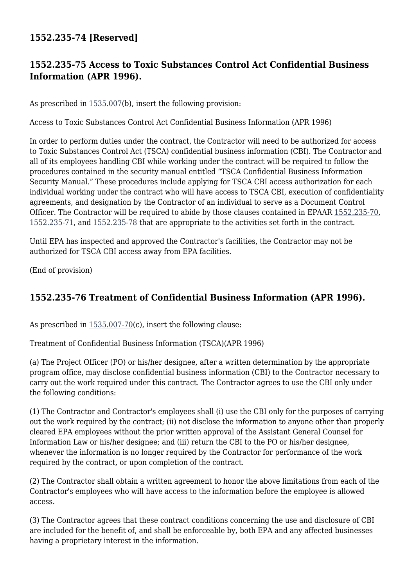## **1552.235-74 [Reserved]**

## **1552.235-75 Access to Toxic Substances Control Act Confidential Business Information (APR 1996).**

As prescribed in [1535.007\(](https://origin-www.acquisition.gov/%5Brp:link:epaar-part-1535%5D#Section_1535_007_T48_601629011)b), insert the following provision:

Access to Toxic Substances Control Act Confidential Business Information (APR 1996)

In order to perform duties under the contract, the Contractor will need to be authorized for access to Toxic Substances Control Act (TSCA) confidential business information (CBI). The Contractor and all of its employees handling CBI while working under the contract will be required to follow the procedures contained in the security manual entitled "TSCA Confidential Business Information Security Manual." These procedures include applying for TSCA CBI access authorization for each individual working under the contract who will have access to TSCA CBI, execution of confidentiality agreements, and designation by the Contractor of an individual to serve as a Document Control Officer. The Contractor will be required to abide by those clauses contained in EPAAR [1552.235-70,](https://origin-www.acquisition.gov/%5Brp:link:epaar-part-1552%5D#Section_1552_235_70_T48_6018371160) [1552.235-71,](https://origin-www.acquisition.gov/%5Brp:link:epaar-part-1552%5D#Section_1552_235_71_T48_6018371161) and [1552.235-78](https://origin-www.acquisition.gov/%5Brp:link:epaar-part-1552%5D#Section_1552_235_78_T48_6018371168) that are appropriate to the activities set forth in the contract.

Until EPA has inspected and approved the Contractor's facilities, the Contractor may not be authorized for TSCA CBI access away from EPA facilities.

(End of provision)

## **1552.235-76 Treatment of Confidential Business Information (APR 1996).**

As prescribed in [1535.007-70\(](https://origin-www.acquisition.gov/%5Brp:link:epaar-part-1535%5D#Section_1535_007_70_T48_601629012)c), insert the following clause:

Treatment of Confidential Business Information (TSCA)(APR 1996)

(a) The Project Officer (PO) or his/her designee, after a written determination by the appropriate program office, may disclose confidential business information (CBI) to the Contractor necessary to carry out the work required under this contract. The Contractor agrees to use the CBI only under the following conditions:

(1) The Contractor and Contractor's employees shall (i) use the CBI only for the purposes of carrying out the work required by the contract; (ii) not disclose the information to anyone other than properly cleared EPA employees without the prior written approval of the Assistant General Counsel for Information Law or his/her designee; and (iii) return the CBI to the PO or his/her designee, whenever the information is no longer required by the Contractor for performance of the work required by the contract, or upon completion of the contract.

(2) The Contractor shall obtain a written agreement to honor the above limitations from each of the Contractor's employees who will have access to the information before the employee is allowed access.

(3) The Contractor agrees that these contract conditions concerning the use and disclosure of CBI are included for the benefit of, and shall be enforceable by, both EPA and any affected businesses having a proprietary interest in the information.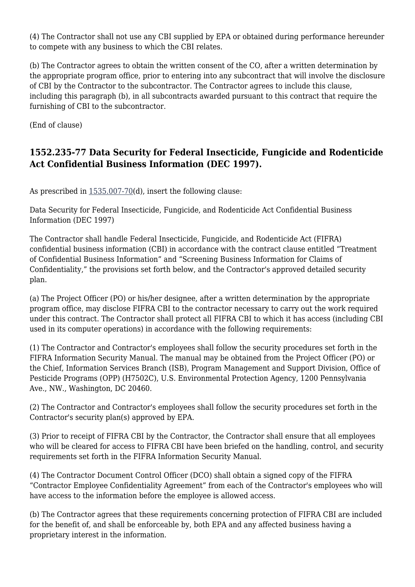(4) The Contractor shall not use any CBI supplied by EPA or obtained during performance hereunder to compete with any business to which the CBI relates.

(b) The Contractor agrees to obtain the written consent of the CO, after a written determination by the appropriate program office, prior to entering into any subcontract that will involve the disclosure of CBI by the Contractor to the subcontractor. The Contractor agrees to include this clause, including this paragraph (b), in all subcontracts awarded pursuant to this contract that require the furnishing of CBI to the subcontractor.

(End of clause)

# **1552.235-77 Data Security for Federal Insecticide, Fungicide and Rodenticide Act Confidential Business Information (DEC 1997).**

As prescribed in [1535.007-70\(](https://origin-www.acquisition.gov/%5Brp:link:epaar-part-1535%5D#Section_1535_007_70_T48_601629012)d), insert the following clause:

Data Security for Federal Insecticide, Fungicide, and Rodenticide Act Confidential Business Information (DEC 1997)

The Contractor shall handle Federal Insecticide, Fungicide, and Rodenticide Act (FIFRA) confidential business information (CBI) in accordance with the contract clause entitled "Treatment of Confidential Business Information" and "Screening Business Information for Claims of Confidentiality," the provisions set forth below, and the Contractor's approved detailed security plan.

(a) The Project Officer (PO) or his/her designee, after a written determination by the appropriate program office, may disclose FIFRA CBI to the contractor necessary to carry out the work required under this contract. The Contractor shall protect all FIFRA CBI to which it has access (including CBI used in its computer operations) in accordance with the following requirements:

(1) The Contractor and Contractor's employees shall follow the security procedures set forth in the FIFRA Information Security Manual. The manual may be obtained from the Project Officer (PO) or the Chief, Information Services Branch (ISB), Program Management and Support Division, Office of Pesticide Programs (OPP) (H7502C), U.S. Environmental Protection Agency, 1200 Pennsylvania Ave., NW., Washington, DC 20460.

(2) The Contractor and Contractor's employees shall follow the security procedures set forth in the Contractor's security plan(s) approved by EPA.

(3) Prior to receipt of FIFRA CBI by the Contractor, the Contractor shall ensure that all employees who will be cleared for access to FIFRA CBI have been briefed on the handling, control, and security requirements set forth in the FIFRA Information Security Manual.

(4) The Contractor Document Control Officer (DCO) shall obtain a signed copy of the FIFRA "Contractor Employee Confidentiality Agreement" from each of the Contractor's employees who will have access to the information before the employee is allowed access.

(b) The Contractor agrees that these requirements concerning protection of FIFRA CBI are included for the benefit of, and shall be enforceable by, both EPA and any affected business having a proprietary interest in the information.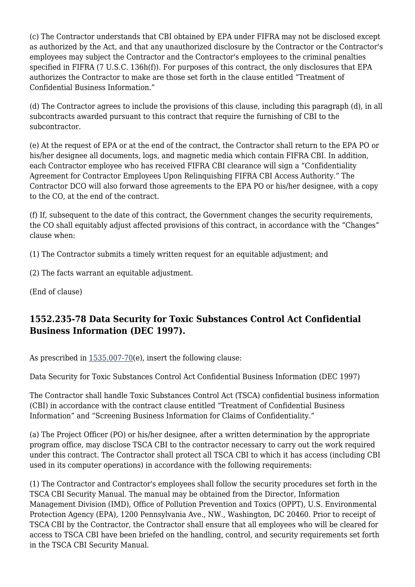(c) The Contractor understands that CBI obtained by EPA under FIFRA may not be disclosed except as authorized by the Act, and that any unauthorized disclosure by the Contractor or the Contractor's employees may subject the Contractor and the Contractor's employees to the criminal penalties specified in FIFRA (7 U.S.C. 136h(f)). For purposes of this contract, the only disclosures that EPA authorizes the Contractor to make are those set forth in the clause entitled "Treatment of Confidential Business Information."

(d) The Contractor agrees to include the provisions of this clause, including this paragraph (d), in all subcontracts awarded pursuant to this contract that require the furnishing of CBI to the subcontractor.

(e) At the request of EPA or at the end of the contract, the Contractor shall return to the EPA PO or his/her designee all documents, logs, and magnetic media which contain FIFRA CBI. In addition, each Contractor employee who has received FIFRA CBI clearance will sign a "Confidentiality Agreement for Contractor Employees Upon Relinquishing FIFRA CBI Access Authority." The Contractor DCO will also forward those agreements to the EPA PO or his/her designee, with a copy to the CO, at the end of the contract.

(f) If, subsequent to the date of this contract, the Government changes the security requirements, the CO shall equitably adjust affected provisions of this contract, in accordance with the "Changes" clause when:

(1) The Contractor submits a timely written request for an equitable adjustment; and

(2) The facts warrant an equitable adjustment.

(End of clause)

### **1552.235-78 Data Security for Toxic Substances Control Act Confidential Business Information (DEC 1997).**

As prescribed in  $1535.007-70(e)$  $1535.007-70(e)$ , insert the following clause:

Data Security for Toxic Substances Control Act Confidential Business Information (DEC 1997)

The Contractor shall handle Toxic Substances Control Act (TSCA) confidential business information (CBI) in accordance with the contract clause entitled "Treatment of Confidential Business Information" and "Screening Business Information for Claims of Confidentiality."

(a) The Project Officer (PO) or his/her designee, after a written determination by the appropriate program office, may disclose TSCA CBI to the contractor necessary to carry out the work required under this contract. The Contractor shall protect all TSCA CBI to which it has access (including CBI used in its computer operations) in accordance with the following requirements:

(1) The Contractor and Contractor's employees shall follow the security procedures set forth in the TSCA CBI Security Manual. The manual may be obtained from the Director, Information Management Division (IMD), Office of Pollution Prevention and Toxics (OPPT), U.S. Environmental Protection Agency (EPA), 1200 Pennsylvania Ave., NW., Washington, DC 20460. Prior to receipt of TSCA CBI by the Contractor, the Contractor shall ensure that all employees who will be cleared for access to TSCA CBI have been briefed on the handling, control, and security requirements set forth in the TSCA CBI Security Manual.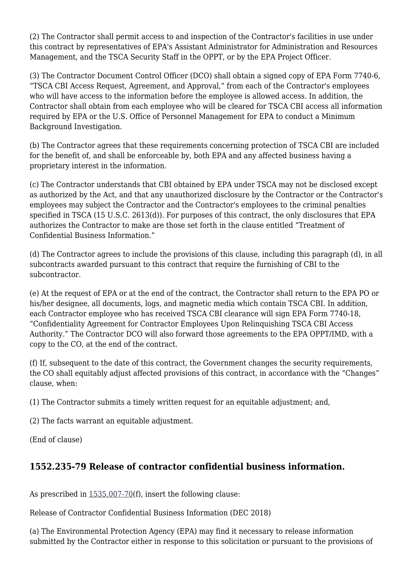(2) The Contractor shall permit access to and inspection of the Contractor's facilities in use under this contract by representatives of EPA's Assistant Administrator for Administration and Resources Management, and the TSCA Security Staff in the OPPT, or by the EPA Project Officer.

(3) The Contractor Document Control Officer (DCO) shall obtain a signed copy of EPA Form 7740-6, "TSCA CBI Access Request, Agreement, and Approval," from each of the Contractor's employees who will have access to the information before the employee is allowed access. In addition, the Contractor shall obtain from each employee who will be cleared for TSCA CBI access all information required by EPA or the U.S. Office of Personnel Management for EPA to conduct a Minimum Background Investigation.

(b) The Contractor agrees that these requirements concerning protection of TSCA CBI are included for the benefit of, and shall be enforceable by, both EPA and any affected business having a proprietary interest in the information.

(c) The Contractor understands that CBI obtained by EPA under TSCA may not be disclosed except as authorized by the Act, and that any unauthorized disclosure by the Contractor or the Contractor's employees may subject the Contractor and the Contractor's employees to the criminal penalties specified in TSCA (15 U.S.C. 2613(d)). For purposes of this contract, the only disclosures that EPA authorizes the Contractor to make are those set forth in the clause entitled "Treatment of Confidential Business Information."

(d) The Contractor agrees to include the provisions of this clause, including this paragraph (d), in all subcontracts awarded pursuant to this contract that require the furnishing of CBI to the subcontractor.

(e) At the request of EPA or at the end of the contract, the Contractor shall return to the EPA PO or his/her designee, all documents, logs, and magnetic media which contain TSCA CBI. In addition, each Contractor employee who has received TSCA CBI clearance will sign EPA Form 7740-18, "Confidentiality Agreement for Contractor Employees Upon Relinquishing TSCA CBI Access Authority." The Contractor DCO will also forward those agreements to the EPA OPPT/IMD, with a copy to the CO, at the end of the contract.

(f) If, subsequent to the date of this contract, the Government changes the security requirements, the CO shall equitably adjust affected provisions of this contract, in accordance with the "Changes" clause, when:

(1) The Contractor submits a timely written request for an equitable adjustment; and,

(2) The facts warrant an equitable adjustment.

(End of clause)

## **1552.235-79 Release of contractor confidential business information.**

As prescribed in [1535.007-70\(](https://origin-www.acquisition.gov/%5Brp:link:epaar-part-1535%5D#Section_1535_007_70_T48_601629012)f), insert the following clause:

Release of Contractor Confidential Business Information (DEC 2018)

(a) The Environmental Protection Agency (EPA) may find it necessary to release information submitted by the Contractor either in response to this solicitation or pursuant to the provisions of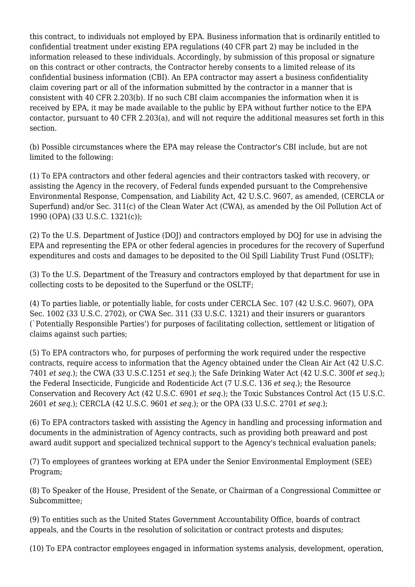this contract, to individuals not employed by EPA. Business information that is ordinarily entitled to confidential treatment under existing EPA regulations (40 CFR part 2) may be included in the information released to these individuals. Accordingly, by submission of this proposal or signature on this contract or other contracts, the Contractor hereby consents to a limited release of its confidential business information (CBI). An EPA contractor may assert a business confidentiality claim covering part or all of the information submitted by the contractor in a manner that is consistent with 40 CFR 2.203(b). If no such CBI claim accompanies the information when it is received by EPA, it may be made available to the public by EPA without further notice to the EPA contactor, pursuant to 40 CFR 2.203(a), and will not require the additional measures set forth in this section.

(b) Possible circumstances where the EPA may release the Contractor's CBI include, but are not limited to the following:

(1) To EPA contractors and other federal agencies and their contractors tasked with recovery, or assisting the Agency in the recovery, of Federal funds expended pursuant to the Comprehensive Environmental Response, Compensation, and Liability Act, 42 U.S.C. 9607, as amended, (CERCLA or Superfund) and/or Sec. 311(c) of the Clean Water Act (CWA), as amended by the Oil Pollution Act of 1990 (OPA) (33 U.S.C. 1321(c));

(2) To the U.S. Department of Justice (DOJ) and contractors employed by DOJ for use in advising the EPA and representing the EPA or other federal agencies in procedures for the recovery of Superfund expenditures and costs and damages to be deposited to the Oil Spill Liability Trust Fund (OSLTF);

(3) To the U.S. Department of the Treasury and contractors employed by that department for use in collecting costs to be deposited to the Superfund or the OSLTF;

(4) To parties liable, or potentially liable, for costs under CERCLA Sec. 107 (42 U.S.C. 9607), OPA Sec. 1002 (33 U.S.C. 2702), or CWA Sec. 311 (33 U.S.C. 1321) and their insurers or guarantors (`Potentially Responsible Parties') for purposes of facilitating collection, settlement or litigation of claims against such parties;

(5) To EPA contractors who, for purposes of performing the work required under the respective contracts, require access to information that the Agency obtained under the Clean Air Act (42 U.S.C. 7401 *et seq.*); the CWA (33 U.S.C.1251 *et seq.*); the Safe Drinking Water Act (42 U.S.C. 300f *et seq.*); the Federal Insecticide, Fungicide and Rodenticide Act (7 U.S.C. 136 *et seq.*); the Resource Conservation and Recovery Act (42 U.S.C. 6901 *et seq.*); the Toxic Substances Control Act (15 U.S.C. 2601 *et seq.*); CERCLA (42 U.S.C. 9601 *et seq.*); or the OPA (33 U.S.C. 2701 *et seq.*);

(6) To EPA contractors tasked with assisting the Agency in handling and processing information and documents in the administration of Agency contracts, such as providing both preaward and post award audit support and specialized technical support to the Agency's technical evaluation panels;

(7) To employees of grantees working at EPA under the Senior Environmental Employment (SEE) Program;

(8) To Speaker of the House, President of the Senate, or Chairman of a Congressional Committee or Subcommittee;

(9) To entities such as the United States Government Accountability Office, boards of contract appeals, and the Courts in the resolution of solicitation or contract protests and disputes;

(10) To EPA contractor employees engaged in information systems analysis, development, operation,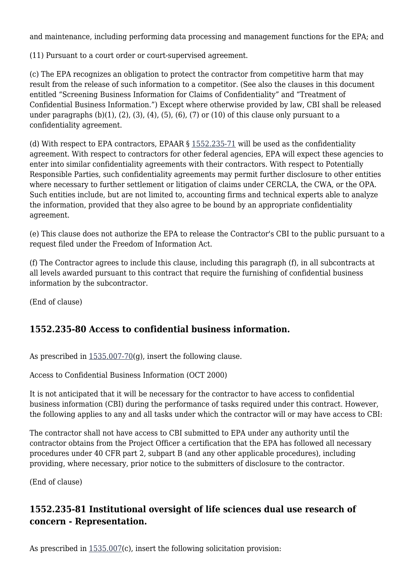and maintenance, including performing data processing and management functions for the EPA; and

(11) Pursuant to a court order or court-supervised agreement.

(c) The EPA recognizes an obligation to protect the contractor from competitive harm that may result from the release of such information to a competitor. (See also the clauses in this document entitled "Screening Business Information for Claims of Confidentiality" and "Treatment of Confidential Business Information.") Except where otherwise provided by law, CBI shall be released under paragraphs  $(b)(1)$ ,  $(2)$ ,  $(3)$ ,  $(4)$ ,  $(5)$ ,  $(6)$ ,  $(7)$  or  $(10)$  of this clause only pursuant to a confidentiality agreement.

(d) With respect to EPA contractors, EPAAR § [1552.235-71](https://origin-www.acquisition.gov/%5Brp:link:epaar-part-1552%5D#Section_1552_235_71_T48_6018371161) will be used as the confidentiality agreement. With respect to contractors for other federal agencies, EPA will expect these agencies to enter into similar confidentiality agreements with their contractors. With respect to Potentially Responsible Parties, such confidentiality agreements may permit further disclosure to other entities where necessary to further settlement or litigation of claims under CERCLA, the CWA, or the OPA. Such entities include, but are not limited to, accounting firms and technical experts able to analyze the information, provided that they also agree to be bound by an appropriate confidentiality agreement.

(e) This clause does not authorize the EPA to release the Contractor's CBI to the public pursuant to a request filed under the Freedom of Information Act.

(f) The Contractor agrees to include this clause, including this paragraph (f), in all subcontracts at all levels awarded pursuant to this contract that require the furnishing of confidential business information by the subcontractor.

(End of clause)

### **1552.235-80 Access to confidential business information.**

As prescribed in  $1535.007-70(q)$  $1535.007-70(q)$ , insert the following clause.

Access to Confidential Business Information (OCT 2000)

It is not anticipated that it will be necessary for the contractor to have access to confidential business information (CBI) during the performance of tasks required under this contract. However, the following applies to any and all tasks under which the contractor will or may have access to CBI:

The contractor shall not have access to CBI submitted to EPA under any authority until the contractor obtains from the Project Officer a certification that the EPA has followed all necessary procedures under 40 CFR part 2, subpart B (and any other applicable procedures), including providing, where necessary, prior notice to the submitters of disclosure to the contractor.

(End of clause)

### **1552.235-81 Institutional oversight of life sciences dual use research of concern - Representation.**

As prescribed in  $1535.007(c)$  $1535.007(c)$ , insert the following solicitation provision: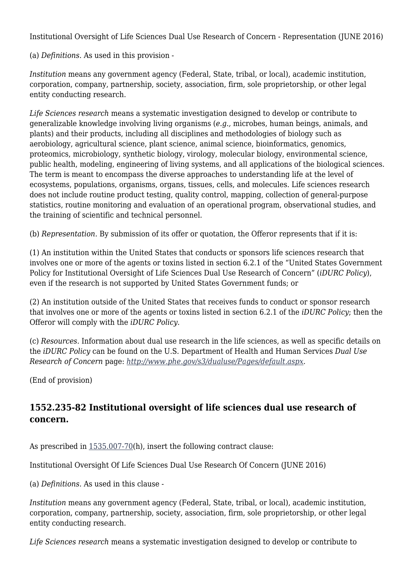Institutional Oversight of Life Sciences Dual Use Research of Concern - Representation (JUNE 2016)

(a) *Definitions.* As used in this provision -

*Institution* means any government agency (Federal, State, tribal, or local), academic institution, corporation, company, partnership, society, association, firm, sole proprietorship, or other legal entity conducting research.

*Life Sciences research* means a systematic investigation designed to develop or contribute to generalizable knowledge involving living organisms (*e.g.,* microbes, human beings, animals, and plants) and their products, including all disciplines and methodologies of biology such as aerobiology, agricultural science, plant science, animal science, bioinformatics, genomics, proteomics, microbiology, synthetic biology, virology, molecular biology, environmental science, public health, modeling, engineering of living systems, and all applications of the biological sciences. The term is meant to encompass the diverse approaches to understanding life at the level of ecosystems, populations, organisms, organs, tissues, cells, and molecules. Life sciences research does not include routine product testing, quality control, mapping, collection of general-purpose statistics, routine monitoring and evaluation of an operational program, observational studies, and the training of scientific and technical personnel.

(b) *Representation.* By submission of its offer or quotation, the Offeror represents that if it is:

(1) An institution within the United States that conducts or sponsors life sciences research that involves one or more of the agents or toxins listed in section 6.2.1 of the "United States Government Policy for Institutional Oversight of Life Sciences Dual Use Research of Concern" (*iDURC Policy*), even if the research is not supported by United States Government funds; or

(2) An institution outside of the United States that receives funds to conduct or sponsor research that involves one or more of the agents or toxins listed in section 6.2.1 of the *iDURC Policy*; then the Offeror will comply with the *iDURC Policy.*

(c) *Resources.* Information about dual use research in the life sciences, as well as specific details on the *iDURC Policy* can be found on the U.S. Department of Health and Human Services *Dual Use Research of Concern* page: *<http://www.phe.gov/s3/dualuse/Pages/default.aspx>.*

(End of provision)

## **1552.235-82 Institutional oversight of life sciences dual use research of concern.**

As prescribed in [1535.007-70\(](https://origin-www.acquisition.gov/%5Brp:link:epaar-part-1535%5D#Section_1535_007_70_T48_601629012)h), insert the following contract clause:

Institutional Oversight Of Life Sciences Dual Use Research Of Concern (JUNE 2016)

(a) *Definitions.* As used in this clause -

*Institution* means any government agency (Federal, State, tribal, or local), academic institution, corporation, company, partnership, society, association, firm, sole proprietorship, or other legal entity conducting research.

*Life Sciences research* means a systematic investigation designed to develop or contribute to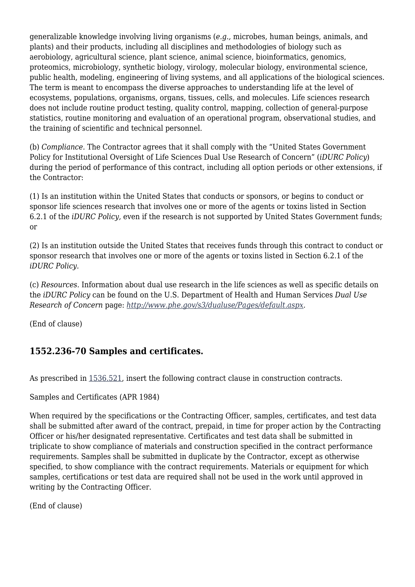generalizable knowledge involving living organisms (*e.g.,* microbes, human beings, animals, and plants) and their products, including all disciplines and methodologies of biology such as aerobiology, agricultural science, plant science, animal science, bioinformatics, genomics, proteomics, microbiology, synthetic biology, virology, molecular biology, environmental science, public health, modeling, engineering of living systems, and all applications of the biological sciences. The term is meant to encompass the diverse approaches to understanding life at the level of ecosystems, populations, organisms, organs, tissues, cells, and molecules. Life sciences research does not include routine product testing, quality control, mapping, collection of general-purpose statistics, routine monitoring and evaluation of an operational program, observational studies, and the training of scientific and technical personnel.

(b) *Compliance.* The Contractor agrees that it shall comply with the "United States Government Policy for Institutional Oversight of Life Sciences Dual Use Research of Concern" (*iDURC Policy*) during the period of performance of this contract, including all option periods or other extensions, if the Contractor:

(1) Is an institution within the United States that conducts or sponsors, or begins to conduct or sponsor life sciences research that involves one or more of the agents or toxins listed in Section 6.2.1 of the *iDURC Policy,* even if the research is not supported by United States Government funds; or

(2) Is an institution outside the United States that receives funds through this contract to conduct or sponsor research that involves one or more of the agents or toxins listed in Section 6.2.1 of the *iDURC Policy.*

(c) *Resources.* Information about dual use research in the life sciences as well as specific details on the *iDURC Policy* can be found on the U.S. Department of Health and Human Services *Dual Use Research of Concern* page: *<http://www.phe.gov/s3/dualuse/Pages/default.aspx>.*

(End of clause)

### **1552.236-70 Samples and certificates.**

As prescribed in [1536.521,](https://origin-www.acquisition.gov/%5Brp:link:epaar-part-1536%5D#Section_1536_521_T48_601630211) insert the following contract clause in construction contracts.

Samples and Certificates (APR 1984)

When required by the specifications or the Contracting Officer, samples, certificates, and test data shall be submitted after award of the contract, prepaid, in time for proper action by the Contracting Officer or his/her designated representative. Certificates and test data shall be submitted in triplicate to show compliance of materials and construction specified in the contract performance requirements. Samples shall be submitted in duplicate by the Contractor, except as otherwise specified, to show compliance with the contract requirements. Materials or equipment for which samples, certifications or test data are required shall not be used in the work until approved in writing by the Contracting Officer.

(End of clause)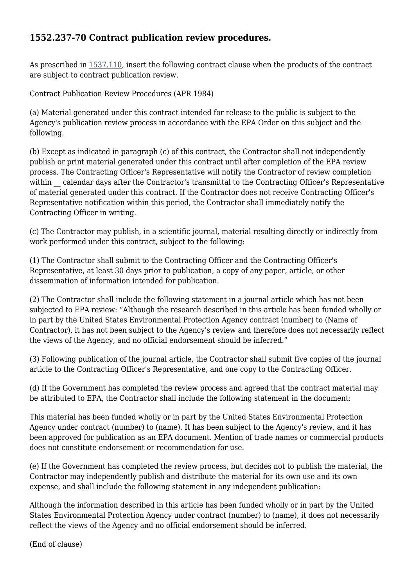### **1552.237-70 Contract publication review procedures.**

As prescribed in [1537.110,](https://origin-www.acquisition.gov/%5Brp:link:epaar-part-1537%5D#Section_1537_110_T48_601631111) insert the following contract clause when the products of the contract are subject to contract publication review.

Contract Publication Review Procedures (APR 1984)

(a) Material generated under this contract intended for release to the public is subject to the Agency's publication review process in accordance with the EPA Order on this subject and the following.

(b) Except as indicated in paragraph (c) of this contract, the Contractor shall not independently publish or print material generated under this contract until after completion of the EPA review process. The Contracting Officer's Representative will notify the Contractor of review completion within calendar days after the Contractor's transmittal to the Contracting Officer's Representative of material generated under this contract. If the Contractor does not receive Contracting Officer's Representative notification within this period, the Contractor shall immediately notify the Contracting Officer in writing.

(c) The Contractor may publish, in a scientific journal, material resulting directly or indirectly from work performed under this contract, subject to the following:

(1) The Contractor shall submit to the Contracting Officer and the Contracting Officer's Representative, at least 30 days prior to publication, a copy of any paper, article, or other dissemination of information intended for publication.

(2) The Contractor shall include the following statement in a journal article which has not been subjected to EPA review: "Although the research described in this article has been funded wholly or in part by the United States Environmental Protection Agency contract (number) to (Name of Contractor), it has not been subject to the Agency's review and therefore does not necessarily reflect the views of the Agency, and no official endorsement should be inferred."

(3) Following publication of the journal article, the Contractor shall submit five copies of the journal article to the Contracting Officer's Representative, and one copy to the Contracting Officer.

(d) If the Government has completed the review process and agreed that the contract material may be attributed to EPA, the Contractor shall include the following statement in the document:

This material has been funded wholly or in part by the United States Environmental Protection Agency under contract (number) to (name). It has been subject to the Agency's review, and it has been approved for publication as an EPA document. Mention of trade names or commercial products does not constitute endorsement or recommendation for use.

(e) If the Government has completed the review process, but decides not to publish the material, the Contractor may independently publish and distribute the material for its own use and its own expense, and shall include the following statement in any independent publication:

Although the information described in this article has been funded wholly or in part by the United States Environmental Protection Agency under contract (number) to (name), it does not necessarily reflect the views of the Agency and no official endorsement should be inferred.

(End of clause)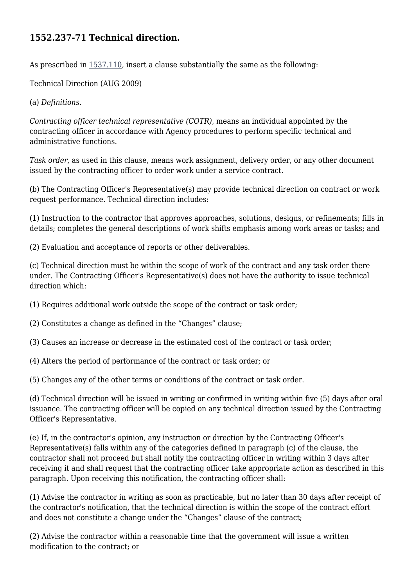### **1552.237-71 Technical direction.**

As prescribed in [1537.110,](https://origin-www.acquisition.gov/%5Brp:link:epaar-part-1537%5D#Section_1537_110_T48_601631111) insert a clause substantially the same as the following:

Technical Direction (AUG 2009)

(a) *Definitions.*

*Contracting officer technical representative (COTR),* means an individual appointed by the contracting officer in accordance with Agency procedures to perform specific technical and administrative functions.

*Task order,* as used in this clause, means work assignment, delivery order, or any other document issued by the contracting officer to order work under a service contract.

(b) The Contracting Officer's Representative(s) may provide technical direction on contract or work request performance. Technical direction includes:

(1) Instruction to the contractor that approves approaches, solutions, designs, or refinements; fills in details; completes the general descriptions of work shifts emphasis among work areas or tasks; and

(2) Evaluation and acceptance of reports or other deliverables.

(c) Technical direction must be within the scope of work of the contract and any task order there under. The Contracting Officer's Representative(s) does not have the authority to issue technical direction which:

(1) Requires additional work outside the scope of the contract or task order;

(2) Constitutes a change as defined in the "Changes" clause;

(3) Causes an increase or decrease in the estimated cost of the contract or task order;

(4) Alters the period of performance of the contract or task order; or

(5) Changes any of the other terms or conditions of the contract or task order.

(d) Technical direction will be issued in writing or confirmed in writing within five (5) days after oral issuance. The contracting officer will be copied on any technical direction issued by the Contracting Officer's Representative.

(e) If, in the contractor's opinion, any instruction or direction by the Contracting Officer's Representative(s) falls within any of the categories defined in paragraph (c) of the clause, the contractor shall not proceed but shall notify the contracting officer in writing within 3 days after receiving it and shall request that the contracting officer take appropriate action as described in this paragraph. Upon receiving this notification, the contracting officer shall:

(1) Advise the contractor in writing as soon as practicable, but no later than 30 days after receipt of the contractor's notification, that the technical direction is within the scope of the contract effort and does not constitute a change under the "Changes" clause of the contract;

(2) Advise the contractor within a reasonable time that the government will issue a written modification to the contract; or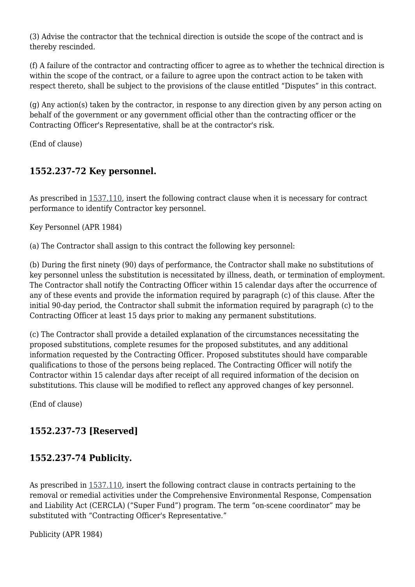(3) Advise the contractor that the technical direction is outside the scope of the contract and is thereby rescinded.

(f) A failure of the contractor and contracting officer to agree as to whether the technical direction is within the scope of the contract, or a failure to agree upon the contract action to be taken with respect thereto, shall be subject to the provisions of the clause entitled "Disputes" in this contract.

(g) Any action(s) taken by the contractor, in response to any direction given by any person acting on behalf of the government or any government official other than the contracting officer or the Contracting Officer's Representative, shall be at the contractor's risk.

(End of clause)

## **1552.237-72 Key personnel.**

As prescribed in [1537.110,](https://origin-www.acquisition.gov/%5Brp:link:epaar-part-1537%5D#Section_1537_110_T48_601631111) insert the following contract clause when it is necessary for contract performance to identify Contractor key personnel.

Key Personnel (APR 1984)

(a) The Contractor shall assign to this contract the following key personnel:

(b) During the first ninety (90) days of performance, the Contractor shall make no substitutions of key personnel unless the substitution is necessitated by illness, death, or termination of employment. The Contractor shall notify the Contracting Officer within 15 calendar days after the occurrence of any of these events and provide the information required by paragraph (c) of this clause. After the initial 90-day period, the Contractor shall submit the information required by paragraph (c) to the Contracting Officer at least 15 days prior to making any permanent substitutions.

(c) The Contractor shall provide a detailed explanation of the circumstances necessitating the proposed substitutions, complete resumes for the proposed substitutes, and any additional information requested by the Contracting Officer. Proposed substitutes should have comparable qualifications to those of the persons being replaced. The Contracting Officer will notify the Contractor within 15 calendar days after receipt of all required information of the decision on substitutions. This clause will be modified to reflect any approved changes of key personnel.

(End of clause)

# **1552.237-73 [Reserved]**

## **1552.237-74 Publicity.**

As prescribed in [1537.110,](https://origin-www.acquisition.gov/%5Brp:link:epaar-part-1537%5D#Section_1537_110_T48_601631111) insert the following contract clause in contracts pertaining to the removal or remedial activities under the Comprehensive Environmental Response, Compensation and Liability Act (CERCLA) ("Super Fund") program. The term "on-scene coordinator" may be substituted with "Contracting Officer's Representative."

Publicity (APR 1984)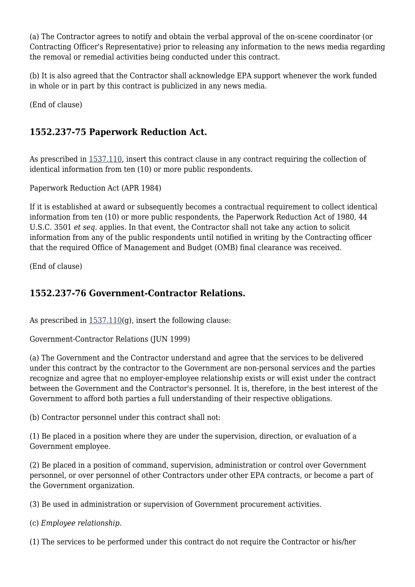(a) The Contractor agrees to notify and obtain the verbal approval of the on-scene coordinator (or Contracting Officer's Representative) prior to releasing any information to the news media regarding the removal or remedial activities being conducted under this contract.

(b) It is also agreed that the Contractor shall acknowledge EPA support whenever the work funded in whole or in part by this contract is publicized in any news media.

(End of clause)

### **1552.237-75 Paperwork Reduction Act.**

As prescribed in [1537.110,](https://origin-www.acquisition.gov/%5Brp:link:epaar-part-1537%5D#Section_1537_110_T48_601631111) insert this contract clause in any contract requiring the collection of identical information from ten (10) or more public respondents.

Paperwork Reduction Act (APR 1984)

If it is established at award or subsequently becomes a contractual requirement to collect identical information from ten (10) or more public respondents, the Paperwork Reduction Act of 1980, 44 U.S.C. 3501 *et seq.* applies. In that event, the Contractor shall not take any action to solicit information from any of the public respondents until notified in writing by the Contracting officer that the required Office of Management and Budget (OMB) final clearance was received.

(End of clause)

### **1552.237-76 Government-Contractor Relations.**

As prescribed in  $1537.110(q)$  $1537.110(q)$ , insert the following clause:

Government-Contractor Relations (JUN 1999)

(a) The Government and the Contractor understand and agree that the services to be delivered under this contract by the contractor to the Government are non-personal services and the parties recognize and agree that no employer-employee relationship exists or will exist under the contract between the Government and the Contractor's personnel. It is, therefore, in the best interest of the Government to afford both parties a full understanding of their respective obligations.

(b) Contractor personnel under this contract shall not:

(1) Be placed in a position where they are under the supervision, direction, or evaluation of a Government employee.

(2) Be placed in a position of command, supervision, administration or control over Government personnel, or over personnel of other Contractors under other EPA contracts, or become a part of the Government organization.

(3) Be used in administration or supervision of Government procurement activities.

(c) *Employee relationship.*

(1) The services to be performed under this contract do not require the Contractor or his/her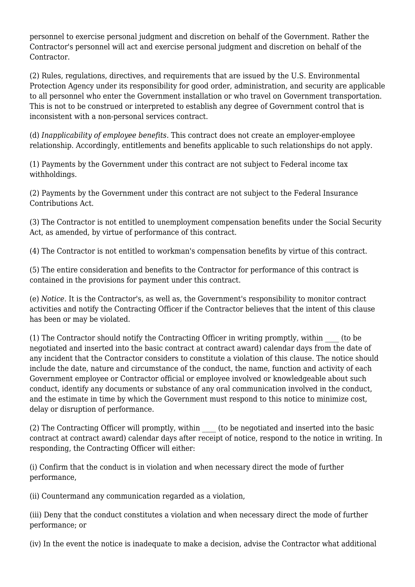personnel to exercise personal judgment and discretion on behalf of the Government. Rather the Contractor's personnel will act and exercise personal judgment and discretion on behalf of the Contractor.

(2) Rules, regulations, directives, and requirements that are issued by the U.S. Environmental Protection Agency under its responsibility for good order, administration, and security are applicable to all personnel who enter the Government installation or who travel on Government transportation. This is not to be construed or interpreted to establish any degree of Government control that is inconsistent with a non-personal services contract.

(d) *Inapplicability of employee benefits.* This contract does not create an employer-employee relationship. Accordingly, entitlements and benefits applicable to such relationships do not apply.

(1) Payments by the Government under this contract are not subject to Federal income tax withholdings.

(2) Payments by the Government under this contract are not subject to the Federal Insurance Contributions Act.

(3) The Contractor is not entitled to unemployment compensation benefits under the Social Security Act, as amended, by virtue of performance of this contract.

(4) The Contractor is not entitled to workman's compensation benefits by virtue of this contract.

(5) The entire consideration and benefits to the Contractor for performance of this contract is contained in the provisions for payment under this contract.

(e) *Notice.* It is the Contractor's, as well as, the Government's responsibility to monitor contract activities and notify the Contracting Officer if the Contractor believes that the intent of this clause has been or may be violated.

(1) The Contractor should notify the Contracting Officer in writing promptly, within \_\_\_\_ (to be negotiated and inserted into the basic contract at contract award) calendar days from the date of any incident that the Contractor considers to constitute a violation of this clause. The notice should include the date, nature and circumstance of the conduct, the name, function and activity of each Government employee or Contractor official or employee involved or knowledgeable about such conduct, identify any documents or substance of any oral communication involved in the conduct, and the estimate in time by which the Government must respond to this notice to minimize cost, delay or disruption of performance.

(2) The Contracting Officer will promptly, within \_\_\_\_ (to be negotiated and inserted into the basic contract at contract award) calendar days after receipt of notice, respond to the notice in writing. In responding, the Contracting Officer will either:

(i) Confirm that the conduct is in violation and when necessary direct the mode of further performance,

(ii) Countermand any communication regarded as a violation,

(iii) Deny that the conduct constitutes a violation and when necessary direct the mode of further performance; or

(iv) In the event the notice is inadequate to make a decision, advise the Contractor what additional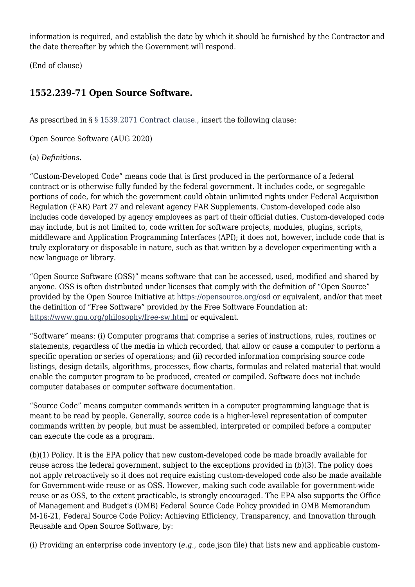information is required, and establish the date by which it should be furnished by the Contractor and the date thereafter by which the Government will respond.

(End of clause)

### **1552.239-71 Open Source Software.**

As prescribed in § [§ 1539.2071 Contract clause.,](https://origin-www.acquisition.gov/%5Brp:link:epaar-part-1539%5D#Section__1539_2071_T48_601632111) insert the following clause:

Open Source Software (AUG 2020)

#### (a) *Definitions.*

"Custom-Developed Code" means code that is first produced in the performance of a federal contract or is otherwise fully funded by the federal government. It includes code, or segregable portions of code, for which the government could obtain unlimited rights under Federal Acquisition Regulation (FAR) Part 27 and relevant agency FAR Supplements. Custom-developed code also includes code developed by agency employees as part of their official duties. Custom-developed code may include, but is not limited to, code written for software projects, modules, plugins, scripts, middleware and Application Programming Interfaces (API); it does not, however, include code that is truly exploratory or disposable in nature, such as that written by a developer experimenting with a new language or library.

"Open Source Software (OSS)" means software that can be accessed, used, modified and shared by anyone. OSS is often distributed under licenses that comply with the definition of "Open Source" provided by the Open Source Initiative at <https://opensource.org/osd>or equivalent, and/or that meet the definition of "Free Software" provided by the Free Software Foundation at: <https://www.gnu.org/philosophy/free-sw.html> or equivalent.

"Software" means: (i) Computer programs that comprise a series of instructions, rules, routines or statements, regardless of the media in which recorded, that allow or cause a computer to perform a specific operation or series of operations; and (ii) recorded information comprising source code listings, design details, algorithms, processes, flow charts, formulas and related material that would enable the computer program to be produced, created or compiled. Software does not include computer databases or computer software documentation.

"Source Code" means computer commands written in a computer programming language that is meant to be read by people. Generally, source code is a higher-level representation of computer commands written by people, but must be assembled, interpreted or compiled before a computer can execute the code as a program.

(b)(1) Policy. It is the EPA policy that new custom-developed code be made broadly available for reuse across the federal government, subject to the exceptions provided in (b)(3). The policy does not apply retroactively so it does not require existing custom-developed code also be made available for Government-wide reuse or as OSS. However, making such code available for government-wide reuse or as OSS, to the extent practicable, is strongly encouraged. The EPA also supports the Office of Management and Budget's (OMB) Federal Source Code Policy provided in OMB Memorandum M-16-21, Federal Source Code Policy: Achieving Efficiency, Transparency, and Innovation through Reusable and Open Source Software, by:

(i) Providing an enterprise code inventory (*e.g.*, code.json file) that lists new and applicable custom-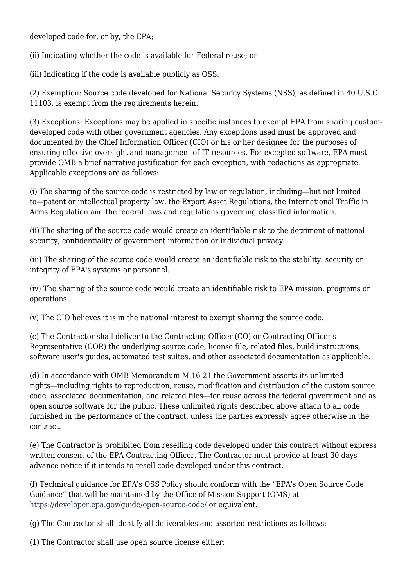developed code for, or by, the EPA;

(ii) Indicating whether the code is available for Federal reuse; or

(iii) Indicating if the code is available publicly as OSS.

(2) Exemption: Source code developed for National Security Systems (NSS), as defined in 40 U.S.C. 11103, is exempt from the requirements herein.

(3) Exceptions: Exceptions may be applied in specific instances to exempt EPA from sharing customdeveloped code with other government agencies. Any exceptions used must be approved and documented by the Chief Information Officer (CIO) or his or her designee for the purposes of ensuring effective oversight and management of IT resources. For excepted software, EPA must provide OMB a brief narrative justification for each exception, with redactions as appropriate. Applicable exceptions are as follows:

(i) The sharing of the source code is restricted by law or regulation, including—but not limited to—patent or intellectual property law, the Export Asset Regulations, the International Traffic in Arms Regulation and the federal laws and regulations governing classified information.

(ii) The sharing of the source code would create an identifiable risk to the detriment of national security, confidentiality of government information or individual privacy.

(iii) The sharing of the source code would create an identifiable risk to the stability, security or integrity of EPA's systems or personnel.

(iv) The sharing of the source code would create an identifiable risk to EPA mission, programs or operations.

(v) The CIO believes it is in the national interest to exempt sharing the source code.

(c) The Contractor shall deliver to the Contracting Officer (CO) or Contracting Officer's Representative (COR) the underlying source code, license file, related files, build instructions, software user's guides, automated test suites, and other associated documentation as applicable.

(d) In accordance with OMB Memorandum M-16-21 the Government asserts its unlimited rights—including rights to reproduction, reuse, modification and distribution of the custom source code, associated documentation, and related files—for reuse across the federal government and as open source software for the public. These unlimited rights described above attach to all code furnished in the performance of the contract, unless the parties expressly agree otherwise in the contract.

(e) The Contractor is prohibited from reselling code developed under this contract without express written consent of the EPA Contracting Officer. The Contractor must provide at least 30 days advance notice if it intends to resell code developed under this contract.

(f) Technical guidance for EPA's OSS Policy should conform with the "EPA's Open Source Code Guidance" that will be maintained by the Office of Mission Support (OMS) at <https://developer.epa.gov/guide/open-source-code/>or equivalent.

(g) The Contractor shall identify all deliverables and asserted restrictions as follows:

(1) The Contractor shall use open source license either: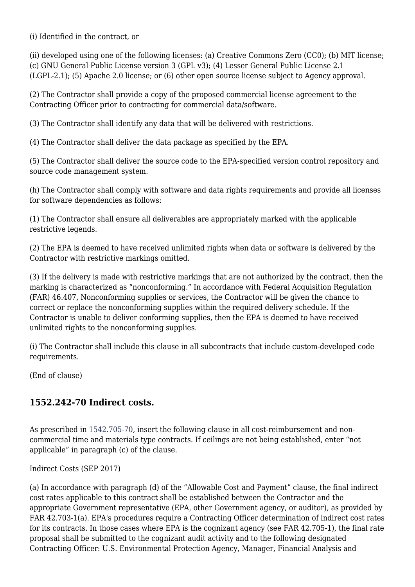(i) Identified in the contract, or

(ii) developed using one of the following licenses: (a) Creative Commons Zero (CC0); (b) MIT license; (c) GNU General Public License version 3 (GPL v3); (4) Lesser General Public License 2.1 (LGPL-2.1); (5) Apache 2.0 license; or (6) other open source license subject to Agency approval.

(2) The Contractor shall provide a copy of the proposed commercial license agreement to the Contracting Officer prior to contracting for commercial data/software.

(3) The Contractor shall identify any data that will be delivered with restrictions.

(4) The Contractor shall deliver the data package as specified by the EPA.

(5) The Contractor shall deliver the source code to the EPA-specified version control repository and source code management system.

(h) The Contractor shall comply with software and data rights requirements and provide all licenses for software dependencies as follows:

(1) The Contractor shall ensure all deliverables are appropriately marked with the applicable restrictive legends.

(2) The EPA is deemed to have received unlimited rights when data or software is delivered by the Contractor with restrictive markings omitted.

(3) If the delivery is made with restrictive markings that are not authorized by the contract, then the marking is characterized as "nonconforming." In accordance with Federal Acquisition Regulation (FAR) 46.407, Nonconforming supplies or services, the Contractor will be given the chance to correct or replace the nonconforming supplies within the required delivery schedule. If the Contractor is unable to deliver conforming supplies, then the EPA is deemed to have received unlimited rights to the nonconforming supplies.

(i) The Contractor shall include this clause in all subcontracts that include custom-developed code requirements.

(End of clause)

### **1552.242-70 Indirect costs.**

As prescribed in [1542.705-70,](https://origin-www.acquisition.gov/%5Brp:link:epaar-part-1542%5D#Section_1542_705_70_T48_601733113) insert the following clause in all cost-reimbursement and noncommercial time and materials type contracts. If ceilings are not being established, enter "not applicable" in paragraph (c) of the clause.

Indirect Costs (SEP 2017)

(a) In accordance with paragraph (d) of the "Allowable Cost and Payment" clause, the final indirect cost rates applicable to this contract shall be established between the Contractor and the appropriate Government representative (EPA, other Government agency, or auditor), as provided by FAR 42.703-1(a). EPA's procedures require a Contracting Officer determination of indirect cost rates for its contracts. In those cases where EPA is the cognizant agency (see FAR 42.705-1), the final rate proposal shall be submitted to the cognizant audit activity and to the following designated Contracting Officer: U.S. Environmental Protection Agency, Manager, Financial Analysis and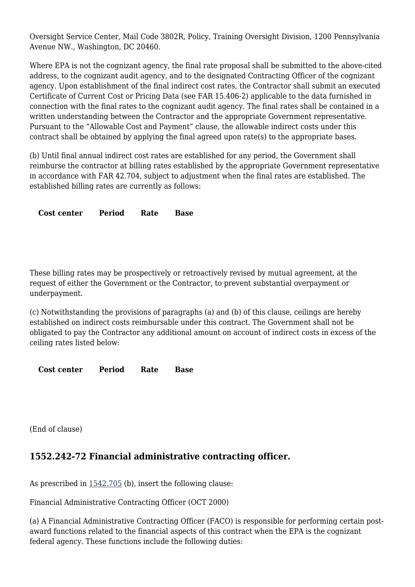Oversight Service Center, Mail Code 3802R, Policy, Training Oversight Division, 1200 Pennsylvania Avenue NW., Washington, DC 20460.

Where EPA is not the cognizant agency, the final rate proposal shall be submitted to the above-cited address, to the cognizant audit agency, and to the designated Contracting Officer of the cognizant agency. Upon establishment of the final indirect cost rates, the Contractor shall submit an executed Certificate of Current Cost or Pricing Data (see FAR 15.406-2) applicable to the data furnished in connection with the final rates to the cognizant audit agency. The final rates shall be contained in a written understanding between the Contractor and the appropriate Government representative. Pursuant to the "Allowable Cost and Payment" clause, the allowable indirect costs under this contract shall be obtained by applying the final agreed upon rate(s) to the appropriate bases.

(b) Until final annual indirect cost rates are established for any period, the Government shall reimburse the contractor at billing rates established by the appropriate Government representative in accordance with FAR 42.704, subject to adjustment when the final rates are established. The established billing rates are currently as follows:

**Cost center Period Rate Base**

These billing rates may be prospectively or retroactively revised by mutual agreement, at the request of either the Government or the Contractor, to prevent substantial overpayment or underpayment.

(c) Notwithstanding the provisions of paragraphs (a) and (b) of this clause, ceilings are hereby established on indirect costs reimbursable under this contract. The Government shall not be obligated to pay the Contractor any additional amount on account of indirect costs in excess of the ceiling rates listed below:

**Cost center Period Rate Base**

(End of clause)

### **1552.242-72 Financial administrative contracting officer.**

As prescribed in [1542.705](https://origin-www.acquisition.gov/%5Brp:link:epaar-part-1542%5D#Section_1542_705_T48_601733112) (b), insert the following clause:

Financial Administrative Contracting Officer (OCT 2000)

(a) A Financial Administrative Contracting Officer (FACO) is responsible for performing certain postaward functions related to the financial aspects of this contract when the EPA is the cognizant federal agency. These functions include the following duties: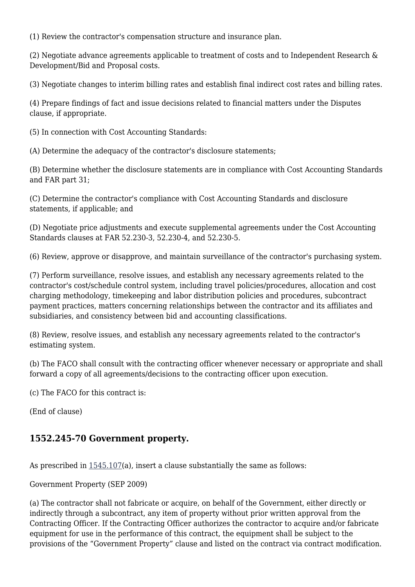(1) Review the contractor's compensation structure and insurance plan.

(2) Negotiate advance agreements applicable to treatment of costs and to Independent Research & Development/Bid and Proposal costs.

(3) Negotiate changes to interim billing rates and establish final indirect cost rates and billing rates.

(4) Prepare findings of fact and issue decisions related to financial matters under the Disputes clause, if appropriate.

(5) In connection with Cost Accounting Standards:

(A) Determine the adequacy of the contractor's disclosure statements;

(B) Determine whether the disclosure statements are in compliance with Cost Accounting Standards and FAR part 31;

(C) Determine the contractor's compliance with Cost Accounting Standards and disclosure statements, if applicable; and

(D) Negotiate price adjustments and execute supplemental agreements under the Cost Accounting Standards clauses at FAR 52.230-3, 52.230-4, and 52.230-5.

(6) Review, approve or disapprove, and maintain surveillance of the contractor's purchasing system.

(7) Perform surveillance, resolve issues, and establish any necessary agreements related to the contractor's cost/schedule control system, including travel policies/procedures, allocation and cost charging methodology, timekeeping and labor distribution policies and procedures, subcontract payment practices, matters concerning relationships between the contractor and its affiliates and subsidiaries, and consistency between bid and accounting classifications.

(8) Review, resolve issues, and establish any necessary agreements related to the contractor's estimating system.

(b) The FACO shall consult with the contracting officer whenever necessary or appropriate and shall forward a copy of all agreements/decisions to the contracting officer upon execution.

(c) The FACO for this contract is:

(End of clause)

### **1552.245-70 Government property.**

As prescribed in  $1545.107(a)$  $1545.107(a)$ , insert a clause substantially the same as follows:

Government Property (SEP 2009)

(a) The contractor shall not fabricate or acquire, on behalf of the Government, either directly or indirectly through a subcontract, any item of property without prior written approval from the Contracting Officer. If the Contracting Officer authorizes the contractor to acquire and/or fabricate equipment for use in the performance of this contract, the equipment shall be subject to the provisions of the "Government Property" clause and listed on the contract via contract modification.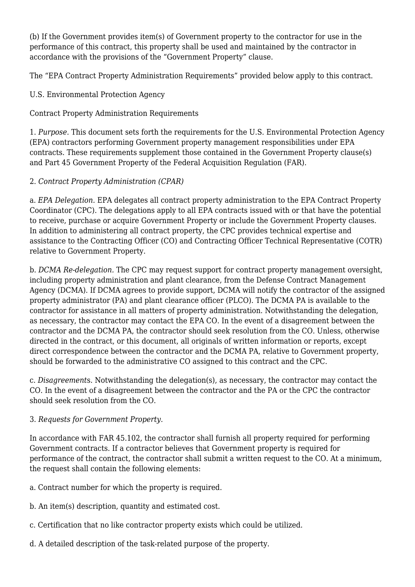(b) If the Government provides item(s) of Government property to the contractor for use in the performance of this contract, this property shall be used and maintained by the contractor in accordance with the provisions of the "Government Property" clause.

The "EPA Contract Property Administration Requirements" provided below apply to this contract.

U.S. Environmental Protection Agency

Contract Property Administration Requirements

1. *Purpose.* This document sets forth the requirements for the U.S. Environmental Protection Agency (EPA) contractors performing Government property management responsibilities under EPA contracts. These requirements supplement those contained in the Government Property clause(s) and Part 45 Government Property of the Federal Acquisition Regulation (FAR).

### 2. *Contract Property Administration (CPAR)*

a. *EPA Delegation.* EPA delegates all contract property administration to the EPA Contract Property Coordinator (CPC). The delegations apply to all EPA contracts issued with or that have the potential to receive, purchase or acquire Government Property or include the Government Property clauses. In addition to administering all contract property, the CPC provides technical expertise and assistance to the Contracting Officer (CO) and Contracting Officer Technical Representative (COTR) relative to Government Property.

b. *DCMA Re-delegation.* The CPC may request support for contract property management oversight, including property administration and plant clearance, from the Defense Contract Management Agency (DCMA). If DCMA agrees to provide support, DCMA will notify the contractor of the assigned property administrator (PA) and plant clearance officer (PLCO). The DCMA PA is available to the contractor for assistance in all matters of property administration. Notwithstanding the delegation, as necessary, the contractor may contact the EPA CO. In the event of a disagreement between the contractor and the DCMA PA, the contractor should seek resolution from the CO. Unless, otherwise directed in the contract, or this document, all originals of written information or reports, except direct correspondence between the contractor and the DCMA PA, relative to Government property, should be forwarded to the administrative CO assigned to this contract and the CPC.

c. *Disagreement*s. Notwithstanding the delegation(s), as necessary, the contractor may contact the CO. In the event of a disagreement between the contractor and the PA or the CPC the contractor should seek resolution from the CO.

### 3. *Requests for Government Property.*

In accordance with FAR 45.102, the contractor shall furnish all property required for performing Government contracts. If a contractor believes that Government property is required for performance of the contract, the contractor shall submit a written request to the CO. At a minimum, the request shall contain the following elements:

- a. Contract number for which the property is required.
- b. An item(s) description, quantity and estimated cost.
- c. Certification that no like contractor property exists which could be utilized.
- d. A detailed description of the task-related purpose of the property.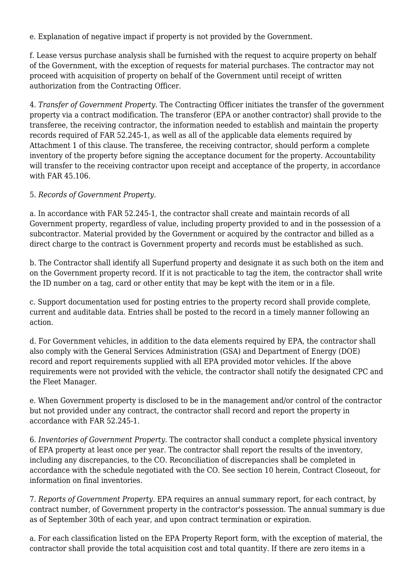e. Explanation of negative impact if property is not provided by the Government.

f. Lease versus purchase analysis shall be furnished with the request to acquire property on behalf of the Government, with the exception of requests for material purchases. The contractor may not proceed with acquisition of property on behalf of the Government until receipt of written authorization from the Contracting Officer.

4. *Transfer of Government Property.* The Contracting Officer initiates the transfer of the government property via a contract modification. The transferor (EPA or another contractor) shall provide to the transferee, the receiving contractor, the information needed to establish and maintain the property records required of FAR 52.245-1, as well as all of the applicable data elements required by Attachment 1 of this clause. The transferee, the receiving contractor, should perform a complete inventory of the property before signing the acceptance document for the property. Accountability will transfer to the receiving contractor upon receipt and acceptance of the property, in accordance with FAR 45.106.

#### 5. *Records of Government Property.*

a. In accordance with FAR 52.245-1, the contractor shall create and maintain records of all Government property, regardless of value, including property provided to and in the possession of a subcontractor. Material provided by the Government or acquired by the contractor and billed as a direct charge to the contract is Government property and records must be established as such.

b. The Contractor shall identify all Superfund property and designate it as such both on the item and on the Government property record. If it is not practicable to tag the item, the contractor shall write the ID number on a tag, card or other entity that may be kept with the item or in a file.

c. Support documentation used for posting entries to the property record shall provide complete, current and auditable data. Entries shall be posted to the record in a timely manner following an action.

d. For Government vehicles, in addition to the data elements required by EPA, the contractor shall also comply with the General Services Administration (GSA) and Department of Energy (DOE) record and report requirements supplied with all EPA provided motor vehicles. If the above requirements were not provided with the vehicle, the contractor shall notify the designated CPC and the Fleet Manager.

e. When Government property is disclosed to be in the management and/or control of the contractor but not provided under any contract, the contractor shall record and report the property in accordance with FAR 52.245-1.

6. *Inventories of Government Property.* The contractor shall conduct a complete physical inventory of EPA property at least once per year. The contractor shall report the results of the inventory, including any discrepancies, to the CO. Reconciliation of discrepancies shall be completed in accordance with the schedule negotiated with the CO. See section 10 herein, Contract Closeout, for information on final inventories.

7. *Reports of Government Property.* EPA requires an annual summary report, for each contract, by contract number, of Government property in the contractor's possession. The annual summary is due as of September 30th of each year, and upon contract termination or expiration.

a. For each classification listed on the EPA Property Report form, with the exception of material, the contractor shall provide the total acquisition cost and total quantity. If there are zero items in a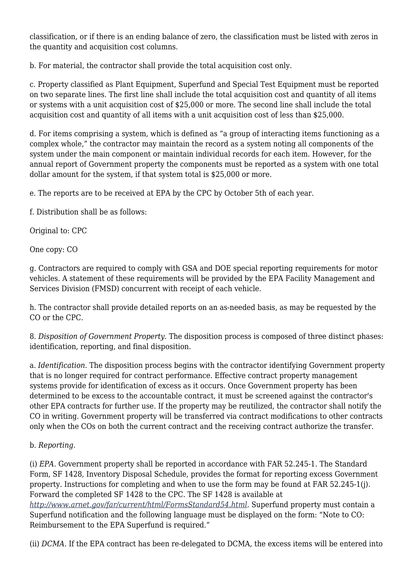classification, or if there is an ending balance of zero, the classification must be listed with zeros in the quantity and acquisition cost columns.

b. For material, the contractor shall provide the total acquisition cost only.

c. Property classified as Plant Equipment, Superfund and Special Test Equipment must be reported on two separate lines. The first line shall include the total acquisition cost and quantity of all items or systems with a unit acquisition cost of \$25,000 or more. The second line shall include the total acquisition cost and quantity of all items with a unit acquisition cost of less than \$25,000.

d. For items comprising a system, which is defined as "a group of interacting items functioning as a complex whole," the contractor may maintain the record as a system noting all components of the system under the main component or maintain individual records for each item. However, for the annual report of Government property the components must be reported as a system with one total dollar amount for the system, if that system total is \$25,000 or more.

e. The reports are to be received at EPA by the CPC by October 5th of each year.

f. Distribution shall be as follows:

Original to: CPC

One copy: CO

g. Contractors are required to comply with GSA and DOE special reporting requirements for motor vehicles. A statement of these requirements will be provided by the EPA Facility Management and Services Division (FMSD) concurrent with receipt of each vehicle.

h. The contractor shall provide detailed reports on an as-needed basis, as may be requested by the CO or the CPC.

8. *Disposition of Government Property.* The disposition process is composed of three distinct phases: identification, reporting, and final disposition.

a. *Identification.* The disposition process begins with the contractor identifying Government property that is no longer required for contract performance. Effective contract property management systems provide for identification of excess as it occurs. Once Government property has been determined to be excess to the accountable contract, it must be screened against the contractor's other EPA contracts for further use. If the property may be reutilized, the contractor shall notify the CO in writing. Government property will be transferred via contract modifications to other contracts only when the COs on both the current contract and the receiving contract authorize the transfer.

#### b. *Reporting.*

(i) *EPA.* Government property shall be reported in accordance with FAR 52.245-1. The Standard Form, SF 1428, Inventory Disposal Schedule, provides the format for reporting excess Government property. Instructions for completing and when to use the form may be found at FAR 52.245-1(j). Forward the completed SF 1428 to the CPC. The SF 1428 is available at *[http://www.arnet.gov/far/current/html/FormsStandard54.html.](http://www.arnet.gov/far/current/html/FormsStandard54.html)* Superfund property must contain a Superfund notification and the following language must be displayed on the form: "Note to CO: Reimbursement to the EPA Superfund is required."

(ii) *DCMA.* If the EPA contract has been re-delegated to DCMA, the excess items will be entered into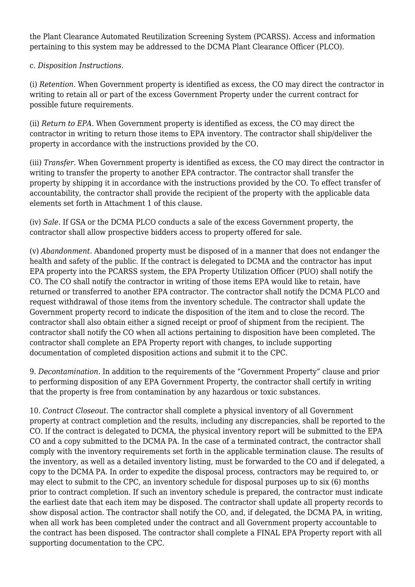the Plant Clearance Automated Reutilization Screening System (PCARSS). Access and information pertaining to this system may be addressed to the DCMA Plant Clearance Officer (PLCO).

#### c. *Disposition Instructions.*

(i) *Retention.* When Government property is identified as excess, the CO may direct the contractor in writing to retain all or part of the excess Government Property under the current contract for possible future requirements.

(ii) *Return to EPA.* When Government property is identified as excess, the CO may direct the contractor in writing to return those items to EPA inventory. The contractor shall ship/deliver the property in accordance with the instructions provided by the CO.

(iii) *Transfer.* When Government property is identified as excess, the CO may direct the contractor in writing to transfer the property to another EPA contractor. The contractor shall transfer the property by shipping it in accordance with the instructions provided by the CO. To effect transfer of accountability, the contractor shall provide the recipient of the property with the applicable data elements set forth in Attachment 1 of this clause.

(iv) *Sale.* If GSA or the DCMA PLCO conducts a sale of the excess Government property, the contractor shall allow prospective bidders access to property offered for sale.

(v) *Abandonment.* Abandoned property must be disposed of in a manner that does not endanger the health and safety of the public. If the contract is delegated to DCMA and the contractor has input EPA property into the PCARSS system, the EPA Property Utilization Officer (PUO) shall notify the CO. The CO shall notify the contractor in writing of those items EPA would like to retain, have returned or transferred to another EPA contractor. The contractor shall notify the DCMA PLCO and request withdrawal of those items from the inventory schedule. The contractor shall update the Government property record to indicate the disposition of the item and to close the record. The contractor shall also obtain either a signed receipt or proof of shipment from the recipient. The contractor shall notify the CO when all actions pertaining to disposition have been completed. The contractor shall complete an EPA Property report with changes, to include supporting documentation of completed disposition actions and submit it to the CPC.

9. *Decontamination.* In addition to the requirements of the "Government Property" clause and prior to performing disposition of any EPA Government Property, the contractor shall certify in writing that the property is free from contamination by any hazardous or toxic substances.

10. *Contract Closeout.* The contractor shall complete a physical inventory of all Government property at contract completion and the results, including any discrepancies, shall be reported to the CO. If the contract is delegated to DCMA, the physical inventory report will be submitted to the EPA CO and a copy submitted to the DCMA PA. In the case of a terminated contract, the contractor shall comply with the inventory requirements set forth in the applicable termination clause. The results of the inventory, as well as a detailed inventory listing, must be forwarded to the CO and if delegated, a copy to the DCMA PA. In order to expedite the disposal process, contractors may be required to, or may elect to submit to the CPC, an inventory schedule for disposal purposes up to six (6) months prior to contract completion. If such an inventory schedule is prepared, the contractor must indicate the earliest date that each item may be disposed. The contractor shall update all property records to show disposal action. The contractor shall notify the CO, and, if delegated, the DCMA PA, in writing, when all work has been completed under the contract and all Government property accountable to the contract has been disposed. The contractor shall complete a FINAL EPA Property report with all supporting documentation to the CPC.